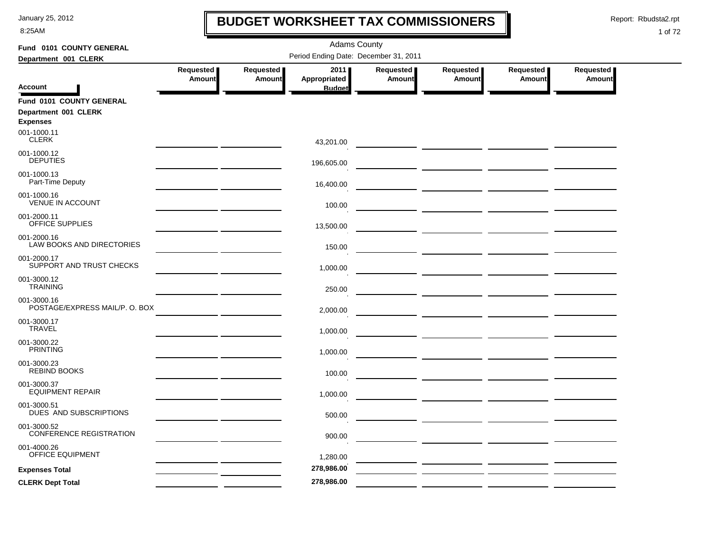8:25AM

### **BUDGET WORKSHEET TAX COMMISSIONERS**

Report: Rbudsta2.rpt

 $\mathbf l$ 

| Fund 0101 COUNTY GENERAL                      | <b>Adams County</b> |           |                                       |               |                                                 |               |               |  |
|-----------------------------------------------|---------------------|-----------|---------------------------------------|---------------|-------------------------------------------------|---------------|---------------|--|
| Department 001 CLERK                          |                     |           | Period Ending Date: December 31, 2011 |               |                                                 |               |               |  |
|                                               | Requested           | Requested | 2011                                  | Requested     | Requested                                       | Requested     | Requested     |  |
| <b>Account</b>                                | <b>Amount</b>       | Amount    | Appropriated<br><b>Budget</b>         | <b>Amount</b> | <b>Amount</b>                                   | <b>Amount</b> | <b>Amount</b> |  |
| Fund 0101 COUNTY GENERAL                      |                     |           |                                       |               |                                                 |               |               |  |
| Department 001 CLERK<br><b>Expenses</b>       |                     |           |                                       |               |                                                 |               |               |  |
| 001-1000.11<br><b>CLERK</b>                   |                     |           | 43,201.00                             |               |                                                 |               |               |  |
| 001-1000.12<br><b>DEPUTIES</b>                |                     |           | 196,605.00                            |               | <u> 1989 - Johann John Stone, mars et al. (</u> |               |               |  |
| 001-1000.13<br>Part-Time Deputy               |                     |           | 16,400.00                             |               |                                                 |               |               |  |
| 001-1000.16<br><b>VENUE IN ACCOUNT</b>        |                     |           | 100.00                                |               |                                                 |               |               |  |
| 001-2000.11<br><b>OFFICE SUPPLIES</b>         |                     |           | 13,500.00                             |               |                                                 |               |               |  |
| 001-2000.16<br>LAW BOOKS AND DIRECTORIES      |                     |           | 150.00                                |               |                                                 |               |               |  |
| 001-2000.17<br>SUPPORT AND TRUST CHECKS       |                     |           | 1,000.00                              |               |                                                 |               |               |  |
| 001-3000.12<br><b>TRAINING</b>                |                     |           | 250.00                                |               |                                                 |               |               |  |
| 001-3000.16<br>POSTAGE/EXPRESS MAIL/P. O. BOX |                     |           | 2,000.00                              |               |                                                 |               |               |  |
| 001-3000.17<br><b>TRAVEL</b>                  |                     |           | 1,000.00                              |               |                                                 |               |               |  |
| 001-3000.22<br><b>PRINTING</b>                |                     |           | 1,000.00                              |               |                                                 |               |               |  |
| 001-3000.23<br><b>REBIND BOOKS</b>            |                     |           | 100.00                                |               |                                                 |               |               |  |
| 001-3000.37<br><b>EQUIPMENT REPAIR</b>        |                     |           | 1,000.00                              |               |                                                 |               |               |  |
| 001-3000.51<br>DUES AND SUBSCRIPTIONS         |                     |           | 500.00                                |               |                                                 |               |               |  |
| 001-3000.52<br>CONFERENCE REGISTRATION        |                     |           | 900.00                                |               |                                                 |               |               |  |
| 001-4000.26<br><b>OFFICE EQUIPMENT</b>        |                     |           | 1,280.00                              |               |                                                 |               |               |  |
| <b>Expenses Total</b>                         |                     |           | 278,986.00                            |               |                                                 |               |               |  |
| <b>CLERK Dept Total</b>                       |                     |           | 278,986.00                            |               |                                                 |               |               |  |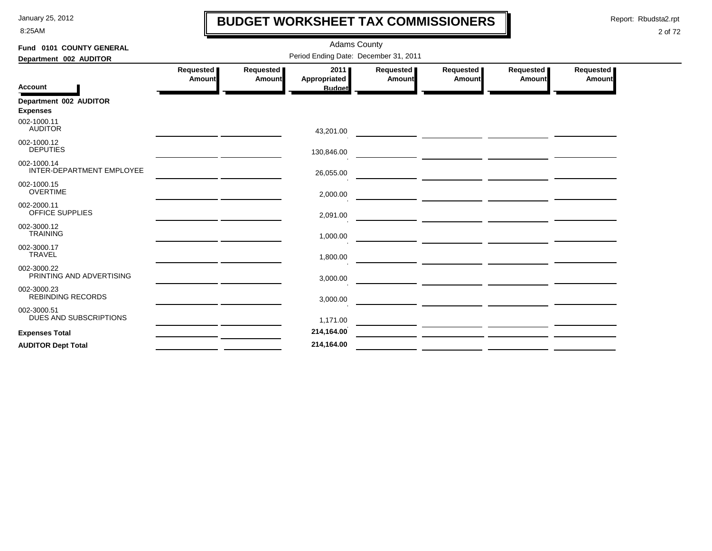8:25AM

### **BUDGET WORKSHEET TAX COMMISSIONERS**

Report: Rbudsta2.rpt

 $\mathbf l$ 

| Fund 0101 COUNTY GENERAL                  |                     |                     | <b>Adams County</b>                   |                            |                                                                                                                      |                     |                     |
|-------------------------------------------|---------------------|---------------------|---------------------------------------|----------------------------|----------------------------------------------------------------------------------------------------------------------|---------------------|---------------------|
| Department 002 AUDITOR                    |                     |                     | Period Ending Date: December 31, 2011 |                            |                                                                                                                      |                     |                     |
|                                           | Requested<br>Amount | Requested<br>Amount | 2011<br>Appropriated                  | Requested<br><b>Amount</b> | Requested<br>Amount                                                                                                  | Requested<br>Amount | Requested<br>Amount |
| <b>Account</b>                            |                     |                     | <b>Budget</b>                         |                            |                                                                                                                      |                     |                     |
| Department 002 AUDITOR<br><b>Expenses</b> |                     |                     |                                       |                            |                                                                                                                      |                     |                     |
| 002-1000.11<br><b>AUDITOR</b>             |                     |                     | 43,201.00                             |                            |                                                                                                                      |                     |                     |
| 002-1000.12<br><b>DEPUTIES</b>            |                     |                     | 130,846.00                            |                            |                                                                                                                      |                     |                     |
| 002-1000.14<br>INTER-DEPARTMENT EMPLOYEE  |                     |                     | 26,055.00                             |                            |                                                                                                                      |                     |                     |
| 002-1000.15<br><b>OVERTIME</b>            |                     |                     | 2,000.00                              |                            |                                                                                                                      |                     |                     |
| 002-2000.11<br>OFFICE SUPPLIES            |                     |                     | 2,091.00                              |                            | <u> Andreas Andreas Andreas Andreas Andreas Andreas Andreas Andreas Andreas Andreas Andreas Andreas Andreas Andr</u> |                     |                     |
| 002-3000.12<br><b>TRAINING</b>            |                     |                     | 1,000.00                              |                            |                                                                                                                      |                     |                     |
| 002-3000.17<br><b>TRAVEL</b>              |                     |                     | 1,800.00                              |                            |                                                                                                                      |                     |                     |
| 002-3000.22<br>PRINTING AND ADVERTISING   |                     |                     | 3,000.00                              |                            |                                                                                                                      |                     |                     |
| 002-3000.23<br><b>REBINDING RECORDS</b>   |                     |                     | 3,000.00                              |                            |                                                                                                                      |                     |                     |
| 002-3000.51<br>DUES AND SUBSCRIPTIONS     |                     |                     | 1,171.00                              |                            |                                                                                                                      |                     |                     |
| <b>Expenses Total</b>                     |                     |                     | 214,164.00                            |                            |                                                                                                                      |                     |                     |
| <b>AUDITOR Dept Total</b>                 |                     |                     | 214,164.00                            |                            |                                                                                                                      |                     |                     |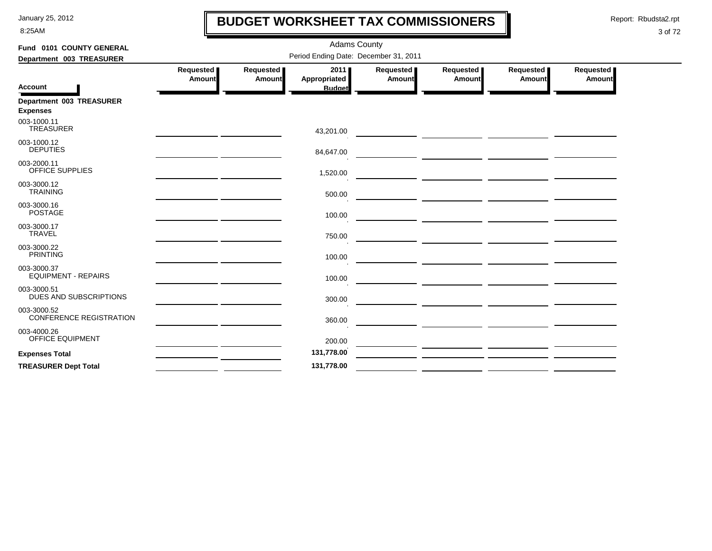8:25AM

## **BUDGET WORKSHEET TAX COMMISSIONERS**

Report: Rbudsta2.rpt

 $\mathbf l$ 

| Fund 0101 COUNTY GENERAL                      |                                       |                     | <b>Adams County</b>                   |                     |                                                                                                                        |                            |                            |  |
|-----------------------------------------------|---------------------------------------|---------------------|---------------------------------------|---------------------|------------------------------------------------------------------------------------------------------------------------|----------------------------|----------------------------|--|
| Department 003 TREASURER                      | Period Ending Date: December 31, 2011 |                     |                                       |                     |                                                                                                                        |                            |                            |  |
| <b>Account</b>                                | Requested<br>Amount                   | Requested<br>Amount | 2011<br>Appropriated<br><b>Budget</b> | Requested<br>Amount | Requested<br>Amount                                                                                                    | Requested<br><b>Amount</b> | Requested<br><b>Amount</b> |  |
| Department 003 TREASURER<br><b>Expenses</b>   |                                       |                     |                                       |                     |                                                                                                                        |                            |                            |  |
| 003-1000.11<br><b>TREASURER</b>               |                                       |                     | 43,201.00                             |                     | the contract of the contract of the contract of the contract of the contract of the contract of the                    |                            |                            |  |
| 003-1000.12<br><b>DEPUTIES</b>                |                                       |                     | 84,647.00                             |                     |                                                                                                                        |                            |                            |  |
| 003-2000.11<br>OFFICE SUPPLIES                |                                       |                     | 1,520.00                              |                     |                                                                                                                        |                            |                            |  |
| 003-3000.12<br><b>TRAINING</b>                |                                       |                     | 500.00                                |                     |                                                                                                                        |                            |                            |  |
| 003-3000.16<br><b>POSTAGE</b>                 |                                       |                     | 100.00                                |                     |                                                                                                                        |                            |                            |  |
| 003-3000.17<br><b>TRAVEL</b>                  |                                       |                     | 750.00                                |                     |                                                                                                                        |                            |                            |  |
| 003-3000.22<br><b>PRINTING</b>                |                                       |                     | 100.00                                |                     |                                                                                                                        |                            |                            |  |
| 003-3000.37<br><b>EQUIPMENT - REPAIRS</b>     |                                       |                     | 100.00                                |                     |                                                                                                                        |                            |                            |  |
| 003-3000.51<br>DUES AND SUBSCRIPTIONS         |                                       |                     | 300.00                                |                     |                                                                                                                        |                            |                            |  |
| 003-3000.52<br><b>CONFERENCE REGISTRATION</b> |                                       |                     | 360.00                                |                     | <u> 1989 - Andrea Station, professor and professor and professor and professor and professor and professor and pro</u> |                            |                            |  |
| 003-4000.26<br><b>OFFICE EQUIPMENT</b>        |                                       |                     | 200.00                                |                     |                                                                                                                        |                            |                            |  |
| <b>Expenses Total</b>                         |                                       |                     | 131,778.00                            |                     |                                                                                                                        |                            |                            |  |
| <b>TREASURER Dept Total</b>                   |                                       |                     | 131,778.00                            |                     |                                                                                                                        |                            |                            |  |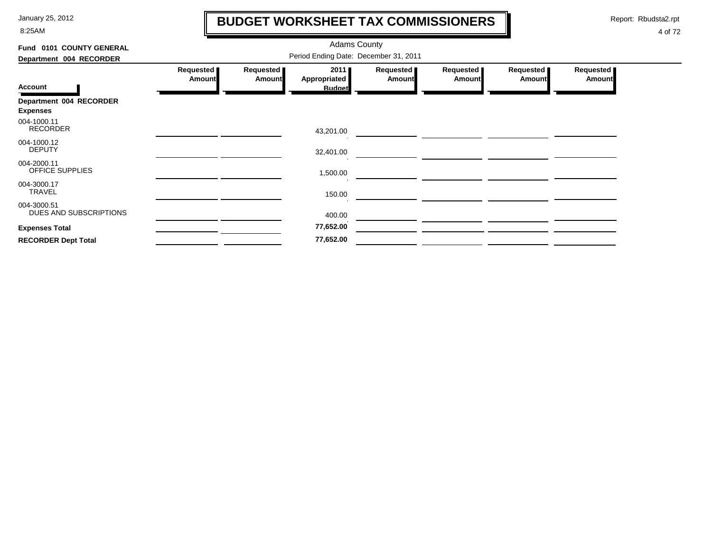8:25AM

### **BUDGET WORKSHEET TAX COMMISSIONERS**

Report: Rbudsta2.rpt

 $\mathbf \mathbf I$ 

| Fund 0101 COUNTY GENERAL                   |                                       |                            | <b>Adams County</b>         |                     |                            |                            |                            |
|--------------------------------------------|---------------------------------------|----------------------------|-----------------------------|---------------------|----------------------------|----------------------------|----------------------------|
| Department 004 RECORDER                    | Period Ending Date: December 31, 2011 |                            |                             |                     |                            |                            |                            |
|                                            | Requested<br><b>Amount</b>            | Requested<br><b>Amount</b> | 2011<br><b>Appropriated</b> | Requested<br>Amount | Requested<br><b>Amount</b> | Requested<br><b>Amount</b> | Requested<br><b>Amount</b> |
| Account                                    |                                       |                            | <b>Budget</b>               |                     |                            |                            |                            |
| Department 004 RECORDER<br><b>Expenses</b> |                                       |                            |                             |                     |                            |                            |                            |
| 004-1000.11<br><b>RECORDER</b>             |                                       |                            | 43,201.00                   |                     |                            |                            |                            |
| 004-1000.12<br><b>DEPUTY</b>               |                                       |                            | 32,401.00                   |                     |                            |                            |                            |
| 004-2000.11<br>OFFICE SUPPLIES             |                                       |                            | 1,500.00                    |                     |                            |                            |                            |
| 004-3000.17<br><b>TRAVEL</b>               |                                       |                            | 150.00                      |                     |                            |                            |                            |
| 004-3000.51<br>DUES AND SUBSCRIPTIONS      |                                       |                            | 400.00                      |                     |                            |                            |                            |
| <b>Expenses Total</b>                      |                                       |                            | 77,652.00                   |                     |                            |                            |                            |
| <b>RECORDER Dept Total</b>                 |                                       |                            | 77,652.00                   |                     |                            |                            |                            |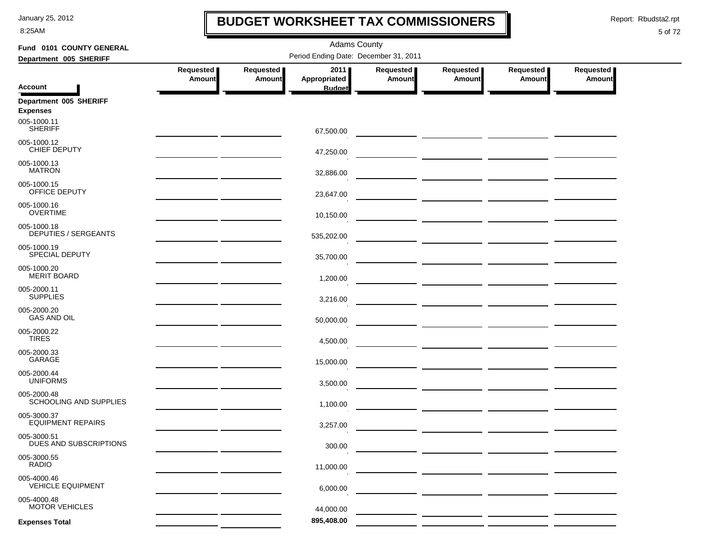8:25AM

### **BUDGET WORKSHEET TAX COMMISSIONERS**

Report: Rbudsta2.rpt

 $\mathbf I$ 

| Fund 0101 COUNTY GENERAL                  | <b>Adams County</b>                                                   |                            |                                       |                            |                            |                     |                     |  |
|-------------------------------------------|-----------------------------------------------------------------------|----------------------------|---------------------------------------|----------------------------|----------------------------|---------------------|---------------------|--|
| Department 005 SHERIFF                    |                                                                       |                            | Period Ending Date: December 31, 2011 |                            |                            |                     |                     |  |
|                                           | Requested<br><b>Amount</b>                                            | Requested<br><b>Amount</b> | 2011<br>Appropriated                  | Requested<br><b>Amount</b> | Requested<br><b>Amount</b> | Requested<br>Amount | Requested<br>Amount |  |
| <b>Account</b>                            |                                                                       |                            | <b>Budget</b>                         |                            |                            |                     |                     |  |
| Department 005 SHERIFF<br><b>Expenses</b> |                                                                       |                            |                                       |                            |                            |                     |                     |  |
| 005-1000.11<br><b>SHERIFF</b>             |                                                                       |                            | 67,500.00                             |                            |                            |                     |                     |  |
| 005-1000.12<br>CHIEF DEPUTY               |                                                                       |                            | 47,250.00                             |                            |                            |                     |                     |  |
| 005-1000.13<br><b>MATRON</b>              |                                                                       |                            | 32,886.00                             |                            |                            |                     |                     |  |
| 005-1000.15<br>OFFICE DEPUTY              |                                                                       |                            | 23,647.00                             |                            |                            |                     |                     |  |
| 005-1000.16<br><b>OVERTIME</b>            |                                                                       |                            | 10,150.00                             |                            |                            |                     |                     |  |
| 005-1000.18<br>DEPUTIES / SERGEANTS       |                                                                       |                            | 535,202.00                            |                            |                            |                     |                     |  |
| 005-1000.19<br><b>SPECIAL DEPUTY</b>      | <u> 1989 - Andrea State Barbara, poeta esp</u>                        |                            | 35,700.00                             |                            |                            |                     |                     |  |
| 005-1000.20<br><b>MERIT BOARD</b>         |                                                                       |                            | 1,200.00                              |                            |                            |                     |                     |  |
| 005-2000.11<br><b>SUPPLIES</b>            | <u> 1989 - Johann Harry Barn, mars an t-Amerikaansk kommunister (</u> |                            | 3,216.00                              |                            |                            |                     |                     |  |
| 005-2000.20<br><b>GAS AND OIL</b>         |                                                                       |                            | 50,000.00                             |                            |                            |                     |                     |  |
| 005-2000.22<br><b>TIRES</b>               |                                                                       |                            | 4,500.00                              |                            |                            |                     |                     |  |
| 005-2000.33<br>GARAGE                     |                                                                       |                            | 15,000.00                             |                            |                            |                     |                     |  |
| 005-2000.44<br><b>UNIFORMS</b>            |                                                                       |                            | 3,500.00                              |                            |                            |                     |                     |  |
| 005-2000.48<br>SCHOOLING AND SUPPLIES     |                                                                       |                            | 1,100.00                              |                            |                            |                     |                     |  |
| 005-3000.37<br><b>EQUIPMENT REPAIRS</b>   |                                                                       |                            | 3,257.00                              |                            |                            |                     |                     |  |
| 005-3000.51<br>DUES AND SUBSCRIPTIONS     |                                                                       |                            | 300.00                                |                            |                            |                     |                     |  |
| 005-3000.55<br><b>RADIO</b>               |                                                                       |                            | 11,000.00                             |                            |                            |                     |                     |  |
| 005-4000.46<br><b>VEHICLE EQUIPMENT</b>   |                                                                       |                            | 6,000.00                              |                            |                            |                     |                     |  |
| 005-4000.48<br><b>MOTOR VEHICLES</b>      |                                                                       |                            | 44,000.00                             |                            |                            |                     |                     |  |
| <b>Expenses Total</b>                     |                                                                       |                            | 895,408.00                            |                            |                            |                     |                     |  |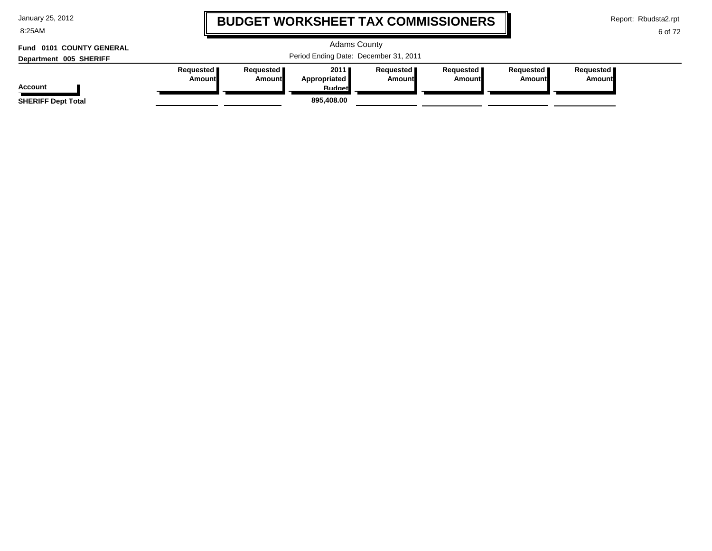| January 25, 2012 |  |  |
|------------------|--|--|
|------------------|--|--|

8:25AM

### **BUDGET WORKSHEET TAX COMMISSIONERS**

Report: Rbudsta2.rpt

 $\mathbf l$ 

```
6 of 72
```
#### **Department 005 SHERIFF Fund 0101 COUNTY GENERAL**

| <b>Adams County</b>                   |  |
|---------------------------------------|--|
| Period Ending Date: December 31, 2011 |  |

| PURSITION VOU UILINII     |                    |                    |                     |                    |           |                    |                    |
|---------------------------|--------------------|--------------------|---------------------|--------------------|-----------|--------------------|--------------------|
|                           | Requested <b>I</b> | Requested <b>I</b> | 2011                | Requested <b>I</b> | Requested | <b>Requested I</b> | Reauested <b>I</b> |
|                           | Amount             | Amount             | <b>Appropriated</b> | Amount <b>I</b>    | Amount    | Amountl            | Amount             |
| Account                   |                    |                    | <b>Budget</b>       |                    |           |                    |                    |
| <b>SHERIFF Dept Total</b> |                    |                    | 895.408.00          |                    |           |                    |                    |
|                           |                    |                    |                     |                    |           |                    |                    |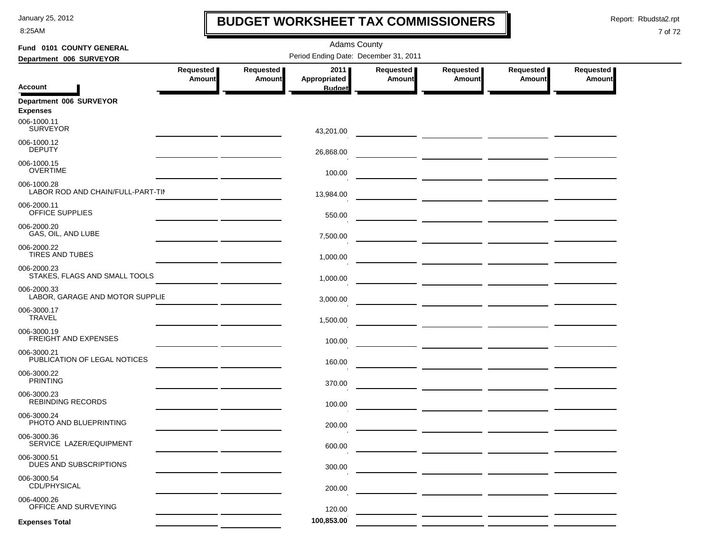8:25AM

### **BUDGET WORKSHEET TAX COMMISSIONERS**

Report: Rbudsta2.rpt

 $\mathbf I$ 

| Fund 0101 COUNTY GENERAL                         |                            |                            | <b>Adams County</b>                   |                     |                            |                            |                                   |
|--------------------------------------------------|----------------------------|----------------------------|---------------------------------------|---------------------|----------------------------|----------------------------|-----------------------------------|
| Department 006 SURVEYOR                          |                            |                            | Period Ending Date: December 31, 2011 |                     |                            |                            |                                   |
|                                                  | Requested<br><b>Amount</b> | Requested<br><b>Amount</b> | 2011<br>Appropriated                  | Requested<br>Amount | Requested<br><b>Amount</b> | Requested<br><b>Amount</b> | <b>Requested</b><br><b>Amount</b> |
| <b>Account</b>                                   |                            |                            | <b>Budget</b>                         |                     |                            |                            |                                   |
| Department 006 SURVEYOR<br><b>Expenses</b>       |                            |                            |                                       |                     |                            |                            |                                   |
| 006-1000.11<br><b>SURVEYOR</b>                   |                            |                            | 43,201.00                             |                     |                            |                            |                                   |
| 006-1000.12<br><b>DEPUTY</b>                     |                            |                            | 26,868.00                             |                     |                            |                            |                                   |
| 006-1000.15<br><b>OVERTIME</b>                   |                            |                            | 100.00                                |                     |                            |                            |                                   |
| 006-1000.28<br>LABOR ROD AND CHAIN/FULL-PART-TII |                            |                            | 13,984.00                             |                     |                            |                            |                                   |
| 006-2000.11<br>OFFICE SUPPLIES                   |                            |                            | 550.00                                |                     |                            |                            |                                   |
| 006-2000.20<br>GAS, OIL, AND LUBE                |                            |                            | 7,500.00                              |                     |                            |                            |                                   |
| 006-2000.22<br><b>TIRES AND TUBES</b>            |                            |                            | 1,000.00                              |                     |                            |                            |                                   |
| 006-2000.23<br>STAKES, FLAGS AND SMALL TOOLS     |                            |                            | 1,000.00                              |                     |                            |                            |                                   |
| 006-2000.33<br>LABOR, GARAGE AND MOTOR SUPPLIE   |                            |                            | 3,000.00                              |                     |                            |                            |                                   |
| 006-3000.17<br><b>TRAVEL</b>                     |                            |                            | 1,500.00                              |                     |                            |                            |                                   |
| 006-3000.19<br><b>FREIGHT AND EXPENSES</b>       |                            |                            | 100.00                                |                     |                            |                            |                                   |
| 006-3000.21<br>PUBLICATION OF LEGAL NOTICES      |                            |                            | 160.00                                |                     |                            |                            |                                   |
| 006-3000.22<br><b>PRINTING</b>                   |                            |                            | 370.00                                |                     |                            |                            |                                   |
| 006-3000.23<br><b>REBINDING RECORDS</b>          |                            |                            | 100.00                                |                     |                            |                            |                                   |
| 006-3000.24<br>PHOTO AND BLUEPRINTING            |                            |                            | 200.00                                |                     |                            |                            |                                   |
| 006-3000.36<br>SERVICE LAZER/EQUIPMENT           |                            |                            | 600.00                                |                     |                            |                            |                                   |
| 006-3000.51<br>DUES AND SUBSCRIPTIONS            |                            |                            | 300.00                                |                     |                            |                            |                                   |
| 006-3000.54<br><b>CDL/PHYSICAL</b>               |                            |                            | 200.00                                |                     |                            |                            |                                   |
| 006-4000.26<br>OFFICE AND SURVEYING              |                            |                            | 120.00                                |                     |                            |                            |                                   |
| <b>Expenses Total</b>                            |                            |                            | 100,853.00                            |                     |                            |                            |                                   |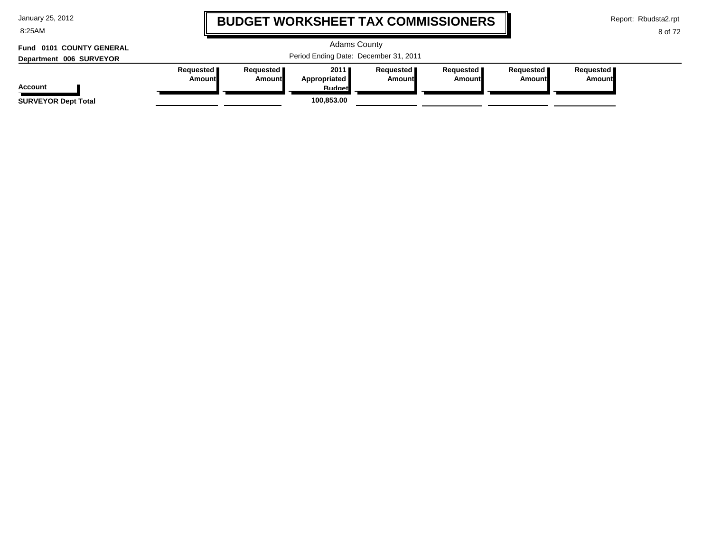| January 25, 2012 |  |  |
|------------------|--|--|
|------------------|--|--|

8:25AM

### **BUDGET WORKSHEET TAX COMMISSIONERS**

Report: Rbudsta2.rpt

#### 8 of 72

#### Adams County Period Ending Date: December 31, 2011 **Account Department 006 SURVEYOR Fund 0101 COUNTY GENERAL Requested Amount Requested Amount 2011 Appropriated Budget Requested Amount Requested Amount Requested Amount Requested Amount SURVEYOR Dept Total 100,853.00**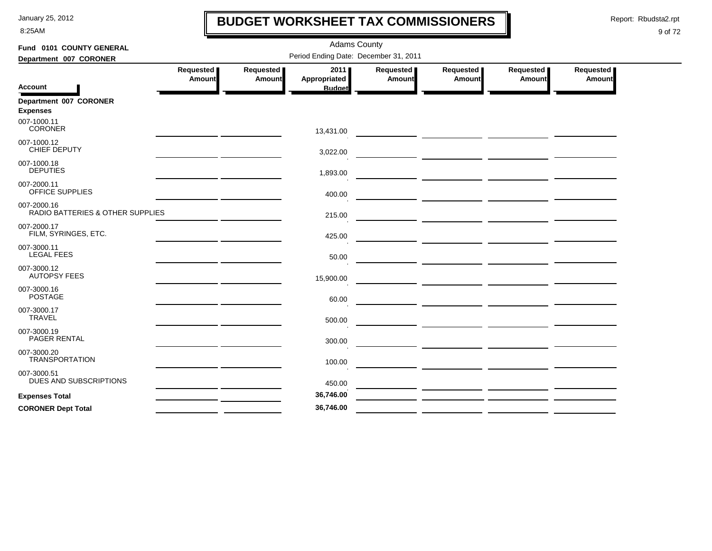8:25AM

## **BUDGET WORKSHEET TAX COMMISSIONERS**

Report: Rbudsta2.rpt

 $\mathbf l$ 

| Fund 0101 COUNTY GENERAL                        |                                       |                            | <b>Adams County</b>                          |                              |                                                                                                                      |                     |                     |  |
|-------------------------------------------------|---------------------------------------|----------------------------|----------------------------------------------|------------------------------|----------------------------------------------------------------------------------------------------------------------|---------------------|---------------------|--|
| Department 007 CORONER                          | Period Ending Date: December 31, 2011 |                            |                                              |                              |                                                                                                                      |                     |                     |  |
| <b>Account</b>                                  | Requested<br>Amount                   | Requested<br><b>Amount</b> | 2011<br><b>Appropriated</b><br><b>Budget</b> | Requested  <br><b>Amount</b> | Requested<br><b>Amount</b>                                                                                           | Requested<br>Amount | Requested<br>Amount |  |
| Department 007 CORONER<br><b>Expenses</b>       |                                       |                            |                                              |                              |                                                                                                                      |                     |                     |  |
| 007-1000.11<br><b>CORONER</b>                   |                                       |                            | 13,431.00                                    |                              |                                                                                                                      |                     |                     |  |
| 007-1000.12<br><b>CHIEF DEPUTY</b>              |                                       |                            | 3,022.00                                     |                              |                                                                                                                      |                     |                     |  |
| 007-1000.18<br><b>DEPUTIES</b>                  |                                       |                            | 1,893.00                                     |                              |                                                                                                                      |                     |                     |  |
| 007-2000.11<br><b>OFFICE SUPPLIES</b>           |                                       |                            | 400.00                                       |                              | <u> 1980 - Johann Stein, marwolaethau a bhann an t-Amhair ann an t-Amhair an t-Amhair an t-Amhair an t-Amhair an</u> |                     |                     |  |
| 007-2000.16<br>RADIO BATTERIES & OTHER SUPPLIES |                                       |                            | 215.00                                       |                              |                                                                                                                      |                     |                     |  |
| 007-2000.17<br>FILM, SYRINGES, ETC.             |                                       |                            | 425.00                                       |                              |                                                                                                                      |                     |                     |  |
| 007-3000.11<br><b>LEGAL FEES</b>                |                                       |                            | 50.00                                        |                              |                                                                                                                      |                     |                     |  |
| 007-3000.12<br><b>AUTOPSY FEES</b>              |                                       |                            | 15,900.00                                    |                              |                                                                                                                      |                     |                     |  |
| 007-3000.16<br><b>POSTAGE</b>                   |                                       |                            | 60.00                                        |                              |                                                                                                                      |                     |                     |  |
| 007-3000.17<br><b>TRAVEL</b>                    |                                       |                            | 500.00                                       |                              |                                                                                                                      |                     |                     |  |
| 007-3000.19<br><b>PAGER RENTAL</b>              |                                       |                            | 300.00                                       |                              |                                                                                                                      |                     |                     |  |
| 007-3000.20<br><b>TRANSPORTATION</b>            |                                       |                            | 100.00                                       |                              | <u> 1989 - Andrea State Barbara, poeta esperanto-</u>                                                                |                     |                     |  |
| 007-3000.51<br>DUES AND SUBSCRIPTIONS           |                                       |                            | 450.00                                       |                              |                                                                                                                      |                     |                     |  |
| <b>Expenses Total</b>                           |                                       |                            | 36,746.00                                    |                              |                                                                                                                      |                     |                     |  |
| <b>CORONER Dept Total</b>                       |                                       |                            | 36,746.00                                    |                              |                                                                                                                      |                     |                     |  |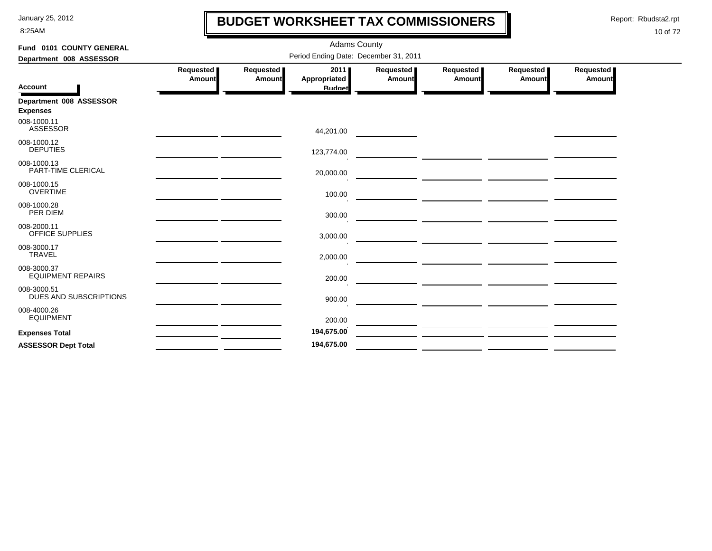8:25AM

### **BUDGET WORKSHEET TAX COMMISSIONERS**

Report: Rbudsta2.rpt

 $\mathbf l$ 

| Fund 0101 COUNTY GENERAL                   |                     |                     | <b>Adams County</b>                   |                     |                                                                                                                        |                     |                            |
|--------------------------------------------|---------------------|---------------------|---------------------------------------|---------------------|------------------------------------------------------------------------------------------------------------------------|---------------------|----------------------------|
| Department 008 ASSESSOR                    |                     |                     | Period Ending Date: December 31, 2011 |                     |                                                                                                                        |                     |                            |
|                                            | Requested<br>Amount | Requested<br>Amount | 2011<br>Appropriated                  | Requested<br>Amount | Requested<br>Amount                                                                                                    | Requested<br>Amount | Requested<br><b>Amount</b> |
| <b>Account</b>                             |                     |                     | <b>Budget</b>                         |                     |                                                                                                                        |                     |                            |
| Department 008 ASSESSOR<br><b>Expenses</b> |                     |                     |                                       |                     |                                                                                                                        |                     |                            |
| 008-1000.11<br><b>ASSESSOR</b>             |                     |                     | 44,201.00                             |                     |                                                                                                                        |                     |                            |
| 008-1000.12<br><b>DEPUTIES</b>             |                     |                     | 123,774.00                            |                     | <u> 1990 - Jan Alexandro II, politik američki po</u>                                                                   |                     |                            |
| 008-1000.13<br>PART-TIME CLERICAL          |                     |                     | 20,000.00                             |                     |                                                                                                                        |                     |                            |
| 008-1000.15<br><b>OVERTIME</b>             |                     |                     | 100.00                                |                     |                                                                                                                        |                     |                            |
| 008-1000.28<br>PER DIEM                    |                     |                     | 300.00                                |                     |                                                                                                                        |                     |                            |
| 008-2000.11<br><b>OFFICE SUPPLIES</b>      |                     |                     | 3,000.00                              |                     |                                                                                                                        |                     |                            |
| 008-3000.17<br><b>TRAVEL</b>               |                     |                     | 2,000.00                              |                     | <u> The Common State of the Common State of the Common State of the Common State of the Common State of the Common</u> |                     |                            |
| 008-3000.37<br><b>EQUIPMENT REPAIRS</b>    |                     |                     | 200.00                                |                     |                                                                                                                        |                     |                            |
| 008-3000.51<br>DUES AND SUBSCRIPTIONS      |                     |                     | 900.00                                |                     | <u> 1980 - Johann Barbara, marka a shekara tsara 1980 - An tsara 1980 - An tsara 1980 - An tsara 1980 - An tsara</u>   |                     |                            |
| 008-4000.26<br><b>EQUIPMENT</b>            |                     |                     | 200.00                                |                     |                                                                                                                        |                     |                            |
| <b>Expenses Total</b>                      |                     |                     | 194,675.00                            |                     | the contract of the contract of the contract of the contract of the contract of the contract of the contract of        |                     |                            |
| <b>ASSESSOR Dept Total</b>                 |                     |                     | 194,675.00                            |                     |                                                                                                                        |                     |                            |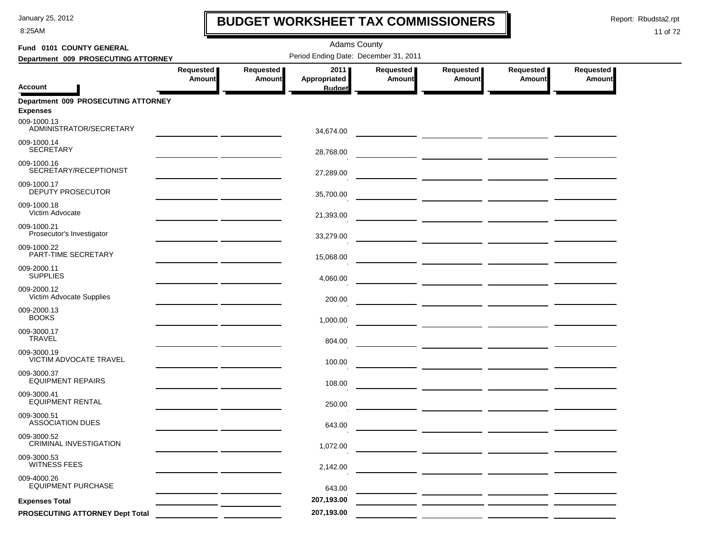8:25AM

### **BUDGET WORKSHEET TAX COMMISSIONERS**

Report: Rbudsta2.rpt

 $\mathbf l$ 

| Fund 0101 COUNTY GENERAL                               |                            |                     |                                       |                            |                                                                                                                                                                                                                                      |                            |                            |
|--------------------------------------------------------|----------------------------|---------------------|---------------------------------------|----------------------------|--------------------------------------------------------------------------------------------------------------------------------------------------------------------------------------------------------------------------------------|----------------------------|----------------------------|
| Department 009 PROSECUTING ATTORNEY                    |                            |                     | Period Ending Date: December 31, 2011 |                            |                                                                                                                                                                                                                                      |                            |                            |
| Account                                                | Requested<br><b>Amount</b> | Requested<br>Amount | 2011<br>Appropriated<br><b>Budget</b> | Requested<br><b>Amount</b> | Requested<br><b>Amount</b>                                                                                                                                                                                                           | Requested<br><b>Amount</b> | Requested<br><b>Amount</b> |
| Department 009 PROSECUTING ATTORNEY<br><b>Expenses</b> |                            |                     |                                       |                            |                                                                                                                                                                                                                                      |                            |                            |
| 009-1000.13<br>ADMINISTRATOR/SECRETARY                 |                            |                     | 34,674.00                             |                            |                                                                                                                                                                                                                                      |                            |                            |
| 009-1000.14<br><b>SECRETARY</b>                        |                            |                     | 28,768.00                             |                            |                                                                                                                                                                                                                                      |                            |                            |
| 009-1000.16<br>SECRETARY/RECEPTIONIST                  |                            |                     | 27,289.00                             |                            |                                                                                                                                                                                                                                      |                            |                            |
| 009-1000.17<br><b>DEPUTY PROSECUTOR</b>                |                            |                     | 35,700.00                             |                            | <u> The Common State of the Common State of the Common State of the Common State of the Common State of the Common State of the Common State of the Common State of the Common State of the Common State of the Common State of </u> |                            |                            |
| 009-1000.18<br>Victim Advocate                         |                            |                     | 21,393.00                             |                            | <u> The Common State of the Common State of the Common State of the Common State of the Common State of the Common State of the Common State of the Common State of the Common State of the Common State of the Common State of </u> |                            |                            |
| 009-1000.21<br>Prosecutor's Investigator               |                            |                     | 33,279.00                             |                            |                                                                                                                                                                                                                                      |                            |                            |
| 009-1000.22<br>PART-TIME SECRETARY                     |                            |                     | 15,068.00                             |                            |                                                                                                                                                                                                                                      |                            |                            |
| 009-2000.11<br><b>SUPPLIES</b>                         |                            |                     | 4,060.00                              |                            |                                                                                                                                                                                                                                      |                            |                            |
| 009-2000.12<br>Victim Advocate Supplies                |                            |                     | 200.00                                |                            |                                                                                                                                                                                                                                      |                            |                            |
| 009-2000.13<br><b>BOOKS</b>                            |                            |                     | 1,000.00                              |                            |                                                                                                                                                                                                                                      |                            |                            |
| 009-3000.17<br><b>TRAVEL</b>                           |                            |                     | 804.00                                |                            |                                                                                                                                                                                                                                      |                            |                            |
| 009-3000.19<br>VICTIM ADVOCATE TRAVEL                  |                            |                     | 100.00                                |                            |                                                                                                                                                                                                                                      |                            |                            |
| 009-3000.37<br><b>EQUIPMENT REPAIRS</b>                |                            |                     | 108.00                                |                            |                                                                                                                                                                                                                                      |                            |                            |
| 009-3000.41<br><b>EQUIPMENT RENTAL</b>                 |                            |                     | 250.00                                |                            | — <u>— — — — — — — — — — — — —</u>                                                                                                                                                                                                   |                            |                            |
| 009-3000.51<br><b>ASSOCIATION DUES</b>                 |                            |                     | 643.00                                |                            |                                                                                                                                                                                                                                      |                            |                            |
| 009-3000.52<br>CRIMINAL INVESTIGATION                  |                            |                     | 1,072.00                              |                            |                                                                                                                                                                                                                                      |                            |                            |
| 009-3000.53<br><b>WITNESS FEES</b>                     |                            |                     | 2,142.00                              |                            |                                                                                                                                                                                                                                      |                            |                            |
| 009-4000.26<br><b>EQUIPMENT PURCHASE</b>               |                            |                     | 643.00                                |                            |                                                                                                                                                                                                                                      |                            |                            |
| <b>Expenses Total</b>                                  |                            |                     | 207,193.00                            |                            |                                                                                                                                                                                                                                      |                            |                            |
| PROSECUTING ATTORNEY Dept Total                        |                            |                     | 207,193.00                            |                            |                                                                                                                                                                                                                                      |                            |                            |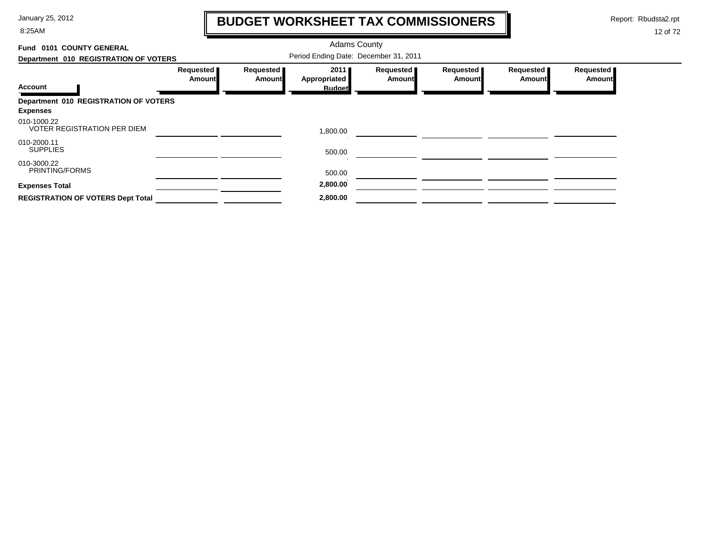8:25AM

# **BUDGET WORKSHEET TAX COMMISSIONERS**

Report: Rbudsta2.rpt

 $\mathbf \mathbf I$ 

| 0101 COUNTY GENERAL<br>Fund                       |                                       |                     |                      |                            |                            |                     |                            |  |  |
|---------------------------------------------------|---------------------------------------|---------------------|----------------------|----------------------------|----------------------------|---------------------|----------------------------|--|--|
| Department 010 REGISTRATION OF VOTERS             | Period Ending Date: December 31, 2011 |                     |                      |                            |                            |                     |                            |  |  |
|                                                   | Requested<br><b>Amount</b>            | Requested<br>Amount | 2011<br>Appropriated | Requested<br><b>Amount</b> | Requested<br><b>Amount</b> | Requested<br>Amount | Requested<br><b>Amount</b> |  |  |
| <b>Account</b>                                    |                                       |                     | <b>Budget</b>        |                            |                            |                     |                            |  |  |
| Department 010 REGISTRATION OF VOTERS             |                                       |                     |                      |                            |                            |                     |                            |  |  |
| <b>Expenses</b>                                   |                                       |                     |                      |                            |                            |                     |                            |  |  |
| 010-1000.22<br><b>VOTER REGISTRATION PER DIEM</b> |                                       |                     | 1,800.00             |                            |                            |                     |                            |  |  |
| 010-2000.11<br><b>SUPPLIES</b>                    |                                       |                     | 500.00               |                            |                            |                     |                            |  |  |
| 010-3000.22<br>PRINTING/FORMS                     |                                       |                     | 500.00               |                            |                            |                     |                            |  |  |
| <b>Expenses Total</b>                             |                                       |                     | 2,800.00             |                            |                            |                     |                            |  |  |
| <b>REGISTRATION OF VOTERS Dept Total</b>          |                                       |                     | 2,800.00             |                            |                            |                     |                            |  |  |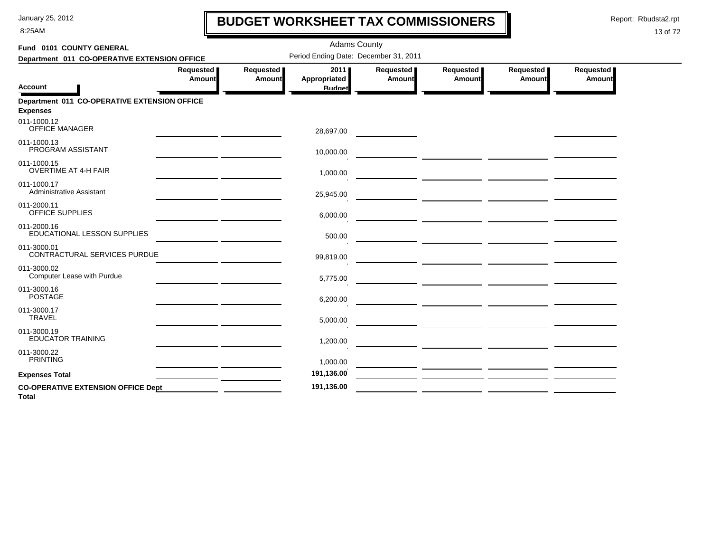8:25AM

# **BUDGET WORKSHEET TAX COMMISSIONERS**

Report: Rbudsta2.rpt

 $\mathbf l$ 

| Fund 0101 COUNTY GENERAL                                  |                            |                     | <b>Adams County</b>                   |                     |                                                                                                                       |                     |                     |
|-----------------------------------------------------------|----------------------------|---------------------|---------------------------------------|---------------------|-----------------------------------------------------------------------------------------------------------------------|---------------------|---------------------|
| Department 011 CO-OPERATIVE EXTENSION OFFICE              |                            |                     | Period Ending Date: December 31, 2011 |                     |                                                                                                                       |                     |                     |
| <b>Account</b>                                            | Requested<br><b>Amount</b> | Requested<br>Amount | 2011<br>Appropriated<br><b>Budget</b> | Requested<br>Amount | Requested<br>Amount                                                                                                   | Requested<br>Amount | Requested<br>Amount |
| Department 011 CO-OPERATIVE EXTENSION OFFICE              |                            |                     |                                       |                     |                                                                                                                       |                     |                     |
| <b>Expenses</b>                                           |                            |                     |                                       |                     |                                                                                                                       |                     |                     |
| 011-1000.12<br><b>OFFICE MANAGER</b>                      |                            |                     | 28,697.00                             |                     |                                                                                                                       |                     |                     |
| 011-1000.13<br>PROGRAM ASSISTANT                          |                            |                     | 10,000.00                             |                     |                                                                                                                       |                     |                     |
| 011-1000.15<br><b>OVERTIME AT 4-H FAIR</b>                |                            |                     | 1,000.00                              |                     |                                                                                                                       |                     |                     |
| 011-1000.17<br>Administrative Assistant                   |                            |                     | 25,945.00                             |                     |                                                                                                                       |                     |                     |
| 011-2000.11<br>OFFICE SUPPLIES                            |                            |                     | 6,000.00                              |                     | <u> Andreas Andreas and Andreas Andreas and Andreas and Andreas and Andreas and Andreas and Andreas and Andreas A</u> |                     |                     |
| 011-2000.16<br>EDUCATIONAL LESSON SUPPLIES                |                            |                     | 500.00                                |                     |                                                                                                                       |                     |                     |
| 011-3000.01<br>CONTRACTURAL SERVICES PURDUE               |                            |                     | 99,819.00                             |                     |                                                                                                                       |                     |                     |
| 011-3000.02<br>Computer Lease with Purdue                 |                            |                     | 5,775.00                              |                     |                                                                                                                       |                     |                     |
| 011-3000.16<br><b>POSTAGE</b>                             |                            |                     | 6,200.00                              |                     |                                                                                                                       |                     |                     |
| 011-3000.17<br><b>TRAVEL</b>                              |                            |                     | 5,000.00                              |                     |                                                                                                                       |                     |                     |
| 011-3000.19<br>EDUCATOR TRAINING                          |                            |                     | 1,200.00                              |                     |                                                                                                                       |                     |                     |
| 011-3000.22<br><b>PRINTING</b>                            |                            |                     | 1,000.00                              |                     |                                                                                                                       |                     |                     |
| <b>Expenses Total</b>                                     |                            |                     | 191,136.00                            |                     |                                                                                                                       |                     |                     |
| <b>CO-OPERATIVE EXTENSION OFFICE Dept</b><br><b>Total</b> |                            |                     | 191,136.00                            |                     |                                                                                                                       |                     |                     |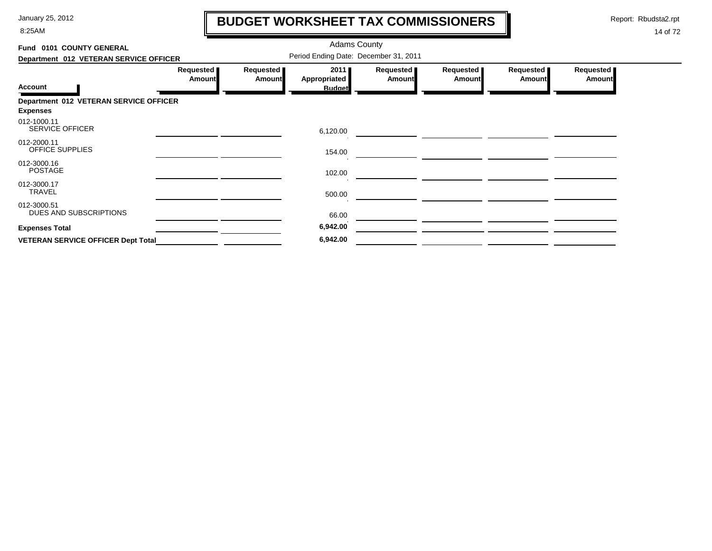8:25AM

# **BUDGET WORKSHEET TAX COMMISSIONERS**

Report: Rbudsta2.rpt

 $\mathbf \mathbf I$ 

| Fund 0101 COUNTY GENERAL                                  |                                       |                     | <b>Adams County</b>  |                            |                     |                     |                     |  |  |
|-----------------------------------------------------------|---------------------------------------|---------------------|----------------------|----------------------------|---------------------|---------------------|---------------------|--|--|
| Department 012 VETERAN SERVICE OFFICER                    | Period Ending Date: December 31, 2011 |                     |                      |                            |                     |                     |                     |  |  |
| <b>Account</b>                                            | Requested  <br>Amount                 | Requested<br>Amount | 2011<br>Appropriated | Requested<br><b>Amount</b> | Requested<br>Amount | Requested<br>Amount | Requested<br>Amount |  |  |
|                                                           |                                       |                     | <b>Budget</b>        |                            |                     |                     |                     |  |  |
| Department 012 VETERAN SERVICE OFFICER<br><b>Expenses</b> |                                       |                     |                      |                            |                     |                     |                     |  |  |
| 012-1000.11<br><b>SERVICE OFFICER</b>                     |                                       |                     | 6,120.00             |                            |                     |                     |                     |  |  |
| 012-2000.11<br>OFFICE SUPPLIES                            |                                       |                     | 154.00               |                            |                     |                     |                     |  |  |
| 012-3000.16<br><b>POSTAGE</b>                             |                                       |                     | 102.00               |                            |                     |                     |                     |  |  |
| 012-3000.17<br><b>TRAVEL</b>                              |                                       |                     | 500.00               |                            |                     |                     |                     |  |  |
| 012-3000.51<br>DUES AND SUBSCRIPTIONS                     |                                       |                     | 66.00                |                            |                     |                     |                     |  |  |
| <b>Expenses Total</b>                                     |                                       |                     | 6,942.00             |                            |                     |                     |                     |  |  |
| <b>VETERAN SERVICE OFFICER Dept Total</b>                 |                                       |                     | 6,942.00             |                            |                     |                     |                     |  |  |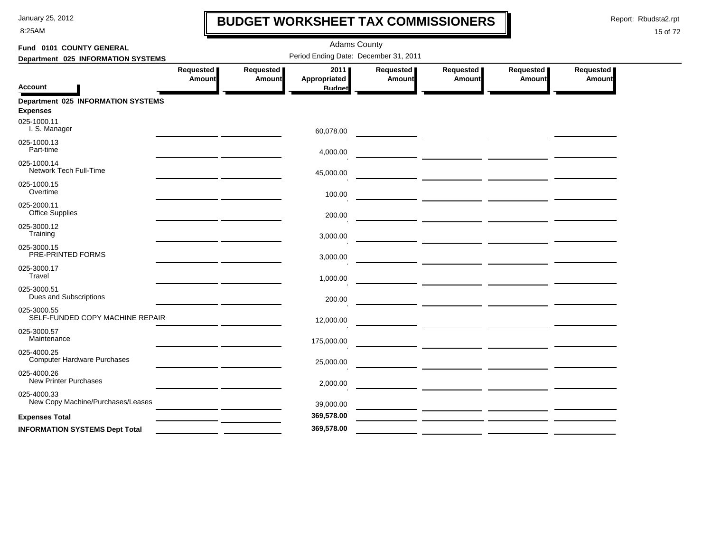8:25AM

## **BUDGET WORKSHEET TAX COMMISSIONERS**

Report: Rbudsta2.rpt

 $\mathbf l$ 

| Fund 0101 COUNTY GENERAL                                     |                     |                     | <b>Adams County</b>                   |                     |                                                                                                                       |                     |                            |
|--------------------------------------------------------------|---------------------|---------------------|---------------------------------------|---------------------|-----------------------------------------------------------------------------------------------------------------------|---------------------|----------------------------|
| Department 025 INFORMATION SYSTEMS                           |                     |                     | Period Ending Date: December 31, 2011 |                     |                                                                                                                       |                     |                            |
|                                                              | Requested<br>Amount | Requested<br>Amount | 2011<br>Appropriated                  | Requested<br>Amount | Requested<br><b>Amount</b>                                                                                            | Requested<br>Amount | Requested<br><b>Amount</b> |
| Account                                                      |                     |                     | <b>Budget</b>                         |                     |                                                                                                                       |                     |                            |
| <b>Department 025 INFORMATION SYSTEMS</b><br><b>Expenses</b> |                     |                     |                                       |                     |                                                                                                                       |                     |                            |
| 025-1000.11<br>I. S. Manager                                 |                     |                     | 60,078.00                             |                     |                                                                                                                       |                     |                            |
| 025-1000.13<br>Part-time                                     |                     |                     | 4,000.00                              |                     |                                                                                                                       |                     |                            |
| 025-1000.14<br>Network Tech Full-Time                        |                     |                     | 45,000.00                             |                     |                                                                                                                       |                     |                            |
| 025-1000.15<br>Overtime                                      |                     |                     | 100.00                                |                     |                                                                                                                       |                     |                            |
| 025-2000.11<br><b>Office Supplies</b>                        |                     |                     | 200.00                                |                     |                                                                                                                       |                     |                            |
| 025-3000.12<br>Training                                      |                     |                     | 3,000.00                              |                     |                                                                                                                       |                     |                            |
| 025-3000.15<br>PRE-PRINTED FORMS                             |                     |                     | 3,000.00                              |                     |                                                                                                                       |                     |                            |
| 025-3000.17<br>Travel                                        |                     |                     | 1,000.00                              |                     |                                                                                                                       |                     |                            |
| 025-3000.51<br>Dues and Subscriptions                        |                     |                     | 200.00                                |                     |                                                                                                                       |                     |                            |
| 025-3000.55<br>SELF-FUNDED COPY MACHINE REPAIR               |                     |                     | 12,000.00                             |                     |                                                                                                                       |                     |                            |
| 025-3000.57<br>Maintenance                                   |                     |                     | 175,000.00                            |                     |                                                                                                                       |                     |                            |
| 025-4000.25<br><b>Computer Hardware Purchases</b>            |                     |                     | 25,000.00                             |                     |                                                                                                                       |                     |                            |
| 025-4000.26<br><b>New Printer Purchases</b>                  |                     |                     | 2,000.00                              |                     |                                                                                                                       |                     |                            |
| 025-4000.33<br>New Copy Machine/Purchases/Leases             |                     |                     | 39,000.00                             |                     |                                                                                                                       |                     |                            |
| <b>Expenses Total</b>                                        |                     |                     | 369,578.00                            |                     | <u> 2002 - Andrea State Barbara, amerikan personal personal personal personal personal personal personal personal</u> |                     |                            |
| <b>INFORMATION SYSTEMS Dept Total</b>                        |                     |                     | 369,578.00                            |                     |                                                                                                                       |                     |                            |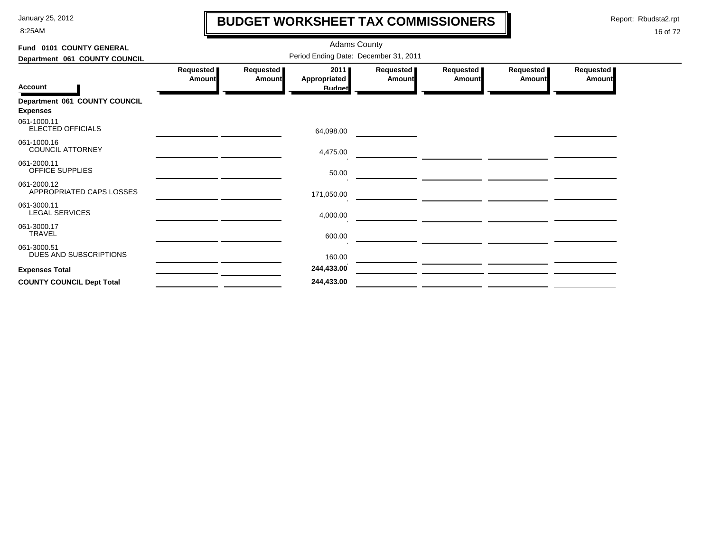8:25AM

## **BUDGET WORKSHEET TAX COMMISSIONERS**

Report: Rbudsta2.rpt

 $\mathbf \mathbf I$ 

| Fund 0101 COUNTY GENERAL                         |                                       |                            |                                       |                     |                            |                     |                            |  |  |  |  |
|--------------------------------------------------|---------------------------------------|----------------------------|---------------------------------------|---------------------|----------------------------|---------------------|----------------------------|--|--|--|--|
| Department 061 COUNTY COUNCIL                    | Period Ending Date: December 31, 2011 |                            |                                       |                     |                            |                     |                            |  |  |  |  |
| <b>Account</b>                                   | Requested<br><b>Amount</b>            | Requested<br><b>Amount</b> | 2011<br>Appropriated<br><b>Budget</b> | Requested<br>Amount | Requested<br><b>Amount</b> | Requested<br>Amount | Requested<br><b>Amount</b> |  |  |  |  |
| Department 061 COUNTY COUNCIL<br><b>Expenses</b> |                                       |                            |                                       |                     |                            |                     |                            |  |  |  |  |
| 061-1000.11<br><b>ELECTED OFFICIALS</b>          |                                       |                            | 64,098.00                             |                     |                            |                     |                            |  |  |  |  |
| 061-1000.16<br><b>COUNCIL ATTORNEY</b>           |                                       |                            | 4,475.00                              |                     |                            |                     |                            |  |  |  |  |
| 061-2000.11<br>OFFICE SUPPLIES                   |                                       |                            | 50.00                                 |                     |                            |                     |                            |  |  |  |  |
| 061-2000.12<br>APPROPRIATED CAPS LOSSES          |                                       |                            | 171,050.00                            |                     |                            |                     |                            |  |  |  |  |
| 061-3000.11<br><b>LEGAL SERVICES</b>             |                                       |                            | 4,000.00                              |                     |                            |                     |                            |  |  |  |  |
| 061-3000.17<br><b>TRAVEL</b>                     |                                       |                            | 600.00                                |                     |                            |                     |                            |  |  |  |  |
| 061-3000.51<br>DUES AND SUBSCRIPTIONS            |                                       |                            | 160.00                                |                     |                            |                     |                            |  |  |  |  |
| <b>Expenses Total</b>                            |                                       |                            | 244,433.00                            |                     |                            |                     |                            |  |  |  |  |
| <b>COUNTY COUNCIL Dept Total</b>                 |                                       |                            | 244,433.00                            |                     |                            |                     |                            |  |  |  |  |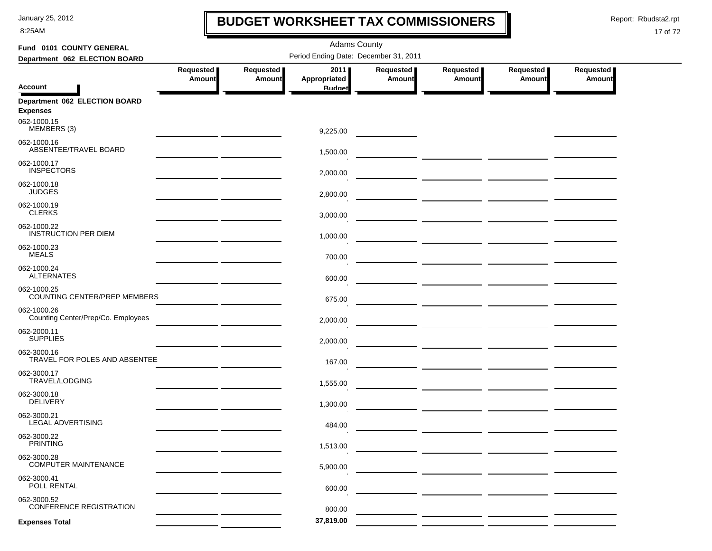8:25AM

### **BUDGET WORKSHEET TAX COMMISSIONERS**

Report: Rbudsta2.rpt

 $\mathbf I$ 

| Fund 0101 COUNTY GENERAL                          |                            |                            |                                       |                            |                                        |                            |                            |
|---------------------------------------------------|----------------------------|----------------------------|---------------------------------------|----------------------------|----------------------------------------|----------------------------|----------------------------|
| Department 062 ELECTION BOARD                     |                            |                            | Period Ending Date: December 31, 2011 |                            |                                        |                            |                            |
|                                                   | Requested<br><b>Amount</b> | Requested<br><b>Amount</b> | 2011<br>Appropriated                  | Requested<br><b>Amount</b> | Requested<br><b>Amount</b>             | Requested<br><b>Amount</b> | Requested<br><b>Amount</b> |
| <b>Account</b>                                    |                            |                            | <b>Budget</b>                         |                            |                                        |                            |                            |
| Department 062 ELECTION BOARD<br><b>Expenses</b>  |                            |                            |                                       |                            |                                        |                            |                            |
| 062-1000.15<br>MEMBERS (3)                        |                            |                            | 9,225.00                              |                            |                                        |                            |                            |
| 062-1000.16<br>ABSENTEE/TRAVEL BOARD              |                            |                            | 1,500.00                              |                            |                                        |                            |                            |
| 062-1000.17<br><b>INSPECTORS</b>                  |                            |                            | 2,000.00                              |                            |                                        |                            |                            |
| 062-1000.18<br><b>JUDGES</b>                      |                            |                            | 2,800.00                              |                            |                                        |                            |                            |
| 062-1000.19<br><b>CLERKS</b>                      |                            |                            | 3,000.00                              |                            | — <u>— ——————</u> <u>———————</u>       |                            |                            |
| 062-1000.22<br><b>INSTRUCTION PER DIEM</b>        |                            |                            | 1,000.00                              |                            |                                        |                            |                            |
| 062-1000.23<br>MEALS                              |                            |                            | 700.00                                |                            |                                        |                            |                            |
| 062-1000.24<br><b>ALTERNATES</b>                  |                            |                            | 600.00                                |                            |                                        |                            |                            |
| 062-1000.25<br>COUNTING CENTER/PREP MEMBERS       |                            |                            | 675.00                                |                            |                                        |                            |                            |
| 062-1000.26<br>Counting Center/Prep/Co. Employees |                            |                            | 2,000.00                              |                            | — <u>— —————</u> <u>——————</u> ——————  |                            |                            |
| 062-2000.11<br><b>SUPPLIES</b>                    |                            |                            | 2,000.00                              |                            |                                        |                            |                            |
| 062-3000.16<br>TRAVEL FOR POLES AND ABSENTEE      |                            |                            | 167.00                                |                            |                                        |                            |                            |
| 062-3000.17<br>TRAVEL/LODGING                     |                            |                            | 1,555.00                              |                            | — <u>— — — — — — — — — — — — — — —</u> |                            |                            |
| 062-3000.18<br><b>DELIVERY</b>                    |                            |                            | 1,300.00                              |                            |                                        |                            |                            |
| 062-3000.21<br><b>LEGAL ADVERTISING</b>           |                            |                            | 484.00                                |                            |                                        |                            |                            |
| 062-3000.22<br><b>PRINTING</b>                    |                            |                            | 1,513.00                              |                            |                                        |                            |                            |
| 062-3000.28<br><b>COMPUTER MAINTENANCE</b>        |                            |                            | 5,900.00                              |                            |                                        |                            |                            |
| 062-3000.41<br>POLL RENTAL                        |                            |                            | 600.00                                |                            |                                        |                            |                            |
| 062-3000.52<br><b>CONFERENCE REGISTRATION</b>     |                            |                            | 800.00                                |                            |                                        |                            |                            |
| <b>Expenses Total</b>                             |                            |                            | 37,819.00                             |                            |                                        |                            |                            |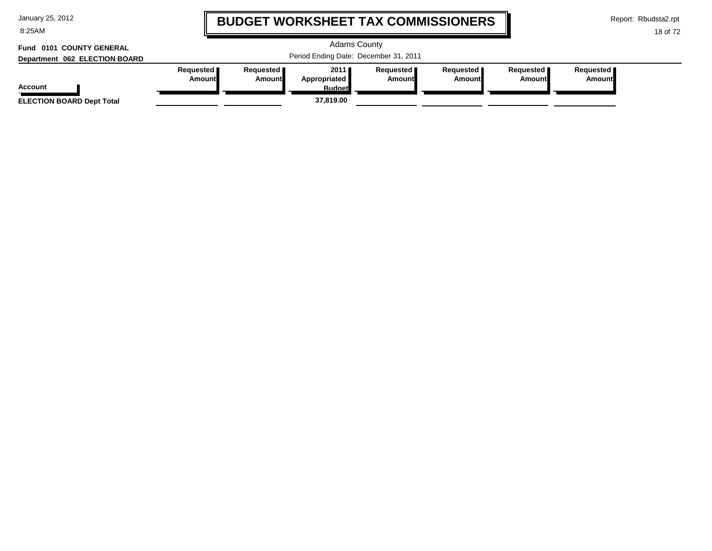8:25AM

### **BUDGET WORKSHEET TAX COMMISSIONERS**

Report: Rbudsta2.rpt

```
18 of 72
```
#### Adams County Period Ending Date: December 31, 2011 **Account Department 062 ELECTION BOARD Fund 0101 COUNTY GENERAL Requested Amount Requested Amount 2011 Appropriated Budget Requested Amount Requested Amount Requested Amount Requested Amount ELECTION BOARD Dept Total 37,819.00**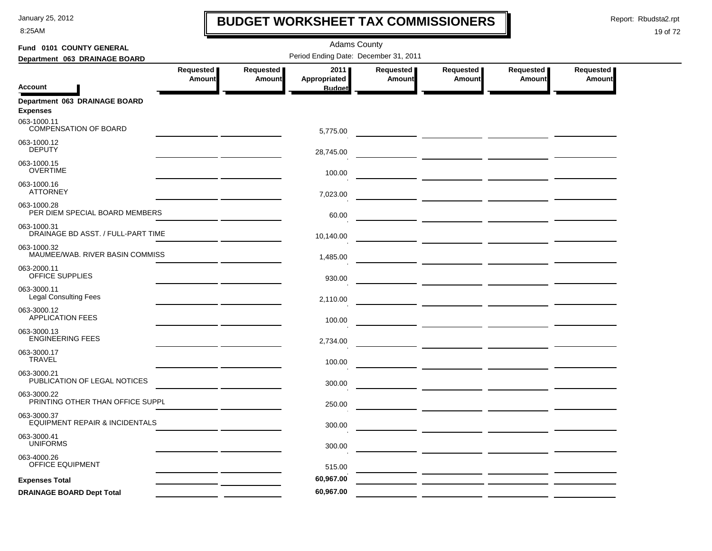8:25AM

## **BUDGET WORKSHEET TAX COMMISSIONERS**

Report: Rbudsta2.rpt

 $\mathbf l$ 

| Fund 0101 COUNTY GENERAL                                 | <b>Adams County</b>                   |                     |                                       |                     |                                                                                                                       |                     |                     |  |  |  |  |
|----------------------------------------------------------|---------------------------------------|---------------------|---------------------------------------|---------------------|-----------------------------------------------------------------------------------------------------------------------|---------------------|---------------------|--|--|--|--|
| Department 063 DRAINAGE BOARD                            | Period Ending Date: December 31, 2011 |                     |                                       |                     |                                                                                                                       |                     |                     |  |  |  |  |
| <b>Account</b>                                           | Requested<br>Amount                   | Requested<br>Amount | 2011<br>Appropriated<br><b>Budget</b> | Requested<br>Amount | Requested<br>Amount                                                                                                   | Requested<br>Amount | Requested<br>Amount |  |  |  |  |
| Department 063 DRAINAGE BOARD<br><b>Expenses</b>         |                                       |                     |                                       |                     |                                                                                                                       |                     |                     |  |  |  |  |
| 063-1000.11<br><b>COMPENSATION OF BOARD</b>              |                                       |                     | 5,775.00                              |                     |                                                                                                                       |                     |                     |  |  |  |  |
| 063-1000.12<br><b>DEPUTY</b>                             |                                       |                     | 28,745.00                             |                     |                                                                                                                       |                     |                     |  |  |  |  |
| 063-1000.15<br><b>OVERTIME</b>                           |                                       |                     | 100.00                                |                     |                                                                                                                       |                     |                     |  |  |  |  |
| 063-1000.16<br><b>ATTORNEY</b>                           |                                       |                     | 7,023.00                              |                     |                                                                                                                       |                     |                     |  |  |  |  |
| 063-1000.28<br>PER DIEM SPECIAL BOARD MEMBERS            |                                       |                     | 60.00                                 |                     |                                                                                                                       |                     |                     |  |  |  |  |
| 063-1000.31<br>DRAINAGE BD ASST. / FULL-PART TIME        |                                       |                     | 10,140.00                             |                     |                                                                                                                       |                     |                     |  |  |  |  |
| 063-1000.32<br>MAUMEE/WAB. RIVER BASIN COMMISS           |                                       |                     | 1,485.00                              |                     |                                                                                                                       |                     |                     |  |  |  |  |
| 063-2000.11<br>OFFICE SUPPLIES                           |                                       |                     | 930.00                                |                     |                                                                                                                       |                     |                     |  |  |  |  |
| 063-3000.11<br><b>Legal Consulting Fees</b>              |                                       |                     | 2,110.00                              |                     |                                                                                                                       |                     |                     |  |  |  |  |
| 063-3000.12<br><b>APPLICATION FEES</b>                   |                                       |                     | 100.00                                |                     |                                                                                                                       |                     |                     |  |  |  |  |
| 063-3000.13<br><b>ENGINEERING FEES</b>                   |                                       |                     | 2,734.00                              |                     | <u> De la Carlo de la Carlo de la Carlo de la Carlo de la Carlo de la Carlo de la Carlo de la Carlo de la Carlo d</u> |                     |                     |  |  |  |  |
| 063-3000.17<br><b>TRAVEL</b>                             |                                       |                     | 100.00                                |                     |                                                                                                                       |                     |                     |  |  |  |  |
| 063-3000.21<br>PUBLICATION OF LEGAL NOTICES              |                                       |                     | 300.00                                |                     |                                                                                                                       |                     |                     |  |  |  |  |
| 063-3000.22<br>PRINTING OTHER THAN OFFICE SUPPL          |                                       |                     | 250.00                                |                     |                                                                                                                       |                     |                     |  |  |  |  |
| 063-3000.37<br><b>EQUIPMENT REPAIR &amp; INCIDENTALS</b> |                                       |                     | 300.00                                |                     |                                                                                                                       |                     |                     |  |  |  |  |
| 063-3000.41<br><b>UNIFORMS</b>                           |                                       |                     | 300.00                                |                     |                                                                                                                       |                     |                     |  |  |  |  |
| 063-4000.26<br>OFFICE EQUIPMENT                          |                                       |                     | 515.00                                |                     |                                                                                                                       |                     |                     |  |  |  |  |
| <b>Expenses Total</b>                                    |                                       |                     | 60,967.00                             |                     |                                                                                                                       |                     |                     |  |  |  |  |
| <b>DRAINAGE BOARD Dept Total</b>                         |                                       |                     | 60,967.00                             |                     |                                                                                                                       |                     |                     |  |  |  |  |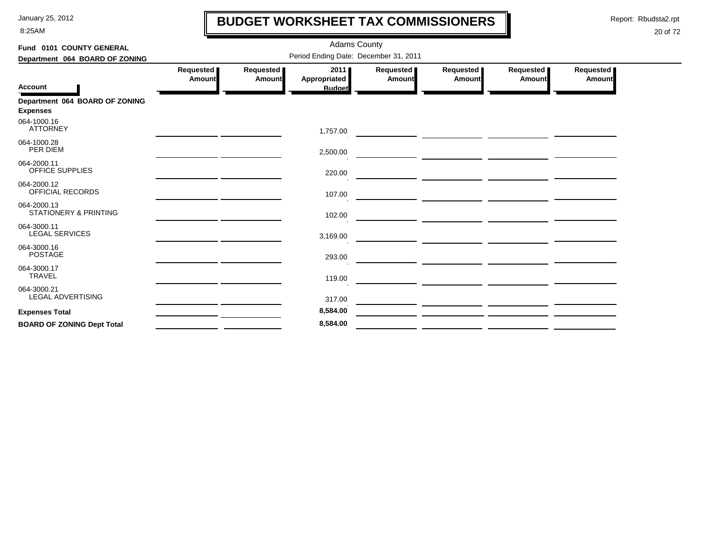8:25AM

# **BUDGET WORKSHEET TAX COMMISSIONERS**

Report: Rbudsta2.rpt

 $\mathbf l$ 

| Fund 0101 COUNTY GENERAL                          | <b>Adams County</b>                   |                     |                      |                            |                                                                                                                      |                     |                     |  |  |  |
|---------------------------------------------------|---------------------------------------|---------------------|----------------------|----------------------------|----------------------------------------------------------------------------------------------------------------------|---------------------|---------------------|--|--|--|
| Department 064 BOARD OF ZONING                    | Period Ending Date: December 31, 2011 |                     |                      |                            |                                                                                                                      |                     |                     |  |  |  |
|                                                   | Requested<br><b>Amount</b>            | Requested<br>Amount | 2011<br>Appropriated | Requested<br><b>Amount</b> | Requested  <br><b>Amount</b>                                                                                         | Requested<br>Amount | Requested<br>Amount |  |  |  |
| <b>Account</b>                                    |                                       |                     | <b>Budget</b>        |                            |                                                                                                                      |                     |                     |  |  |  |
| Department 064 BOARD OF ZONING<br><b>Expenses</b> |                                       |                     |                      |                            |                                                                                                                      |                     |                     |  |  |  |
| 064-1000.16<br><b>ATTORNEY</b>                    |                                       |                     | 1,757.00             |                            | <u> 1980 - Johann Barbara, marka a shekara tsa 1980 - An tsa 1980 - An tsa 1980 - An tsa 1980 - An tsa 1980 - An</u> |                     |                     |  |  |  |
| 064-1000.28<br>PER DIEM                           |                                       |                     | 2,500.00             |                            |                                                                                                                      |                     |                     |  |  |  |
| 064-2000.11<br><b>OFFICE SUPPLIES</b>             |                                       |                     | 220.00               |                            |                                                                                                                      |                     |                     |  |  |  |
| 064-2000.12<br>OFFICIAL RECORDS                   |                                       |                     | 107.00               |                            | <u>and a strong property of the strong property of the strong property</u>                                           |                     |                     |  |  |  |
| 064-2000.13<br><b>STATIONERY &amp; PRINTING</b>   |                                       |                     | 102.00               |                            |                                                                                                                      |                     |                     |  |  |  |
| 064-3000.11<br><b>LEGAL SERVICES</b>              |                                       |                     | 3,169.00             |                            |                                                                                                                      |                     |                     |  |  |  |
| 064-3000.16<br><b>POSTAGE</b>                     |                                       |                     | 293.00               |                            | <u> Andreas Andreas Andreas Andreas Andreas Andreas Andreas Andreas Andreas Andreas Andreas Andreas Andreas Andr</u> |                     |                     |  |  |  |
| 064-3000.17<br><b>TRAVEL</b>                      |                                       |                     | 119.00               |                            |                                                                                                                      |                     |                     |  |  |  |
| 064-3000.21<br><b>LEGAL ADVERTISING</b>           |                                       |                     | 317.00               |                            |                                                                                                                      |                     |                     |  |  |  |
| <b>Expenses Total</b>                             |                                       |                     | 8,584.00             |                            |                                                                                                                      |                     |                     |  |  |  |
| <b>BOARD OF ZONING Dept Total</b>                 |                                       |                     | 8,584.00             |                            |                                                                                                                      |                     |                     |  |  |  |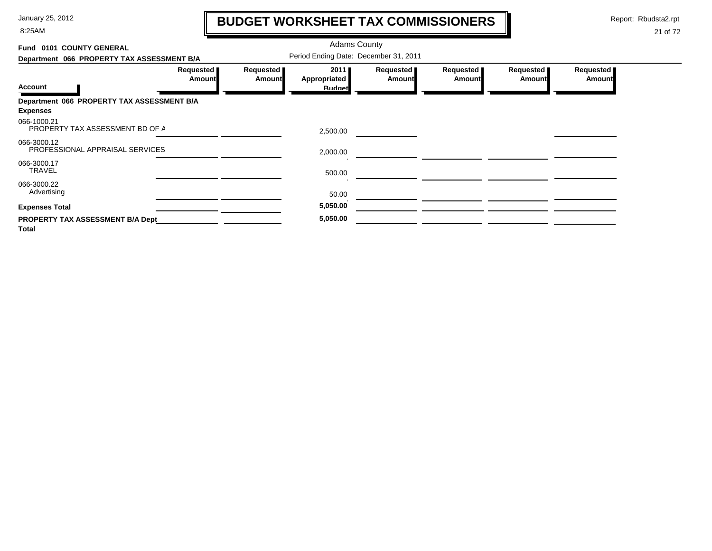8:25AM

# **BUDGET WORKSHEET TAX COMMISSIONERS**

Report: Rbudsta2.rpt

 $\mathbf l$ 

| Fund 0101 COUNTY GENERAL                         |                     |                            | <b>Adams County</b>                   |                            |                       |                     |                            |
|--------------------------------------------------|---------------------|----------------------------|---------------------------------------|----------------------------|-----------------------|---------------------|----------------------------|
| Department 066 PROPERTY TAX ASSESSMENT B/A       |                     |                            | Period Ending Date: December 31, 2011 |                            |                       |                     |                            |
|                                                  | Requested<br>Amount | Requested<br><b>Amount</b> | 2011<br>Appropriated                  | Requested<br><b>Amount</b> | Requested  <br>Amount | Requested<br>Amount | Requested<br><b>Amount</b> |
| <b>Account</b>                                   |                     |                            | <b>Budget</b>                         |                            |                       |                     |                            |
| Department 066 PROPERTY TAX ASSESSMENT B/A       |                     |                            |                                       |                            |                       |                     |                            |
| <b>Expenses</b>                                  |                     |                            |                                       |                            |                       |                     |                            |
| 066-1000.21<br>PROPERTY TAX ASSESSMENT BD OF A   |                     |                            | 2,500.00                              |                            |                       |                     |                            |
| 066-3000.12<br>PROFESSIONAL APPRAISAL SERVICES   |                     |                            | 2,000.00                              |                            |                       |                     |                            |
| 066-3000.17<br><b>TRAVEL</b>                     |                     |                            | 500.00                                |                            |                       |                     |                            |
| 066-3000.22<br>Advertising                       |                     |                            | 50.00                                 |                            |                       |                     |                            |
| <b>Expenses Total</b>                            |                     |                            | 5,050.00                              |                            |                       |                     |                            |
| PROPERTY TAX ASSESSMENT B/A Dept<br><b>Total</b> |                     |                            | 5,050.00                              |                            |                       |                     |                            |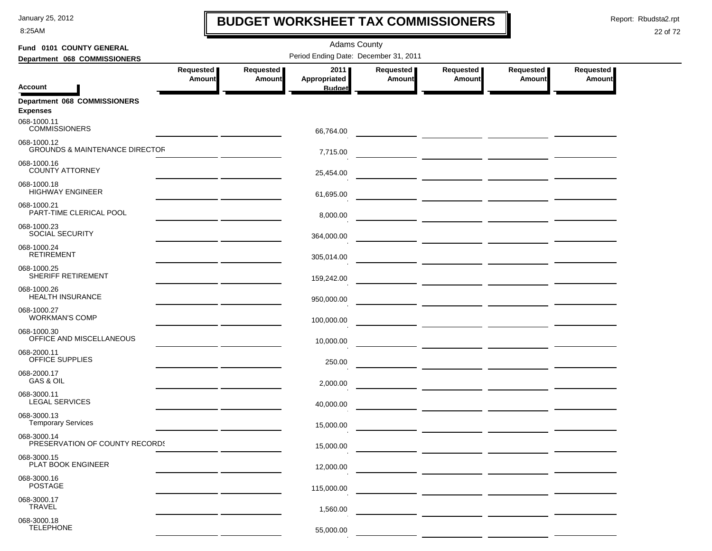8:25AM

### **BUDGET WORKSHEET TAX COMMISSIONERS**

Report: Rbudsta2.rpt

 $\mathbf l$ 

| Fund 0101 COUNTY GENERAL                                 | <b>Adams County</b>                     |                            |                      |                              |                                                                                                                        |                       |                     |  |  |  |
|----------------------------------------------------------|-----------------------------------------|----------------------------|----------------------|------------------------------|------------------------------------------------------------------------------------------------------------------------|-----------------------|---------------------|--|--|--|
| Department 068 COMMISSIONERS                             | Period Ending Date: December 31, 2011   |                            |                      |                              |                                                                                                                        |                       |                     |  |  |  |
|                                                          | Requested<br><b>Amount</b>              | Requested<br><b>Amount</b> | 2011<br>Appropriated | Requested  <br><b>Amount</b> | <b>Requested</b><br>Amount                                                                                             | Requested  <br>Amount | Requested<br>Amount |  |  |  |
| Account                                                  |                                         |                            | <b>Budget</b>        |                              |                                                                                                                        |                       |                     |  |  |  |
| Department 068 COMMISSIONERS<br><b>Expenses</b>          |                                         |                            |                      |                              |                                                                                                                        |                       |                     |  |  |  |
| 068-1000.11<br><b>COMMISSIONERS</b>                      |                                         |                            | 66,764.00            |                              | <u> 1989 - Johann Harry Harry Harry Harry Harry Harry Harry Harry Harry Harry Harry Harry Harry Harry Harry Harry</u>  |                       |                     |  |  |  |
| 068-1000.12<br><b>GROUNDS &amp; MAINTENANCE DIRECTOR</b> |                                         |                            | 7,715.00             |                              |                                                                                                                        |                       |                     |  |  |  |
| 068-1000.16<br><b>COUNTY ATTORNEY</b>                    |                                         |                            | 25,454.00            |                              | <u> 1989 - Jan Jawa Barat, prima provinci prima prima prima prima prima prima prima prima prima prima prima prim</u>   |                       |                     |  |  |  |
| 068-1000.18<br><b>HIGHWAY ENGINEER</b>                   |                                         |                            | 61,695.00            |                              |                                                                                                                        |                       |                     |  |  |  |
| 068-1000.21<br>PART-TIME CLERICAL POOL                   |                                         |                            | 8,000.00             |                              | <u> The Common Section of the Common Section of the Common Section of the Common Section of the Common Section of</u>  |                       |                     |  |  |  |
| 068-1000.23<br>SOCIAL SECURITY                           |                                         |                            | 364,000.00           |                              | <u> 1989 - Johann Harry Harry Harry Harry Harry Harry Harry Harry Harry Harry Harry Harry Harry Harry Harry Harry</u>  |                       |                     |  |  |  |
| 068-1000.24<br><b>RETIREMENT</b>                         |                                         |                            | 305,014.00           |                              |                                                                                                                        |                       |                     |  |  |  |
| 068-1000.25<br>SHERIFF RETIREMENT                        |                                         |                            | 159,242.00           |                              |                                                                                                                        |                       |                     |  |  |  |
| 068-1000.26<br><b>HEALTH INSURANCE</b>                   | <u> 1989 - Johann Barbara, martin a</u> |                            | 950,000.00           |                              | — <u>— —————</u> <u>——————</u> ———————                                                                                 |                       |                     |  |  |  |
| 068-1000.27<br><b>WORKMAN'S COMP</b>                     |                                         |                            | 100,000.00           |                              |                                                                                                                        |                       |                     |  |  |  |
| 068-1000.30<br>OFFICE AND MISCELLANEOUS                  |                                         |                            | 10,000.00            |                              |                                                                                                                        |                       |                     |  |  |  |
| 068-2000.11<br>OFFICE SUPPLIES                           |                                         |                            | 250.00               |                              |                                                                                                                        |                       |                     |  |  |  |
| 068-2000.17<br>GAS & OIL                                 |                                         |                            | 2,000.00             |                              | — <u>— — — — — — — — — — —</u>                                                                                         |                       |                     |  |  |  |
| 068-3000.11<br><b>LEGAL SERVICES</b>                     |                                         |                            | 40,000.00            |                              | ___ _____________ ______________                                                                                       |                       |                     |  |  |  |
| 068-3000.13<br><b>Temporary Services</b>                 |                                         |                            | 15,000.00            |                              | <u>and the community of the community of the community of the community of the community of the community of the c</u> |                       |                     |  |  |  |
| 068-3000.14<br>PRESERVATION OF COUNTY RECORDS            |                                         |                            | 15,000.00            |                              |                                                                                                                        |                       |                     |  |  |  |
| 068-3000.15<br>PLAT BOOK ENGINEER                        |                                         |                            | 12,000.00            |                              |                                                                                                                        |                       |                     |  |  |  |
| 068-3000.16<br><b>POSTAGE</b>                            |                                         |                            | 115,000.00           |                              | $\frac{1}{2}$ and $\frac{1}{2}$ and $\frac{1}{2}$ and $\frac{1}{2}$                                                    |                       |                     |  |  |  |
| 068-3000.17<br><b>TRAVEL</b>                             |                                         |                            | 1,560.00             |                              |                                                                                                                        |                       |                     |  |  |  |
| 068-3000.18<br><b>TELEPHONE</b>                          |                                         |                            | 55,000.00            |                              |                                                                                                                        |                       |                     |  |  |  |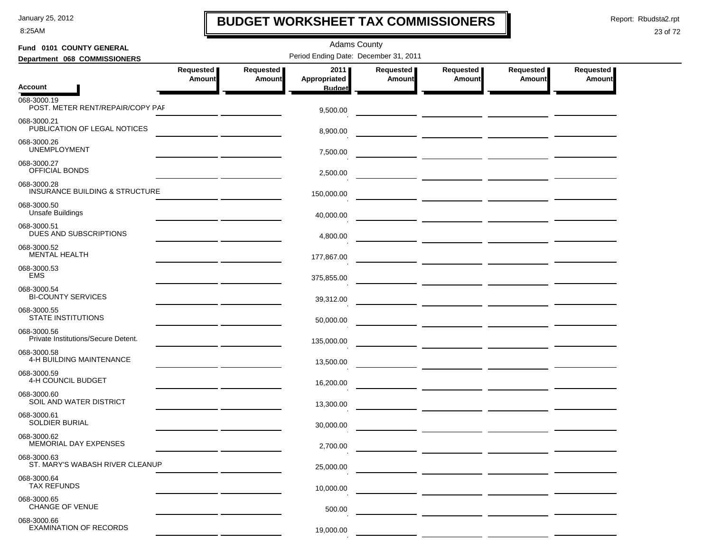8:25AM

### **BUDGET WORKSHEET TAX COMMISSIONERS**

Report: Rbudsta2.rpt

 $\mathbf l$ 

| Fund 0101 COUNTY GENERAL                           |                                                                                                                      | <b>Adams County</b> |                                       |                     |                                                                                                                      |                                      |                            |
|----------------------------------------------------|----------------------------------------------------------------------------------------------------------------------|---------------------|---------------------------------------|---------------------|----------------------------------------------------------------------------------------------------------------------|--------------------------------------|----------------------------|
| Department 068 COMMISSIONERS                       |                                                                                                                      |                     | Period Ending Date: December 31, 2011 |                     |                                                                                                                      |                                      |                            |
|                                                    | Requested<br><b>Amount</b>                                                                                           | Requested<br>Amount | 2011<br>Appropriated                  | Requested<br>Amount | Requested<br><b>Amount</b>                                                                                           | Requested<br><b>Amount</b>           | Requested<br><b>Amount</b> |
| <b>Account</b>                                     |                                                                                                                      |                     | <b>Budget</b>                         |                     |                                                                                                                      |                                      |                            |
| 068-3000.19<br>POST. METER RENT/REPAIR/COPY PAF    |                                                                                                                      |                     | 9,500.00                              |                     |                                                                                                                      |                                      |                            |
| 068-3000.21<br>PUBLICATION OF LEGAL NOTICES        |                                                                                                                      |                     | 8,900.00                              |                     |                                                                                                                      |                                      |                            |
| 068-3000.26<br><b>UNEMPLOYMENT</b>                 |                                                                                                                      |                     | 7,500.00                              |                     |                                                                                                                      |                                      |                            |
| 068-3000.27<br>OFFICIAL BONDS                      |                                                                                                                      |                     | 2,500.00                              |                     | <u> — 1990 — 1990 — 1990 — 1990 — 1990 — 1990 — 1990 — 1990 — 1990 — 1990 — 1990 — 1990 — 1990 — 1990 — 1990 — 1</u> |                                      |                            |
| 068-3000.28<br>INSURANCE BUILDING & STRUCTURE      |                                                                                                                      |                     | 150,000.00                            |                     |                                                                                                                      |                                      |                            |
| 068-3000.50<br><b>Unsafe Buildings</b>             |                                                                                                                      |                     | 40,000.00                             |                     | — <u>— — — — — — — — — — — —</u>                                                                                     |                                      |                            |
| 068-3000.51<br>DUES AND SUBSCRIPTIONS              | <u> 1999 - Jan Jawa Barat, prima prima prima prima prima prima prima prima prima prima prima prima prima prima p</u> |                     | 4,800.00                              |                     |                                                                                                                      |                                      |                            |
| 068-3000.52<br><b>MENTAL HEALTH</b>                | <u> 1989 - Andrea Station Books, amerikansk politiker (d. 1989)</u>                                                  |                     | 177,867.00                            |                     |                                                                                                                      |                                      |                            |
| 068-3000.53<br><b>EMS</b>                          |                                                                                                                      |                     | 375,855.00                            |                     |                                                                                                                      | — <u>— —————</u> ———————————————     |                            |
| 068-3000.54<br><b>BI-COUNTY SERVICES</b>           |                                                                                                                      |                     | 39,312.00                             |                     |                                                                                                                      |                                      |                            |
| 068-3000.55<br><b>STATE INSTITUTIONS</b>           | <u> 1989 - John Harry Barn, mars and de la partie de la partie de la partie de la partie de la partie de la part</u> |                     | 50,000.00                             |                     |                                                                                                                      |                                      |                            |
| 068-3000.56<br>Private Institutions/Secure Detent. |                                                                                                                      |                     | 135,000.00                            |                     |                                                                                                                      | ___ ___________ ___________ ________ |                            |
| 068-3000.58<br>4-H BUILDING MAINTENANCE            |                                                                                                                      |                     | 13,500.00                             |                     |                                                                                                                      |                                      |                            |
| 068-3000.59<br>4-H COUNCIL BUDGET                  |                                                                                                                      |                     | 16,200.00                             |                     |                                                                                                                      |                                      |                            |
| 068-3000.60<br>SOIL AND WATER DISTRICT             |                                                                                                                      |                     | 13,300.00                             |                     |                                                                                                                      |                                      |                            |
| 068-3000.61<br><b>SOLDIER BURIAL</b>               |                                                                                                                      |                     | 30,000.00                             |                     |                                                                                                                      |                                      |                            |
| 068-3000.62<br>MEMORIAL DAY EXPENSES               |                                                                                                                      |                     | 2,700.00                              |                     |                                                                                                                      |                                      |                            |
| 068-3000.63<br>ST. MARY'S WABASH RIVER CLEANUP     |                                                                                                                      |                     | 25,000.00                             |                     |                                                                                                                      |                                      |                            |
| 068-3000.64<br><b>TAX REFUNDS</b>                  |                                                                                                                      |                     | 10,000.00                             |                     |                                                                                                                      |                                      |                            |
| 068-3000.65<br><b>CHANGE OF VENUE</b>              |                                                                                                                      |                     | 500.00                                |                     |                                                                                                                      |                                      |                            |
| 068-3000.66<br><b>EXAMINATION OF RECORDS</b>       |                                                                                                                      |                     | 19,000.00                             |                     |                                                                                                                      |                                      |                            |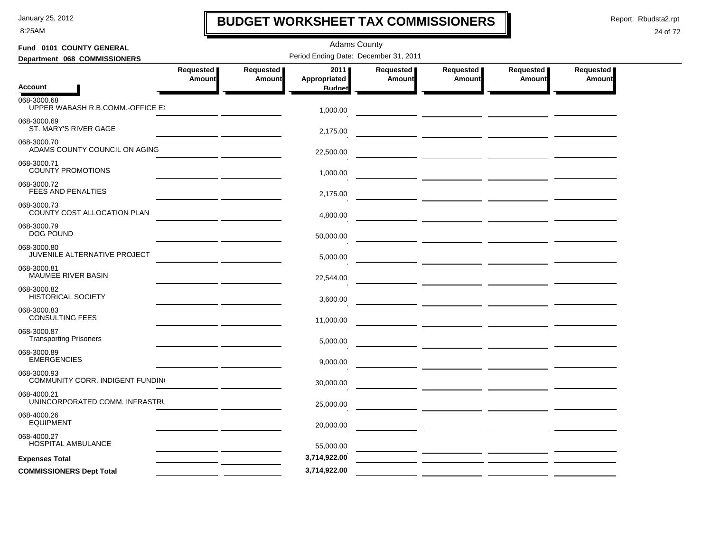8:25AM

## **BUDGET WORKSHEET TAX COMMISSIONERS**

Report: Rbudsta2.rpt

 $\mathbf l$ 

| Fund 0101 COUNTY GENERAL                        |                                              |                     | <b>Adams County</b>                     |                     |                                                                                                                      |                     |                            |
|-------------------------------------------------|----------------------------------------------|---------------------|-----------------------------------------|---------------------|----------------------------------------------------------------------------------------------------------------------|---------------------|----------------------------|
| Department 068 COMMISSIONERS                    |                                              |                     | Period Ending Date: December 31, 2011   |                     |                                                                                                                      |                     |                            |
| <b>Account</b>                                  | Requested<br>Amount                          | Requested<br>Amount | 2011  <br>Appropriated<br><b>Budget</b> | Requested<br>Amount | Requested<br>Amount                                                                                                  | Requested<br>Amount | Requested<br><b>Amount</b> |
| 068-3000.68<br>UPPER WABASH R.B.COMM.-OFFICE E. |                                              |                     | 1,000.00                                |                     |                                                                                                                      |                     |                            |
| 068-3000.69<br>ST. MARY'S RIVER GAGE            |                                              |                     | 2,175.00                                |                     |                                                                                                                      |                     |                            |
| 068-3000.70<br>ADAMS COUNTY COUNCIL ON AGING    |                                              |                     | 22,500.00                               |                     |                                                                                                                      |                     |                            |
| 068-3000.71<br><b>COUNTY PROMOTIONS</b>         |                                              |                     | 1,000.00                                |                     |                                                                                                                      |                     |                            |
| 068-3000.72<br><b>FEES AND PENALTIES</b>        |                                              |                     | 2,175.00                                |                     |                                                                                                                      |                     |                            |
| 068-3000.73<br>COUNTY COST ALLOCATION PLAN      |                                              |                     | 4,800.00                                |                     |                                                                                                                      |                     |                            |
| 068-3000.79<br><b>DOG POUND</b>                 |                                              |                     | 50,000.00                               |                     |                                                                                                                      |                     |                            |
| 068-3000.80<br>JUVENILE ALTERNATIVE PROJECT     |                                              |                     | 5,000.00                                |                     |                                                                                                                      |                     |                            |
| 068-3000.81<br><b>MAUMEE RIVER BASIN</b>        |                                              |                     | 22,544.00                               |                     |                                                                                                                      |                     |                            |
| 068-3000.82<br><b>HISTORICAL SOCIETY</b>        |                                              |                     | 3,600.00                                |                     |                                                                                                                      |                     |                            |
| 068-3000.83<br><b>CONSULTING FEES</b>           |                                              |                     | 11,000.00                               |                     |                                                                                                                      |                     |                            |
| 068-3000.87<br><b>Transporting Prisoners</b>    |                                              |                     | 5,000.00                                |                     |                                                                                                                      |                     |                            |
| 068-3000.89<br><b>EMERGENCIES</b>               |                                              |                     | 9,000.00                                |                     |                                                                                                                      |                     |                            |
| 068-3000.93<br>COMMUNITY CORR. INDIGENT FUNDING |                                              |                     | 30,000.00                               |                     |                                                                                                                      |                     |                            |
| 068-4000.21<br>UNINCORPORATED COMM. INFRASTRU   |                                              |                     | 25,000.00                               |                     |                                                                                                                      |                     |                            |
| 068-4000.26<br><b>EQUIPMENT</b>                 |                                              |                     | 20,000.00                               |                     |                                                                                                                      |                     |                            |
| 068-4000.27<br>HOSPITAL AMBULANCE               | the control of the control of the control of |                     | 55,000.00                               |                     | <u> 1980 - Johann Barbara, marka a shekara ta 1980 - An tsaran tsara tsara tsara tsara tsara tsara tsara tsara t</u> |                     |                            |
| <b>Expenses Total</b>                           |                                              |                     | 3,714,922.00                            |                     |                                                                                                                      |                     |                            |
| <b>COMMISSIONERS Dept Total</b>                 |                                              |                     | 3,714,922.00                            |                     |                                                                                                                      |                     |                            |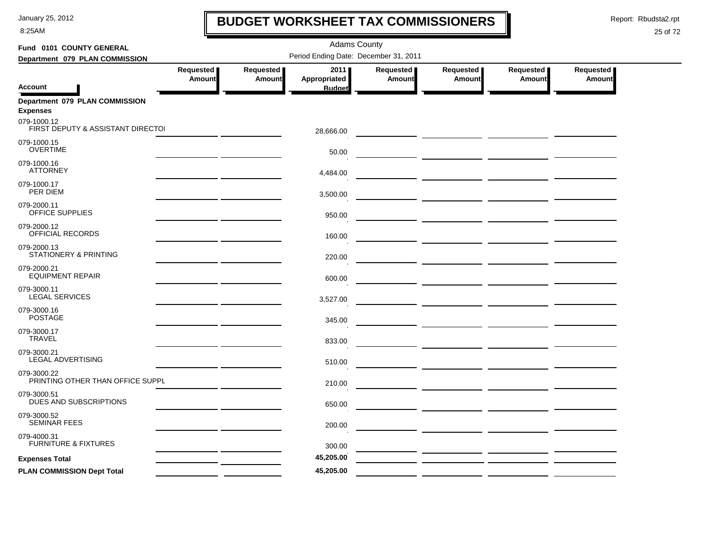8:25AM

## **BUDGET WORKSHEET TAX COMMISSIONERS**

Report: Rbudsta2.rpt

 $\mathbf l$ 

| Fund 0101 COUNTY GENERAL                          |                            |                                   | <b>Adams County</b>                          |                            |                                   |                            |                     |
|---------------------------------------------------|----------------------------|-----------------------------------|----------------------------------------------|----------------------------|-----------------------------------|----------------------------|---------------------|
| Department 079 PLAN COMMISSION                    |                            |                                   | Period Ending Date: December 31, 2011        |                            |                                   |                            |                     |
| <b>Account</b>                                    | Requested<br><b>Amount</b> | <b>Requested</b><br><b>Amount</b> | 2011<br><b>Appropriated</b><br><b>Budget</b> | Requested<br><b>Amount</b> | <b>Requested</b><br><b>Amount</b> | Requested<br><b>Amount</b> | Requested<br>Amount |
| Department 079 PLAN COMMISSION<br><b>Expenses</b> |                            |                                   |                                              |                            |                                   |                            |                     |
| 079-1000.12<br>FIRST DEPUTY & ASSISTANT DIRECTOL  |                            |                                   | 28,666.00                                    |                            |                                   |                            |                     |
| 079-1000.15<br><b>OVERTIME</b>                    |                            |                                   | 50.00                                        |                            |                                   |                            |                     |
| 079-1000.16<br><b>ATTORNEY</b>                    |                            |                                   | 4,484.00                                     |                            |                                   |                            |                     |
| 079-1000.17<br>PER DIEM                           |                            |                                   | 3,500.00                                     |                            |                                   |                            |                     |
| 079-2000.11<br>OFFICE SUPPLIES                    |                            |                                   | 950.00                                       |                            |                                   |                            |                     |
| 079-2000.12<br>OFFICIAL RECORDS                   |                            |                                   | 160.00                                       |                            |                                   |                            |                     |
| 079-2000.13<br><b>STATIONERY &amp; PRINTING</b>   |                            |                                   | 220.00                                       |                            |                                   |                            |                     |
| 079-2000.21<br><b>EQUIPMENT REPAIR</b>            |                            |                                   | 600.00                                       |                            |                                   |                            |                     |
| 079-3000.11<br><b>LEGAL SERVICES</b>              |                            |                                   | 3,527.00                                     |                            |                                   |                            |                     |
| 079-3000.16<br><b>POSTAGE</b>                     |                            |                                   | 345.00                                       |                            |                                   |                            |                     |
| 079-3000.17<br><b>TRAVEL</b>                      |                            |                                   | 833.00                                       |                            |                                   |                            |                     |
| 079-3000.21<br><b>LEGAL ADVERTISING</b>           |                            |                                   | 510.00                                       |                            |                                   |                            |                     |
| 079-3000.22<br>PRINTING OTHER THAN OFFICE SUPPL   |                            |                                   | 210.00                                       |                            |                                   |                            |                     |
| 079-3000.51<br>DUES AND SUBSCRIPTIONS             |                            |                                   | 650.00                                       |                            |                                   |                            |                     |
| 079-3000.52<br><b>SEMINAR FEES</b>                |                            |                                   | 200.00                                       |                            |                                   |                            |                     |
| 079-4000.31<br><b>FURNITURE &amp; FIXTURES</b>    |                            |                                   | 300.00                                       |                            |                                   |                            |                     |
| <b>Expenses Total</b>                             |                            |                                   | 45,205.00                                    |                            |                                   |                            |                     |
| PLAN COMMISSION Dept Total                        |                            |                                   | 45,205.00                                    |                            |                                   |                            |                     |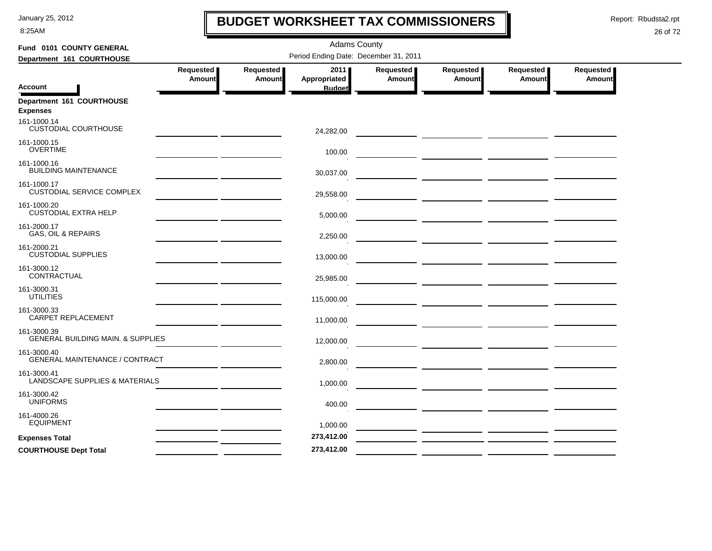8:25AM

### **BUDGET WORKSHEET TAX COMMISSIONERS**

Report: Rbudsta2.rpt

 $\mathbf l$ 

| Fund 0101 COUNTY GENERAL                                    |                                                 |                  | <b>Adams County</b>                   |           |                                                  |               |           |
|-------------------------------------------------------------|-------------------------------------------------|------------------|---------------------------------------|-----------|--------------------------------------------------|---------------|-----------|
| Department 161 COURTHOUSE                                   |                                                 |                  | Period Ending Date: December 31, 2011 |           |                                                  |               |           |
|                                                             | Requested                                       | <b>Requested</b> | 20111                                 | Requested | <b>Requested</b>                                 | Requested     | Requested |
| <b>Account</b>                                              | <b>Amount</b>                                   | <b>Amount</b>    | Appropriated<br><b>Budget</b>         | Amount    | Amount                                           | <b>Amount</b> | Amount    |
| Department 161 COURTHOUSE<br><b>Expenses</b>                |                                                 |                  |                                       |           |                                                  |               |           |
| 161-1000.14<br>CUSTODIAL COURTHOUSE                         |                                                 |                  | 24,282.00                             |           |                                                  |               |           |
| 161-1000.15<br><b>OVERTIME</b>                              | <u> 1989 - Johann John Stone, mars et al. (</u> |                  | 100.00                                |           |                                                  |               |           |
| 161-1000.16<br><b>BUILDING MAINTENANCE</b>                  |                                                 |                  | 30,037.00                             |           |                                                  |               |           |
| 161-1000.17<br><b>CUSTODIAL SERVICE COMPLEX</b>             |                                                 |                  | 29,558.00                             |           |                                                  |               |           |
| 161-1000.20<br><b>CUSTODIAL EXTRA HELP</b>                  |                                                 |                  | 5,000.00                              |           |                                                  |               |           |
| 161-2000.17<br>GAS, OIL & REPAIRS                           |                                                 |                  | 2,250.00                              |           |                                                  |               |           |
| 161-2000.21<br><b>CUSTODIAL SUPPLIES</b>                    |                                                 |                  | 13,000.00                             |           |                                                  |               |           |
| 161-3000.12<br>CONTRACTUAL                                  |                                                 |                  | 25,985.00                             |           |                                                  |               |           |
| 161-3000.31<br><b>UTILITIES</b>                             |                                                 |                  | 115,000.00                            |           |                                                  |               |           |
| 161-3000.33<br>CARPET REPLACEMENT                           |                                                 |                  | 11,000.00                             |           |                                                  |               |           |
| 161-3000.39<br><b>GENERAL BUILDING MAIN. &amp; SUPPLIES</b> |                                                 |                  | 12,000.00                             |           |                                                  |               |           |
| 161-3000.40<br><b>GENERAL MAINTENANCE / CONTRACT</b>        |                                                 |                  | 2,800.00                              |           |                                                  |               |           |
| 161-3000.41<br><b>LANDSCAPE SUPPLIES &amp; MATERIALS</b>    |                                                 |                  | 1.000.00                              |           |                                                  |               |           |
| 161-3000.42<br><b>UNIFORMS</b>                              |                                                 |                  | 400.00                                |           |                                                  |               |           |
| 161-4000.26<br><b>EQUIPMENT</b>                             |                                                 |                  | 1,000.00                              |           |                                                  |               |           |
| <b>Expenses Total</b>                                       |                                                 |                  | 273,412.00                            |           | <u> 1989 - Andrea Andrew Alexander (h. 1989)</u> |               |           |
| <b>COURTHOUSE Dept Total</b>                                |                                                 |                  | 273,412.00                            |           | $\sim$                                           |               |           |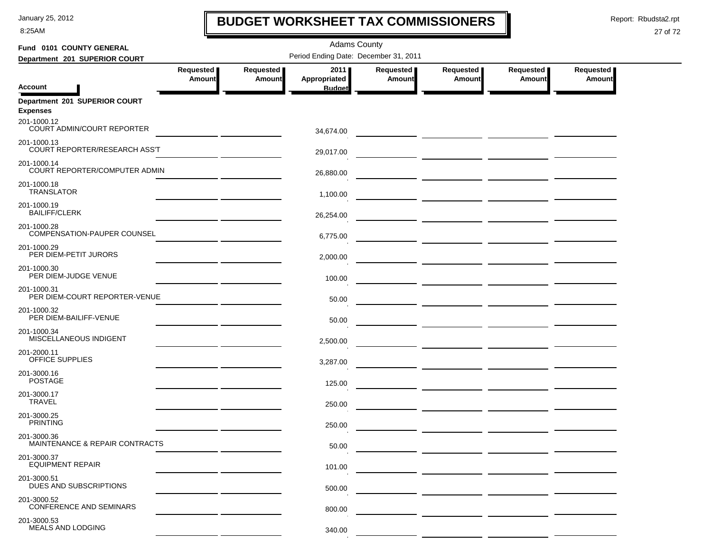8:25AM

## **BUDGET WORKSHEET TAX COMMISSIONERS**

Report: Rbudsta2.rpt

 $\mathbf I$ 

| Fund 0101 COUNTY GENERAL                                        | <b>Adams County</b>        |                            |                                       |                            |                                                                                                                       |                              |                            |  |  |
|-----------------------------------------------------------------|----------------------------|----------------------------|---------------------------------------|----------------------------|-----------------------------------------------------------------------------------------------------------------------|------------------------------|----------------------------|--|--|
| Department 201 SUPERIOR COURT                                   |                            |                            | Period Ending Date: December 31, 2011 |                            |                                                                                                                       |                              |                            |  |  |
|                                                                 | Requested<br><b>Amount</b> | Requested<br><b>Amount</b> | 2011<br>Appropriated                  | Requested<br><b>Amount</b> | Requested<br><b>Amount</b>                                                                                            | Requested  <br><b>Amount</b> | Requested<br><b>Amount</b> |  |  |
| <b>Account</b>                                                  |                            |                            | <b>Budget</b>                         |                            |                                                                                                                       |                              |                            |  |  |
| Department 201 SUPERIOR COURT<br><b>Expenses</b><br>201-1000.12 |                            |                            |                                       |                            |                                                                                                                       |                              |                            |  |  |
| COURT ADMIN/COURT REPORTER                                      |                            |                            | 34,674.00                             |                            |                                                                                                                       |                              |                            |  |  |
| 201-1000.13<br>COURT REPORTER/RESEARCH ASS'T                    |                            |                            | 29,017.00                             |                            |                                                                                                                       |                              |                            |  |  |
| 201-1000.14<br>COURT REPORTER/COMPUTER ADMIN                    |                            |                            | 26,880.00                             |                            |                                                                                                                       |                              |                            |  |  |
| 201-1000.18<br><b>TRANSLATOR</b>                                |                            |                            | 1,100.00                              |                            | <u> 1989 - Johann Harry Harry Harry Harry Harry Harry Harry Harry Harry Harry Harry Harry Harry Harry Harry Harry</u> |                              |                            |  |  |
| 201-1000.19<br><b>BAILIFF/CLERK</b>                             |                            |                            | 26,254.00                             |                            | <u> 1990 - Johann Harry Harry Harry Harry Harry Harry Harry Harry Harry Harry Harry Harry Harry Harry Harry Harry</u> |                              |                            |  |  |
| 201-1000.28<br>COMPENSATION-PAUPER COUNSEL                      |                            |                            | 6,775.00                              |                            | — <u>— — — — — — — — — — — —</u>                                                                                      |                              |                            |  |  |
| 201-1000.29<br>PER DIEM-PETIT JURORS                            |                            |                            | 2,000.00                              |                            |                                                                                                                       |                              |                            |  |  |
| 201-1000.30<br>PER DIEM-JUDGE VENUE                             |                            |                            | 100.00                                |                            |                                                                                                                       |                              |                            |  |  |
| 201-1000.31<br>PER DIEM-COURT REPORTER-VENUE                    |                            |                            | 50.00                                 |                            |                                                                                                                       |                              |                            |  |  |
| 201-1000.32<br>PER DIEM-BAILIFF-VENUE                           |                            |                            | 50.00                                 |                            |                                                                                                                       |                              |                            |  |  |
| 201-1000.34<br>MISCELLANEOUS INDIGENT                           |                            |                            | 2,500.00                              |                            |                                                                                                                       |                              |                            |  |  |
| 201-2000.11<br>OFFICE SUPPLIES                                  |                            |                            | 3,287.00                              |                            | — <u>— — — — — — — — — — — — —</u>                                                                                    |                              |                            |  |  |
| 201-3000.16<br><b>POSTAGE</b>                                   |                            |                            | 125.00                                |                            |                                                                                                                       |                              |                            |  |  |
| 201-3000.17<br><b>TRAVEL</b>                                    |                            |                            | 250.00                                |                            |                                                                                                                       |                              |                            |  |  |
| 201-3000.25<br><b>PRINTING</b>                                  |                            |                            | 250.00                                |                            |                                                                                                                       |                              |                            |  |  |
| 201-3000.36<br>MAINTENANCE & REPAIR CONTRACTS                   |                            |                            | 50.00                                 |                            |                                                                                                                       |                              |                            |  |  |
| 201-3000.37<br><b>EQUIPMENT REPAIR</b>                          |                            |                            | 101.00                                |                            |                                                                                                                       |                              |                            |  |  |
| 201-3000.51<br>DUES AND SUBSCRIPTIONS                           |                            |                            | 500.00                                |                            |                                                                                                                       |                              |                            |  |  |
| 201-3000.52<br><b>CONFERENCE AND SEMINARS</b>                   |                            |                            | 800.00                                |                            |                                                                                                                       |                              |                            |  |  |
| 201-3000.53<br><b>MEALS AND LODGING</b>                         |                            |                            | 340.00                                |                            |                                                                                                                       |                              |                            |  |  |
|                                                                 |                            |                            |                                       |                            |                                                                                                                       |                              |                            |  |  |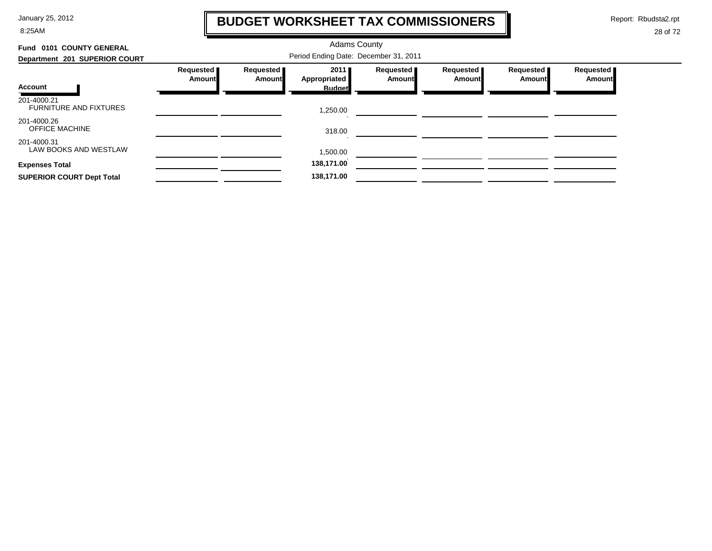8:25AM

## **BUDGET WORKSHEET TAX COMMISSIONERS**

Report: Rbudsta2.rpt

 $\mathbf \mathbf I$ 

| Fund 0101 COUNTY GENERAL                     |                     |                     | <b>Adams County</b>           |                       |                     |                       |                     |
|----------------------------------------------|---------------------|---------------------|-------------------------------|-----------------------|---------------------|-----------------------|---------------------|
| Department 201 SUPERIOR COURT                |                     |                     |                               |                       |                     |                       |                     |
|                                              | Requested<br>Amount | Requested<br>Amount | 2011 <b>II</b>                | Requested  <br>Amount | Requested<br>Amount | Requested  <br>Amount | Requested<br>Amount |
| Account                                      |                     |                     | Appropriated<br><b>Budget</b> |                       |                     |                       |                     |
| 201-4000.21<br><b>FURNITURE AND FIXTURES</b> |                     |                     | 1,250.00                      |                       |                     |                       |                     |
| 201-4000.26<br><b>OFFICE MACHINE</b>         |                     |                     | 318.00                        |                       |                     |                       |                     |
| 201-4000.31<br>LAW BOOKS AND WESTLAW         |                     |                     | 1,500.00                      |                       |                     |                       |                     |
| <b>Expenses Total</b>                        |                     |                     | 138,171.00                    |                       |                     |                       |                     |
| <b>SUPERIOR COURT Dept Total</b>             |                     |                     | 138,171.00                    |                       |                     |                       |                     |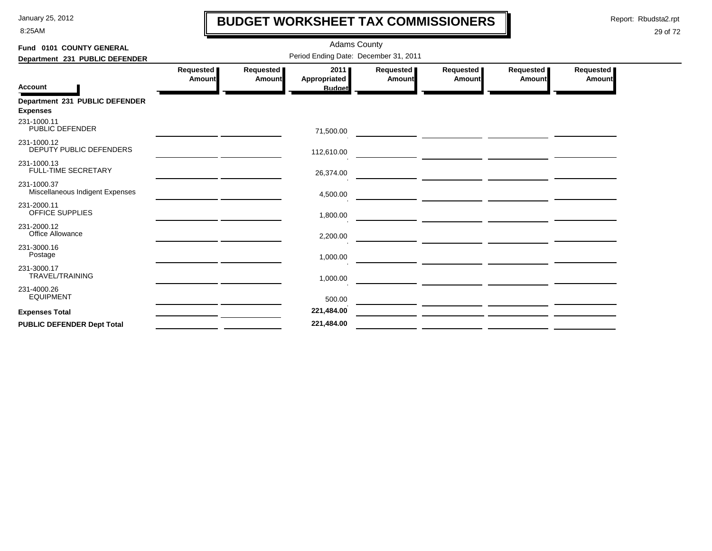8:25AM

### **BUDGET WORKSHEET TAX COMMISSIONERS**

Report: Rbudsta2.rpt

 $\mathbf l$ 

| Fund 0101 COUNTY GENERAL                          | <b>Adams County</b> |                     |                                       |                     |                                                                                                                       |                     |                     |  |  |  |
|---------------------------------------------------|---------------------|---------------------|---------------------------------------|---------------------|-----------------------------------------------------------------------------------------------------------------------|---------------------|---------------------|--|--|--|
| Department 231 PUBLIC DEFENDER                    |                     |                     | Period Ending Date: December 31, 2011 |                     |                                                                                                                       |                     |                     |  |  |  |
| <b>Account</b>                                    | Requested<br>Amount | Requested<br>Amount | 2011<br>Appropriated<br><b>Budget</b> | Requested<br>Amount | Requested<br>Amount                                                                                                   | Requested<br>Amount | Requested<br>Amount |  |  |  |
| Department 231 PUBLIC DEFENDER<br><b>Expenses</b> |                     |                     |                                       |                     |                                                                                                                       |                     |                     |  |  |  |
| 231-1000.11<br>PUBLIC DEFENDER                    |                     |                     | 71,500.00                             |                     |                                                                                                                       |                     |                     |  |  |  |
| 231-1000.12<br>DEPUTY PUBLIC DEFENDERS            |                     |                     | 112,610.00                            |                     | <u> 1989 - Andrea State Barbara, poeta esperanto-</u>                                                                 |                     |                     |  |  |  |
| 231-1000.13<br><b>FULL-TIME SECRETARY</b>         |                     |                     | 26,374.00                             |                     | <u> 1990 - Johann Harry Harry Harry Harry Harry Harry Harry Harry Harry Harry Harry Harry Harry Harry Harry Harry</u> |                     |                     |  |  |  |
| 231-1000.37<br>Miscellaneous Indigent Expenses    |                     |                     | 4,500.00                              |                     |                                                                                                                       |                     |                     |  |  |  |
| 231-2000.11<br>OFFICE SUPPLIES                    |                     |                     | 1,800.00                              |                     |                                                                                                                       |                     |                     |  |  |  |
| 231-2000.12<br>Office Allowance                   |                     |                     | 2,200.00                              |                     |                                                                                                                       |                     |                     |  |  |  |
| 231-3000.16<br>Postage                            |                     |                     | 1,000.00                              |                     |                                                                                                                       |                     |                     |  |  |  |
| 231-3000.17<br>TRAVEL/TRAINING                    |                     |                     | 1,000.00                              |                     |                                                                                                                       |                     |                     |  |  |  |
| 231-4000.26<br><b>EQUIPMENT</b>                   |                     |                     | 500.00                                |                     |                                                                                                                       |                     |                     |  |  |  |
| <b>Expenses Total</b>                             |                     |                     | 221,484.00                            |                     |                                                                                                                       |                     |                     |  |  |  |
| <b>PUBLIC DEFENDER Dept Total</b>                 |                     |                     | 221,484.00                            |                     |                                                                                                                       |                     |                     |  |  |  |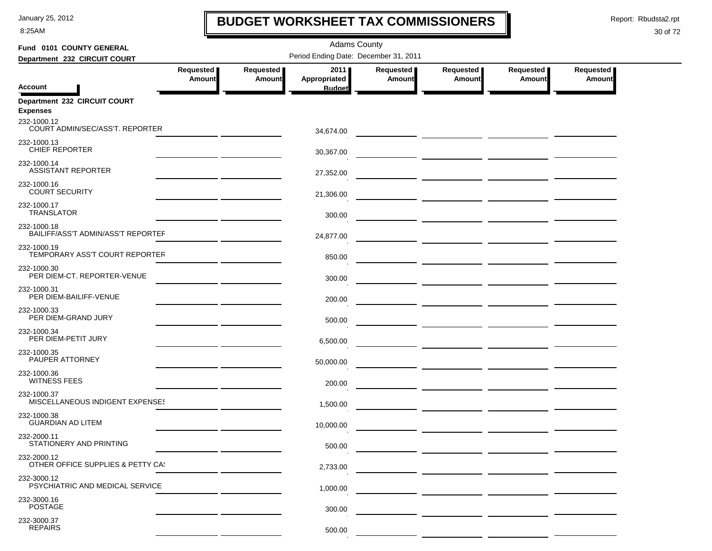8:25AM

## **BUDGET WORKSHEET TAX COMMISSIONERS**

Report: Rbudsta2.rpt

 $\mathbf I$ 

### 30 of 72

| Fund 0101 COUNTY GENERAL                                 | <b>Adams County</b>                   |                            |                      |                     |                                                                                                                         |                                                                                                                       |                            |  |  |  |
|----------------------------------------------------------|---------------------------------------|----------------------------|----------------------|---------------------|-------------------------------------------------------------------------------------------------------------------------|-----------------------------------------------------------------------------------------------------------------------|----------------------------|--|--|--|
| Department 232 CIRCUIT COURT                             | Period Ending Date: December 31, 2011 |                            |                      |                     |                                                                                                                         |                                                                                                                       |                            |  |  |  |
|                                                          | Requested<br>Amount                   | Requested<br><b>Amount</b> | 2011<br>Appropriated | Requested<br>Amount | Requested  <br>Amount                                                                                                   | Requested<br>Amount                                                                                                   | Requested<br><b>Amount</b> |  |  |  |
| <b>Account</b>                                           |                                       |                            | <b>Budget</b>        |                     |                                                                                                                         |                                                                                                                       |                            |  |  |  |
| Department 232 CIRCUIT COURT<br><b>Expenses</b>          |                                       |                            |                      |                     |                                                                                                                         |                                                                                                                       |                            |  |  |  |
| 232-1000.12<br>COURT ADMIN/SEC/ASS'T. REPORTER           |                                       |                            | 34,674.00            |                     |                                                                                                                         |                                                                                                                       |                            |  |  |  |
| 232-1000.13<br><b>CHIEF REPORTER</b>                     |                                       |                            | 30,367.00            |                     |                                                                                                                         |                                                                                                                       |                            |  |  |  |
| 232-1000.14<br><b>ASSISTANT REPORTER</b>                 |                                       |                            | 27,352.00            |                     |                                                                                                                         |                                                                                                                       |                            |  |  |  |
| 232-1000.16<br><b>COURT SECURITY</b>                     |                                       |                            | 21,306.00            |                     | <u> 1990 - Johann Harry Harry Harry Harry Harry Harry Harry Harry Harry Harry Harry Harry Harry Harry Harry Harry</u>   |                                                                                                                       |                            |  |  |  |
| 232-1000.17<br><b>TRANSLATOR</b>                         |                                       |                            | 300.00               |                     |                                                                                                                         |                                                                                                                       |                            |  |  |  |
| 232-1000.18<br><b>BAILIFF/ASS'T ADMIN/ASS'T REPORTEF</b> |                                       |                            | 24,877.00            |                     |                                                                                                                         |                                                                                                                       |                            |  |  |  |
| 232-1000.19<br>TEMPORARY ASS'T COURT REPORTER            |                                       |                            | 850.00               |                     |                                                                                                                         | <u> 1990 - John Harry Harry Harry Harry Harry Harry Harry Harry Harry Harry Harry Harry Harry Harry Harry Harry H</u> |                            |  |  |  |
| 232-1000.30<br>PER DIEM-CT. REPORTER-VENUE               |                                       |                            | 300.00               |                     |                                                                                                                         |                                                                                                                       |                            |  |  |  |
| 232-1000.31<br>PER DIEM-BAILIFF-VENUE                    |                                       |                            | 200.00               |                     |                                                                                                                         | <u> 1990 - John Harry Harry Harry Harry Harry Harry Harry Harry Harry Harry Harry Harry Harry Harry Harry Harry H</u> |                            |  |  |  |
| 232-1000.33<br>PER DIEM-GRAND JURY                       |                                       |                            | 500.00               |                     |                                                                                                                         |                                                                                                                       |                            |  |  |  |
| 232-1000.34<br>PER DIEM-PETIT JURY                       |                                       |                            | 6,500.00             |                     |                                                                                                                         |                                                                                                                       |                            |  |  |  |
| 232-1000.35<br>PAUPER ATTORNEY                           |                                       |                            | 50,000.00            |                     | <u> 1990 - Johann Barn, mars and de Branch Barn, mars and de Branch Barn, mars and de Branch Barn, mars and de Br</u>   |                                                                                                                       |                            |  |  |  |
| 232-1000.36<br><b>WITNESS FEES</b>                       |                                       |                            | 200.00               |                     | <u> The Common Common Common Common Common Common Common Common Common Common Common Common Common Common Common Co</u> |                                                                                                                       |                            |  |  |  |
| 232-1000.37<br>MISCELLANEOUS INDIGENT EXPENSES           |                                       |                            | 1,500.00             |                     |                                                                                                                         |                                                                                                                       |                            |  |  |  |
| 232-1000.38<br><b>GUARDIAN AD LITEM</b>                  |                                       |                            | 10,000.00            |                     |                                                                                                                         |                                                                                                                       |                            |  |  |  |
| 232-2000.11<br>STATIONERY AND PRINTING                   |                                       |                            | 500.00               |                     |                                                                                                                         |                                                                                                                       |                            |  |  |  |
| 232-2000.12<br>OTHER OFFICE SUPPLIES & PETTY CA!         |                                       |                            | 2,733.00             |                     |                                                                                                                         |                                                                                                                       |                            |  |  |  |
| 232-3000.12<br>PSYCHIATRIC AND MEDICAL SERVICE           |                                       |                            | 1,000.00             |                     |                                                                                                                         |                                                                                                                       |                            |  |  |  |
| 232-3000.16<br><b>POSTAGE</b>                            |                                       |                            | 300.00               |                     |                                                                                                                         |                                                                                                                       |                            |  |  |  |
| 232-3000.37<br><b>REPAIRS</b>                            |                                       |                            | 500.00               |                     |                                                                                                                         |                                                                                                                       |                            |  |  |  |

 $\sim$  100  $\pm$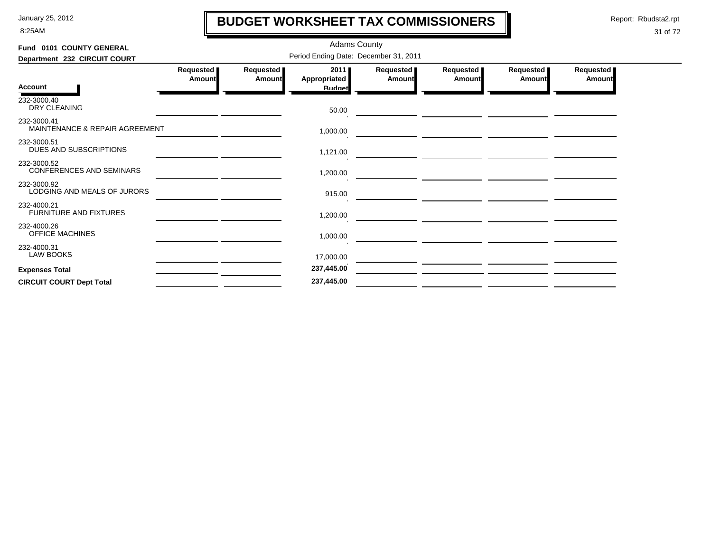8:25AM

# **BUDGET WORKSHEET TAX COMMISSIONERS**

Report: Rbudsta2.rpt

 $\mathbf l$ 

| Fund 0101 COUNTY GENERAL                       |                                       |                            | <b>Adams County</b>                   |                            |                       |                     |                            |  |  |  |  |
|------------------------------------------------|---------------------------------------|----------------------------|---------------------------------------|----------------------------|-----------------------|---------------------|----------------------------|--|--|--|--|
| Department 232 CIRCUIT COURT                   | Period Ending Date: December 31, 2011 |                            |                                       |                            |                       |                     |                            |  |  |  |  |
| <b>Account</b>                                 | Requested<br>Amount                   | Requested<br><b>Amount</b> | 2011<br>Appropriated<br><b>Budget</b> | Requested<br><b>Amount</b> | Requested  <br>Amount | Requested<br>Amount | Requested<br><b>Amount</b> |  |  |  |  |
| 232-3000.40<br>DRY CLEANING                    |                                       |                            | 50.00                                 |                            |                       |                     |                            |  |  |  |  |
| 232-3000.41<br>MAINTENANCE & REPAIR AGREEMENT  |                                       |                            | 1,000.00                              |                            |                       |                     |                            |  |  |  |  |
| 232-3000.51<br>DUES AND SUBSCRIPTIONS          |                                       |                            | 1,121.00                              |                            |                       |                     |                            |  |  |  |  |
| 232-3000.52<br><b>CONFERENCES AND SEMINARS</b> |                                       |                            | 1,200.00                              |                            |                       |                     |                            |  |  |  |  |
| 232-3000.92<br>LODGING AND MEALS OF JURORS     |                                       |                            | 915.00                                |                            |                       |                     |                            |  |  |  |  |
| 232-4000.21<br><b>FURNITURE AND FIXTURES</b>   |                                       |                            | 1,200.00                              |                            |                       |                     |                            |  |  |  |  |
| 232-4000.26<br>OFFICE MACHINES                 |                                       |                            | 1,000.00                              |                            |                       |                     |                            |  |  |  |  |
| 232-4000.31<br><b>LAW BOOKS</b>                |                                       |                            | 17,000.00                             |                            |                       |                     |                            |  |  |  |  |
| <b>Expenses Total</b>                          |                                       |                            | 237,445.00                            |                            |                       |                     |                            |  |  |  |  |
| <b>CIRCUIT COURT Dept Total</b>                |                                       |                            | 237,445.00                            |                            |                       |                     |                            |  |  |  |  |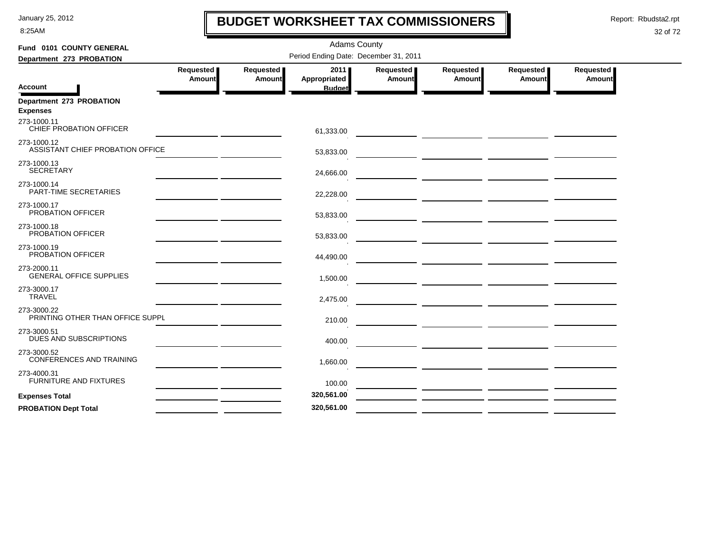8:25AM

## **BUDGET WORKSHEET TAX COMMISSIONERS**

Report: Rbudsta2.rpt

 $\mathbf l$ 

| Fund 0101 COUNTY GENERAL                        | <b>Adams County</b> |                            |                                       |                     |                                                                                                                                                                                                                                      |                       |                                   |  |  |  |
|-------------------------------------------------|---------------------|----------------------------|---------------------------------------|---------------------|--------------------------------------------------------------------------------------------------------------------------------------------------------------------------------------------------------------------------------------|-----------------------|-----------------------------------|--|--|--|
| Department 273 PROBATION                        |                     |                            | Period Ending Date: December 31, 2011 |                     |                                                                                                                                                                                                                                      |                       |                                   |  |  |  |
|                                                 | Requested<br>Amount | Requested<br><b>Amount</b> | 2011<br><b>Appropriated</b>           | Requested<br>Amount | Requested<br>Amount                                                                                                                                                                                                                  | Requested  <br>Amount | <b>Requested</b><br><b>Amount</b> |  |  |  |
| <b>Account</b>                                  |                     |                            | <b>Budget</b>                         |                     |                                                                                                                                                                                                                                      |                       |                                   |  |  |  |
| Department 273 PROBATION<br><b>Expenses</b>     |                     |                            |                                       |                     |                                                                                                                                                                                                                                      |                       |                                   |  |  |  |
| 273-1000.11<br>CHIEF PROBATION OFFICER          |                     |                            | 61,333.00                             |                     |                                                                                                                                                                                                                                      |                       |                                   |  |  |  |
| 273-1000.12<br>ASSISTANT CHIEF PROBATION OFFICE |                     |                            | 53,833.00                             |                     |                                                                                                                                                                                                                                      |                       |                                   |  |  |  |
| 273-1000.13<br><b>SECRETARY</b>                 |                     |                            | 24,666.00                             |                     |                                                                                                                                                                                                                                      |                       |                                   |  |  |  |
| 273-1000.14<br>PART-TIME SECRETARIES            |                     |                            | 22,228.00                             |                     |                                                                                                                                                                                                                                      |                       |                                   |  |  |  |
| 273-1000.17<br>PROBATION OFFICER                |                     |                            | 53,833.00                             |                     |                                                                                                                                                                                                                                      |                       |                                   |  |  |  |
| 273-1000.18<br>PROBATION OFFICER                |                     |                            | 53,833.00                             |                     |                                                                                                                                                                                                                                      |                       |                                   |  |  |  |
| 273-1000.19<br>PROBATION OFFICER                |                     |                            | 44,490.00                             |                     |                                                                                                                                                                                                                                      |                       |                                   |  |  |  |
| 273-2000.11<br><b>GENERAL OFFICE SUPPLIES</b>   |                     |                            | 1,500.00                              |                     |                                                                                                                                                                                                                                      |                       |                                   |  |  |  |
| 273-3000.17<br><b>TRAVEL</b>                    |                     |                            | 2,475.00                              |                     |                                                                                                                                                                                                                                      |                       |                                   |  |  |  |
| 273-3000.22<br>PRINTING OTHER THAN OFFICE SUPPL |                     |                            | 210.00                                |                     |                                                                                                                                                                                                                                      |                       |                                   |  |  |  |
| 273-3000.51<br>DUES AND SUBSCRIPTIONS           |                     |                            | 400.00                                |                     |                                                                                                                                                                                                                                      |                       |                                   |  |  |  |
| 273-3000.52<br>CONFERENCES AND TRAINING         |                     |                            | 1,660.00                              |                     |                                                                                                                                                                                                                                      |                       |                                   |  |  |  |
| 273-4000.31<br>FURNITURE AND FIXTURES           |                     |                            | 100.00                                |                     |                                                                                                                                                                                                                                      |                       |                                   |  |  |  |
| <b>Expenses Total</b>                           |                     |                            | 320,561.00                            |                     | <u> De Carlos de Carlos de la Carlos de Carlos de Carlos de Carlos de Carlos de Carlos de Carlos de Carlos de Carlos de Carlos de Carlos de Carlos de Carlos de Carlos de Carlos de Carlos de Carlos de Carlos de Carlos de Carl</u> |                       |                                   |  |  |  |
| <b>PROBATION Dept Total</b>                     |                     |                            | 320,561.00                            |                     |                                                                                                                                                                                                                                      |                       |                                   |  |  |  |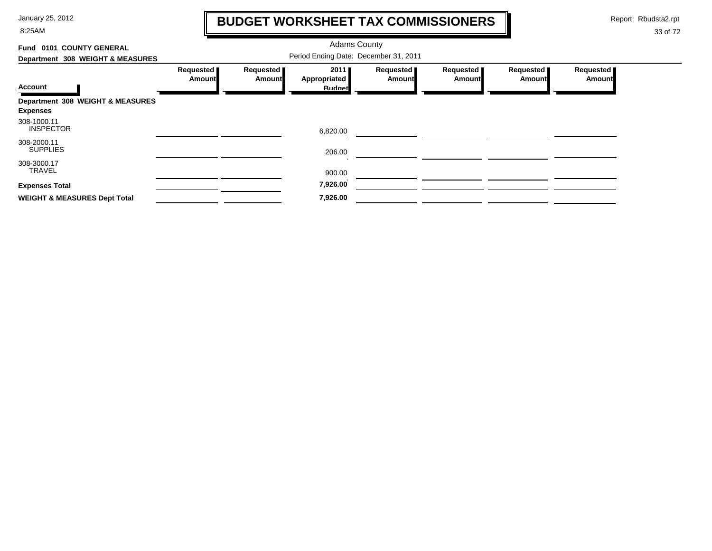8:25AM

# **BUDGET WORKSHEET TAX COMMISSIONERS**

Report: Rbudsta2.rpt

 $\mathbf l$ 

| Fund 0101 COUNTY GENERAL                |                                       |                     | <b>Adams County</b>  |                            |                            |                              |                     |  |  |
|-----------------------------------------|---------------------------------------|---------------------|----------------------|----------------------------|----------------------------|------------------------------|---------------------|--|--|
| Department 308 WEIGHT & MEASURES        | Period Ending Date: December 31, 2011 |                     |                      |                            |                            |                              |                     |  |  |
|                                         | Requested<br><b>Amount</b>            | Requested<br>Amount | 2011<br>Appropriated | Requested<br><b>Amount</b> | Requested<br><b>Amount</b> | Requested  <br><b>Amount</b> | Requested<br>Amount |  |  |
| <b>Account</b>                          |                                       |                     | <b>Budget</b>        |                            |                            |                              |                     |  |  |
| Department 308 WEIGHT & MEASURES        |                                       |                     |                      |                            |                            |                              |                     |  |  |
| <b>Expenses</b>                         |                                       |                     |                      |                            |                            |                              |                     |  |  |
| 308-1000.11<br><b>INSPECTOR</b>         |                                       |                     | 6,820.00             |                            |                            |                              |                     |  |  |
| 308-2000.11<br><b>SUPPLIES</b>          |                                       |                     | 206.00               |                            |                            |                              |                     |  |  |
| 308-3000.17<br><b>TRAVEL</b>            |                                       |                     | 900.00               |                            |                            |                              |                     |  |  |
| <b>Expenses Total</b>                   |                                       |                     | 7,926.00             |                            |                            |                              |                     |  |  |
| <b>WEIGHT &amp; MEASURES Dept Total</b> |                                       |                     | 7,926.00             |                            |                            |                              |                     |  |  |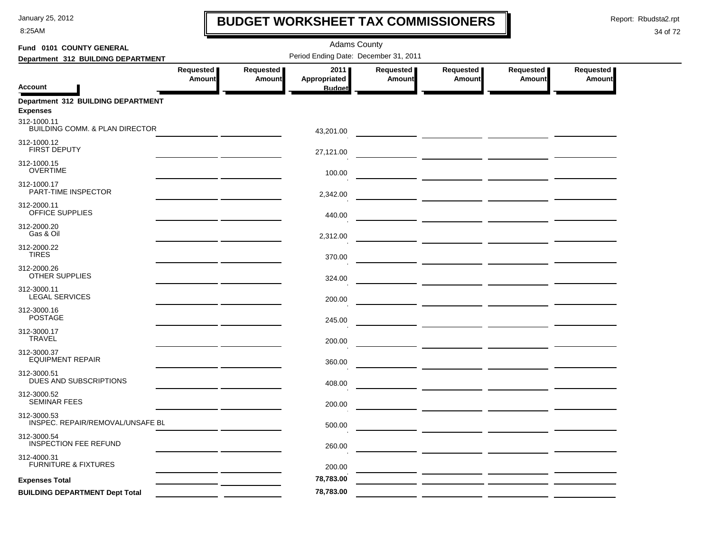8:25AM

### **BUDGET WORKSHEET TAX COMMISSIONERS**

Report: Rbudsta2.rpt

 $\mathbf l$ 

| Fund 0101 COUNTY GENERAL                              |                     |                       | <b>Adams County</b>                   |                            |                     |                     |                            |
|-------------------------------------------------------|---------------------|-----------------------|---------------------------------------|----------------------------|---------------------|---------------------|----------------------------|
| Department 312 BUILDING DEPARTMENT                    |                     |                       | Period Ending Date: December 31, 2011 |                            |                     |                     |                            |
| <b>Account</b>                                        | Requested<br>Amount | Requested  <br>Amount | 2011<br>Appropriated<br><b>Budget</b> | Requested<br><b>Amount</b> | Requested<br>Amount | Requested<br>Amount | Requested<br><b>Amount</b> |
| Department 312 BUILDING DEPARTMENT<br><b>Expenses</b> |                     |                       |                                       |                            |                     |                     |                            |
| 312-1000.11<br>BUILDING COMM. & PLAN DIRECTOR         |                     |                       | 43,201.00                             |                            |                     |                     |                            |
| 312-1000.12<br>FIRST DEPUTY                           |                     |                       | 27,121.00                             |                            |                     |                     |                            |
| 312-1000.15<br><b>OVERTIME</b>                        |                     |                       | 100.00                                |                            |                     |                     |                            |
| 312-1000.17<br>PART-TIME INSPECTOR                    |                     |                       | 2,342.00                              |                            |                     |                     |                            |
| 312-2000.11<br>OFFICE SUPPLIES                        |                     |                       | 440.00                                |                            |                     |                     |                            |
| 312-2000.20<br>Gas & Oil                              |                     |                       | 2,312.00                              |                            |                     |                     |                            |
| 312-2000.22<br><b>TIRES</b>                           |                     |                       | 370.00                                |                            |                     |                     |                            |
| 312-2000.26<br>OTHER SUPPLIES                         |                     |                       | 324.00                                |                            |                     |                     |                            |
| 312-3000.11<br><b>LEGAL SERVICES</b>                  |                     |                       | 200.00                                |                            |                     |                     |                            |
| 312-3000.16<br><b>POSTAGE</b>                         |                     |                       | 245.00                                |                            |                     |                     |                            |
| 312-3000.17<br><b>TRAVEL</b>                          |                     |                       | 200.00                                |                            |                     |                     |                            |
| 312-3000.37<br><b>EQUIPMENT REPAIR</b>                |                     |                       | 360.00                                |                            |                     |                     |                            |
| 312-3000.51<br>DUES AND SUBSCRIPTIONS                 |                     |                       | 408.00                                |                            |                     |                     |                            |
| 312-3000.52<br><b>SEMINAR FEES</b>                    |                     |                       | 200.00                                |                            |                     |                     |                            |
| 312-3000.53<br>INSPEC. REPAIR/REMOVAL/UNSAFE BL       |                     |                       | 500.00                                |                            |                     |                     |                            |
| 312-3000.54<br><b>INSPECTION FEE REFUND</b>           |                     |                       | 260.00                                |                            |                     |                     |                            |
| 312-4000.31<br><b>FURNITURE &amp; FIXTURES</b>        |                     |                       | 200.00                                |                            |                     |                     |                            |
| <b>Expenses Total</b>                                 |                     |                       | 78,783.00                             |                            |                     |                     |                            |
| <b>BUILDING DEPARTMENT Dept Total</b>                 |                     |                       | 78,783.00                             |                            |                     |                     |                            |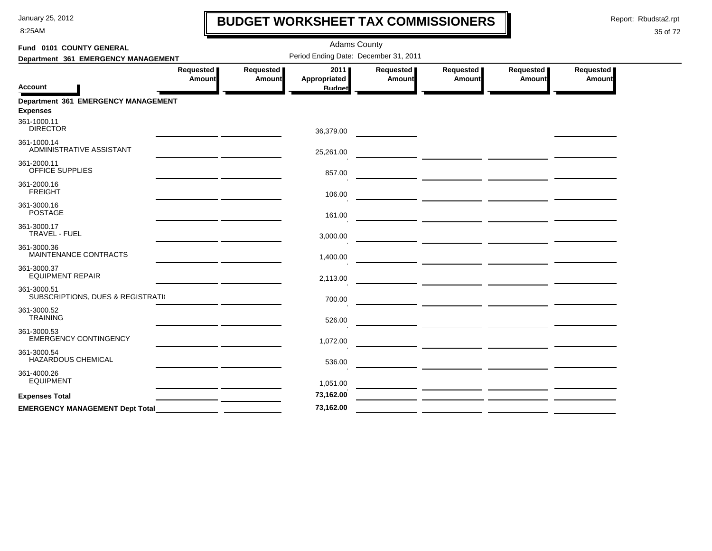8:25AM

## **BUDGET WORKSHEET TAX COMMISSIONERS**

Report: Rbudsta2.rpt

 $\mathbf l$ 

| Fund 0101 COUNTY GENERAL                               |                                                                                                                      |                     | <b>Adams County</b>                   |                     |                                                      |                     |                     |
|--------------------------------------------------------|----------------------------------------------------------------------------------------------------------------------|---------------------|---------------------------------------|---------------------|------------------------------------------------------|---------------------|---------------------|
| Department 361 EMERGENCY MANAGEMENT                    |                                                                                                                      |                     | Period Ending Date: December 31, 2011 |                     |                                                      |                     |                     |
| <b>Account</b>                                         | Requested  <br>Amount                                                                                                | Requested<br>Amount | 2011<br>Appropriated<br><b>Budget</b> | Requested<br>Amount | Requested  <br>Amount                                | Requested<br>Amount | Requested<br>Amount |
| Department 361 EMERGENCY MANAGEMENT<br><b>Expenses</b> |                                                                                                                      |                     |                                       |                     |                                                      |                     |                     |
| 361-1000.11<br><b>DIRECTOR</b>                         | <u> 1989 - Andrea State Barbara, poeta esp</u>                                                                       |                     | 36,379.00                             |                     |                                                      |                     |                     |
| 361-1000.14<br>ADMINISTRATIVE ASSISTANT                |                                                                                                                      |                     | 25,261.00                             |                     |                                                      |                     |                     |
| 361-2000.11<br><b>OFFICE SUPPLIES</b>                  |                                                                                                                      |                     | 857.00                                |                     |                                                      |                     |                     |
| 361-2000.16<br><b>FREIGHT</b>                          |                                                                                                                      |                     | 106.00                                |                     |                                                      |                     |                     |
| 361-3000.16<br><b>POSTAGE</b>                          |                                                                                                                      |                     | 161.00                                |                     |                                                      |                     |                     |
| 361-3000.17<br><b>TRAVEL - FUEL</b>                    |                                                                                                                      |                     | 3,000.00                              |                     |                                                      |                     |                     |
| 361-3000.36<br>MAINTENANCE CONTRACTS                   |                                                                                                                      |                     | 1,400.00                              |                     |                                                      |                     |                     |
| 361-3000.37<br><b>EQUIPMENT REPAIR</b>                 |                                                                                                                      |                     | 2,113.00                              |                     |                                                      |                     |                     |
| 361-3000.51<br>SUBSCRIPTIONS, DUES & REGISTRATI        |                                                                                                                      |                     | 700.00                                |                     | — <u>— — — — — — — — — — — — — — —</u>               |                     |                     |
| 361-3000.52<br><b>TRAINING</b>                         |                                                                                                                      |                     | 526.00                                |                     |                                                      |                     |                     |
| 361-3000.53<br><b>EMERGENCY CONTINGENCY</b>            |                                                                                                                      |                     | 1,072.00                              |                     |                                                      |                     |                     |
| 361-3000.54<br>HAZARDOUS CHEMICAL                      |                                                                                                                      |                     | 536.00                                |                     | <u> 1989 - Johann John Stein, mars et al. (1989)</u> |                     |                     |
| 361-4000.26<br><b>EQUIPMENT</b>                        | <u> 1989 - John Harry Barnett, mars and de la partie de la partie de la partie de la partie de la partie de la p</u> |                     | 1,051.00                              |                     |                                                      |                     |                     |
| <b>Expenses Total</b>                                  |                                                                                                                      |                     | 73,162.00                             |                     |                                                      |                     |                     |
| <b>EMERGENCY MANAGEMENT Dept Total</b>                 |                                                                                                                      |                     | 73,162.00                             |                     |                                                      |                     |                     |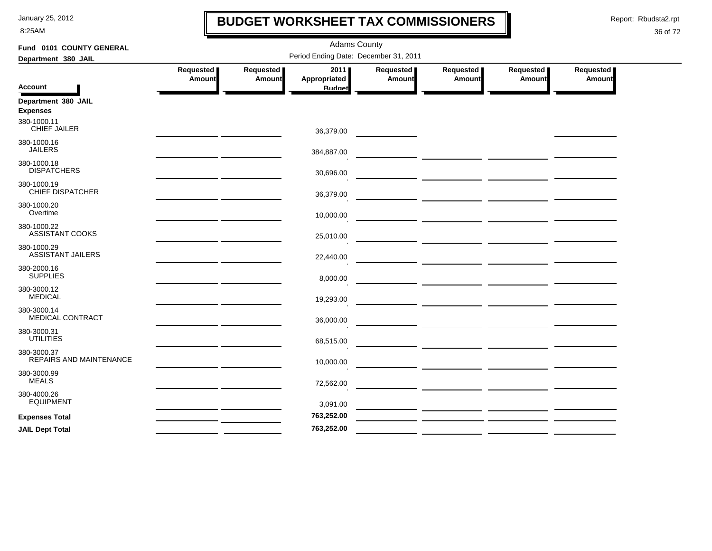8:25AM

### **BUDGET WORKSHEET TAX COMMISSIONERS**

Report: Rbudsta2.rpt

 $\mathbf l$ 

| Fund 0101 COUNTY GENERAL                |                                                       |                       | <b>Adams County</b>  |                     |                                      |                            |                     |
|-----------------------------------------|-------------------------------------------------------|-----------------------|----------------------|---------------------|--------------------------------------|----------------------------|---------------------|
| Department 380 JAIL                     | Period Ending Date: December 31, 2011                 |                       |                      |                     |                                      |                            |                     |
|                                         | Requested<br><b>Amount</b>                            | Requested  <br>Amount | 2011<br>Appropriated | Requested<br>Amount | Requested  <br>Amount                | Requested<br><b>Amount</b> | Requested<br>Amount |
| <b>Account</b>                          |                                                       |                       | <b>Budget</b>        |                     |                                      |                            |                     |
| Department 380 JAIL<br><b>Expenses</b>  |                                                       |                       |                      |                     |                                      |                            |                     |
| 380-1000.11<br><b>CHIEF JAILER</b>      |                                                       |                       | 36,379.00            |                     |                                      |                            |                     |
| 380-1000.16<br><b>JAILERS</b>           |                                                       |                       | 384,887.00           |                     |                                      |                            |                     |
| 380-1000.18<br><b>DISPATCHERS</b>       |                                                       |                       | 30,696.00            |                     |                                      |                            |                     |
| 380-1000.19<br>CHIEF DISPATCHER         |                                                       |                       | 36,379.00            |                     |                                      |                            |                     |
| 380-1000.20<br>Overtime                 |                                                       |                       | 10,000.00            |                     |                                      |                            |                     |
| 380-1000.22<br><b>ASSISTANT COOKS</b>   |                                                       |                       | 25,010.00            |                     |                                      |                            |                     |
| 380-1000.29<br><b>ASSISTANT JAILERS</b> | <u> 1989 - Andrea Andrew Maria Barbara, poeta esp</u> |                       | 22,440.00            |                     |                                      |                            |                     |
| 380-2000.16<br><b>SUPPLIES</b>          |                                                       |                       | 8,000.00             |                     |                                      |                            |                     |
| 380-3000.12<br>MEDICAL                  |                                                       |                       | 19,293.00            |                     |                                      |                            |                     |
| 380-3000.14<br>MEDICAL CONTRACT         |                                                       |                       | 36,000.00            |                     |                                      |                            |                     |
| 380-3000.31<br><b>UTILITIES</b>         |                                                       |                       | 68,515.00            |                     |                                      |                            |                     |
| 380-3000.37<br>REPAIRS AND MAINTENANCE  |                                                       |                       | 10,000.00            |                     |                                      |                            |                     |
| 380-3000.99<br><b>MEALS</b>             |                                                       |                       | 72,562.00            |                     |                                      |                            |                     |
| 380-4000.26<br><b>EQUIPMENT</b>         |                                                       |                       | 3,091.00             |                     |                                      |                            |                     |
| <b>Expenses Total</b>                   |                                                       |                       | 763,252.00           |                     | — <u>— — — — — — — — — — — — — —</u> |                            |                     |
| <b>JAIL Dept Total</b>                  |                                                       |                       | 763,252.00           |                     |                                      |                            |                     |
|                                         |                                                       |                       |                      |                     |                                      |                            |                     |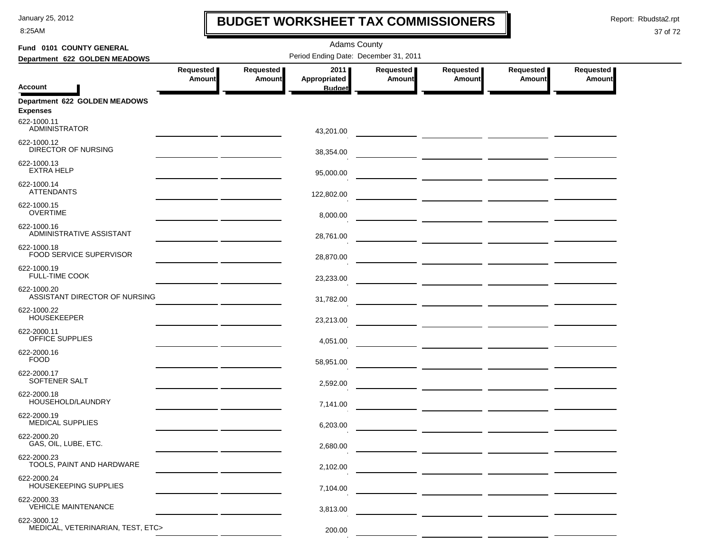8:25AM

# **BUDGET WORKSHEET TAX COMMISSIONERS**

Report: Rbudsta2.rpt

 $\mathbf I$ 

| Fund 0101 COUNTY GENERAL                         |                                         |           | <b>Adams County</b>                   |           |               |               |               |  |
|--------------------------------------------------|-----------------------------------------|-----------|---------------------------------------|-----------|---------------|---------------|---------------|--|
| Department 622 GOLDEN MEADOWS                    |                                         |           | Period Ending Date: December 31, 2011 |           |               |               |               |  |
|                                                  | Requested                               | Requested | 2011                                  | Requested | Requested     | Requested     | Requested     |  |
| <b>Account</b>                                   | Amount                                  | Amount    | Appropriated<br><b>Budget</b>         | Amount    | <b>Amount</b> | <b>Amount</b> | <b>Amount</b> |  |
| Department 622 GOLDEN MEADOWS<br><b>Expenses</b> |                                         |           |                                       |           |               |               |               |  |
| 622-1000.11<br><b>ADMINISTRATOR</b>              |                                         |           | 43,201.00                             |           |               |               |               |  |
| 622-1000.12<br>DIRECTOR OF NURSING               |                                         |           | 38,354.00                             |           |               |               |               |  |
| 622-1000.13<br><b>EXTRA HELP</b>                 |                                         |           | 95,000.00                             |           |               |               |               |  |
| 622-1000.14<br><b>ATTENDANTS</b>                 |                                         |           | 122,802.00                            |           |               |               |               |  |
| 622-1000.15<br><b>OVERTIME</b>                   |                                         |           | 8,000.00                              |           |               |               |               |  |
| 622-1000.16<br>ADMINISTRATIVE ASSISTANT          |                                         |           | 28,761.00                             |           |               |               |               |  |
| 622-1000.18<br>FOOD SERVICE SUPERVISOR           |                                         |           | 28,870.00                             |           |               |               |               |  |
| 622-1000.19<br><b>FULL-TIME COOK</b>             |                                         |           | 23,233.00                             |           |               |               |               |  |
| 622-1000.20<br>ASSISTANT DIRECTOR OF NURSING     |                                         |           | 31,782.00                             |           |               |               |               |  |
| 622-1000.22<br><b>HOUSEKEEPER</b>                | <u> 1989 - Johann Barbara, martin a</u> |           | 23,213.00                             |           |               |               |               |  |
| 622-2000.11<br>OFFICE SUPPLIES                   |                                         |           | 4,051.00                              |           |               |               |               |  |
| 622-2000.16<br><b>FOOD</b>                       |                                         |           | 58,951.00                             |           |               |               |               |  |
| 622-2000.17<br>SOFTENER SALT                     |                                         |           | 2,592.00                              |           |               |               |               |  |
| 622-2000.18<br>HOUSEHOLD/LAUNDRY                 |                                         |           | 7,141.00                              |           |               |               |               |  |
| 622-2000.19<br>MEDICAL SUPPLIES                  |                                         |           | 6,203.00                              |           |               |               |               |  |
| 622-2000.20<br>GAS, OIL, LUBE, ETC.              |                                         |           | 2,680.00                              |           |               |               |               |  |
| 622-2000.23<br>TOOLS, PAINT AND HARDWARE         |                                         |           | 2,102.00                              |           |               |               |               |  |
| 622-2000.24<br>HOUSEKEEPING SUPPLIES             |                                         |           | 7,104.00                              |           |               |               |               |  |
| 622-2000.33<br><b>VEHICLE MAINTENANCE</b>        |                                         |           | 3,813.00                              |           |               |               |               |  |
| 622-3000.12<br>MEDICAL, VETERINARIAN, TEST, ETC> |                                         |           | 200.00                                |           |               |               |               |  |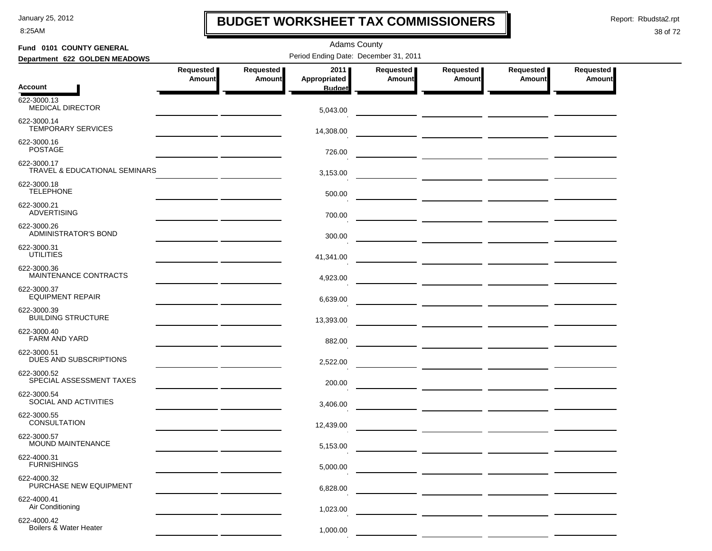8:25AM

# **BUDGET WORKSHEET TAX COMMISSIONERS**

Report: Rbudsta2.rpt

 $\mathbf I$ 

| Fund 0101 COUNTY GENERAL                         |                                                                                                                      |                     | <b>Adams County</b>  |                     |                                      |                       |                            |  |  |  |
|--------------------------------------------------|----------------------------------------------------------------------------------------------------------------------|---------------------|----------------------|---------------------|--------------------------------------|-----------------------|----------------------------|--|--|--|
| Department 622 GOLDEN MEADOWS                    | Period Ending Date: December 31, 2011                                                                                |                     |                      |                     |                                      |                       |                            |  |  |  |
|                                                  | Requested<br>Amount                                                                                                  | Requested<br>Amount | 2011<br>Appropriated | Requested<br>Amount | Requested  <br>Amount                | Requested  <br>Amount | Requested<br><b>Amount</b> |  |  |  |
| <b>Account</b>                                   |                                                                                                                      |                     | <b>Budget</b>        |                     |                                      |                       |                            |  |  |  |
| 622-3000.13<br><b>MEDICAL DIRECTOR</b>           |                                                                                                                      |                     | 5,043.00             |                     |                                      |                       |                            |  |  |  |
| 622-3000.14<br><b>TEMPORARY SERVICES</b>         | the control of the control of the control of                                                                         |                     | 14,308.00            |                     |                                      |                       |                            |  |  |  |
| 622-3000.16<br><b>POSTAGE</b>                    |                                                                                                                      |                     | 726.00               |                     |                                      |                       |                            |  |  |  |
| 622-3000.17<br>TRAVEL & EDUCATIONAL SEMINARS     |                                                                                                                      |                     | 3,153.00             |                     |                                      |                       |                            |  |  |  |
| 622-3000.18<br><b>TELEPHONE</b>                  |                                                                                                                      |                     | 500.00               |                     |                                      |                       |                            |  |  |  |
| 622-3000.21<br><b>ADVERTISING</b>                |                                                                                                                      |                     | 700.00               |                     |                                      |                       |                            |  |  |  |
| 622-3000.26<br>ADMINISTRATOR'S BOND              | <u> 1989 - John Stone, Amerikan bisa pada salah sahiji dari sebagai sebagai sebagai sebagai sebagai sebagai seba</u> |                     | 300.00               |                     |                                      |                       |                            |  |  |  |
| 622-3000.31<br><b>UTILITIES</b>                  |                                                                                                                      |                     | 41,341.00            |                     |                                      |                       |                            |  |  |  |
| 622-3000.36<br><b>MAINTENANCE CONTRACTS</b>      |                                                                                                                      |                     | 4,923.00             |                     |                                      |                       |                            |  |  |  |
| 622-3000.37<br><b>EQUIPMENT REPAIR</b>           | the contract of the contract of the                                                                                  |                     | 6,639.00             |                     |                                      |                       |                            |  |  |  |
| 622-3000.39<br><b>BUILDING STRUCTURE</b>         |                                                                                                                      |                     | 13,393.00            |                     | — <u>— — — — — — — — — — — — — —</u> |                       |                            |  |  |  |
| 622-3000.40<br>FARM AND YARD                     |                                                                                                                      |                     | 882.00               |                     |                                      |                       |                            |  |  |  |
| 622-3000.51<br>DUES AND SUBSCRIPTIONS            |                                                                                                                      |                     | 2,522.00             |                     |                                      |                       |                            |  |  |  |
| 622-3000.52<br>SPECIAL ASSESSMENT TAXES          |                                                                                                                      |                     | 200.00               |                     |                                      |                       |                            |  |  |  |
| 622-3000.54<br>SOCIAL AND ACTIVITIES             |                                                                                                                      |                     | 3,406.00             |                     |                                      |                       |                            |  |  |  |
| 622-3000.55<br>CONSULTATION                      |                                                                                                                      |                     | 12,439.00            |                     |                                      |                       |                            |  |  |  |
| 622-3000.57<br>MOUND MAINTENANCE                 |                                                                                                                      |                     | 5,153.00             |                     |                                      |                       |                            |  |  |  |
| 622-4000.31<br><b>FURNISHINGS</b>                |                                                                                                                      |                     | 5,000.00             |                     |                                      |                       |                            |  |  |  |
| 622-4000.32<br>PURCHASE NEW EQUIPMENT            |                                                                                                                      |                     | 6,828.00             |                     |                                      |                       |                            |  |  |  |
| 622-4000.41<br>Air Conditioning                  |                                                                                                                      |                     | 1,023.00             |                     |                                      |                       |                            |  |  |  |
| 622-4000.42<br><b>Boilers &amp; Water Heater</b> |                                                                                                                      |                     | 1,000.00             |                     |                                      |                       |                            |  |  |  |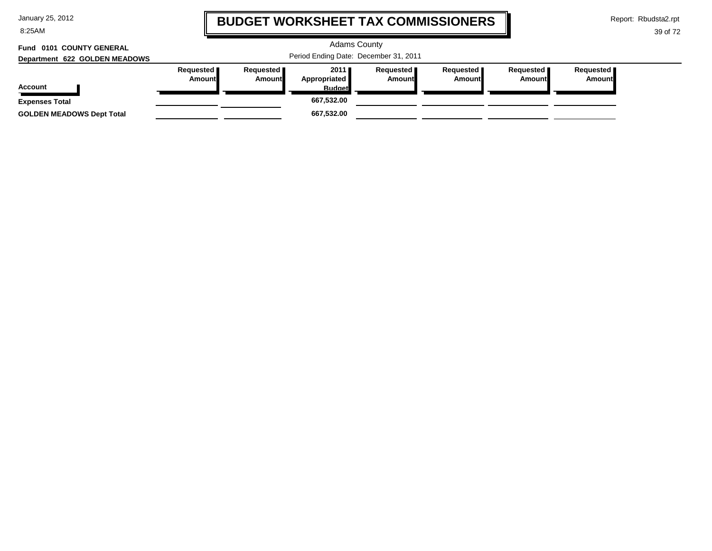8:25AM

# **BUDGET WORKSHEET TAX COMMISSIONERS**

Report: Rbudsta2.rpt

 $\mathbf \mathbf I$ 

| Fund 0101 COUNTY GENERAL<br>Department 622 GOLDEN MEADOWS |                       | <b>Adams County</b><br>Period Ending Date: December 31, 2011 |                                                               |                              |                            |                                     |                               |  |  |
|-----------------------------------------------------------|-----------------------|--------------------------------------------------------------|---------------------------------------------------------------|------------------------------|----------------------------|-------------------------------------|-------------------------------|--|--|
| Account                                                   | Requested  <br>Amount | Requested <b>I</b><br>Amount                                 | $2011$ $\blacksquare$<br><b>Appropriated</b><br><b>Budget</b> | Requested <b>I</b><br>Amount | Requested<br><b>Amount</b> | Requested <b>I</b><br><b>Amount</b> | Requested   <br><b>Amount</b> |  |  |
| <b>Expenses Total</b><br><b>GOLDEN MEADOWS Dept Total</b> |                       |                                                              | 667.532.00<br>667,532.00                                      |                              |                            |                                     |                               |  |  |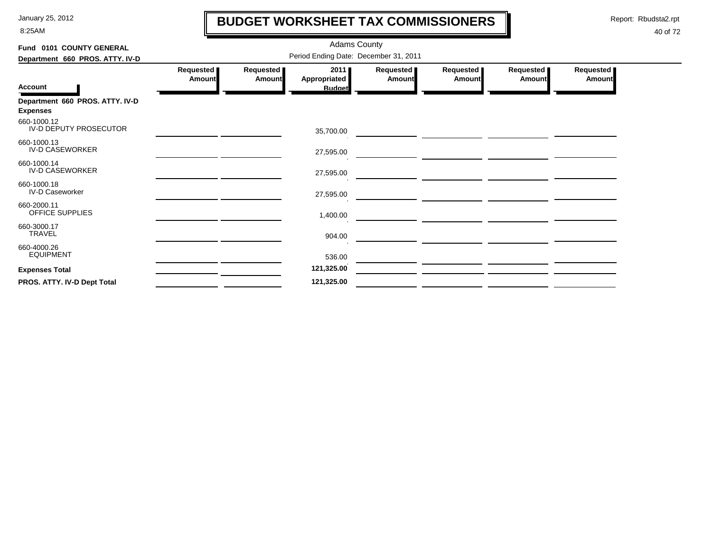8:25AM

# **BUDGET WORKSHEET TAX COMMISSIONERS**

Report: Rbudsta2.rpt

 $\mathbf \mathbf I$ 

| Fund 0101 COUNTY GENERAL                           |                                       |                            | <b>Adams County</b>                   |                            |                            |                     |                     |  |  |  |
|----------------------------------------------------|---------------------------------------|----------------------------|---------------------------------------|----------------------------|----------------------------|---------------------|---------------------|--|--|--|
| Department 660 PROS. ATTY. IV-D                    | Period Ending Date: December 31, 2011 |                            |                                       |                            |                            |                     |                     |  |  |  |
| <b>Account</b>                                     | Requested<br><b>Amount</b>            | Requested<br><b>Amount</b> | 2011<br>Appropriated<br><b>Budget</b> | Requested<br><b>Amount</b> | Requested<br><b>Amount</b> | Requested<br>Amount | Requested<br>Amount |  |  |  |
| Department 660 PROS. ATTY. IV-D<br><b>Expenses</b> |                                       |                            |                                       |                            |                            |                     |                     |  |  |  |
| 660-1000.12<br>IV-D DEPUTY PROSECUTOR              |                                       |                            | 35,700.00                             |                            |                            |                     |                     |  |  |  |
| 660-1000.13<br><b>IV-D CASEWORKER</b>              |                                       |                            | 27,595.00                             |                            |                            |                     |                     |  |  |  |
| 660-1000.14<br><b>IV-D CASEWORKER</b>              |                                       |                            | 27,595.00                             |                            |                            |                     |                     |  |  |  |
| 660-1000.18<br><b>IV-D Caseworker</b>              |                                       |                            | 27,595.00                             |                            |                            |                     |                     |  |  |  |
| 660-2000.11<br>OFFICE SUPPLIES                     |                                       |                            | 1,400.00                              |                            |                            |                     |                     |  |  |  |
| 660-3000.17<br><b>TRAVEL</b>                       |                                       |                            | 904.00                                |                            |                            |                     |                     |  |  |  |
| 660-4000.26<br><b>EQUIPMENT</b>                    |                                       |                            | 536.00                                |                            |                            |                     |                     |  |  |  |
| <b>Expenses Total</b>                              |                                       |                            | 121,325.00                            |                            |                            |                     |                     |  |  |  |
| PROS. ATTY. IV-D Dept Total                        |                                       |                            | 121,325.00                            |                            |                            |                     |                     |  |  |  |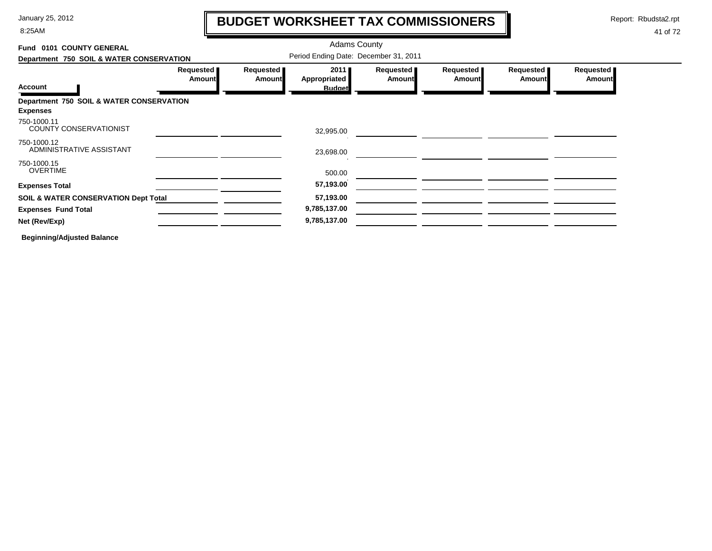8:25AM

# **BUDGET WORKSHEET TAX COMMISSIONERS**

Report: Rbudsta2.rpt

 $\mathbf l$ 

### 41 of 72

| Fund 0101 COUNTY GENERAL                                    |                            |                            | <b>Adams County</b>                   |                            |                     |                     |                     |
|-------------------------------------------------------------|----------------------------|----------------------------|---------------------------------------|----------------------------|---------------------|---------------------|---------------------|
| Department 750 SOIL & WATER CONSERVATION                    |                            |                            | Period Ending Date: December 31, 2011 |                            |                     |                     |                     |
|                                                             | Requested<br><b>Amount</b> | Requested<br><b>Amount</b> | 2011<br>Appropriated                  | Requested<br><b>Amount</b> | Requested<br>Amount | Requested<br>Amount | Requested<br>Amount |
| Account                                                     |                            |                            | <b>Budget</b>                         |                            |                     |                     |                     |
| Department 750 SOIL & WATER CONSERVATION<br><b>Expenses</b> |                            |                            |                                       |                            |                     |                     |                     |
| 750-1000.11<br><b>COUNTY CONSERVATIONIST</b>                |                            |                            | 32,995.00                             |                            |                     |                     |                     |
| 750-1000.12<br>ADMINISTRATIVE ASSISTANT                     |                            |                            | 23,698.00                             |                            |                     |                     |                     |
| 750-1000.15<br><b>OVERTIME</b>                              |                            |                            | 500.00                                |                            |                     |                     |                     |
| <b>Expenses Total</b>                                       |                            |                            | 57,193.00                             |                            |                     |                     |                     |
| <b>SOIL &amp; WATER CONSERVATION Dept Total</b>             |                            |                            | 57,193.00                             |                            |                     |                     |                     |
| <b>Expenses Fund Total</b>                                  |                            |                            | 9,785,137.00                          |                            |                     |                     |                     |
| Net (Rev/Exp)                                               |                            |                            | 9,785,137.00                          |                            |                     |                     |                     |
|                                                             |                            |                            |                                       |                            |                     |                     |                     |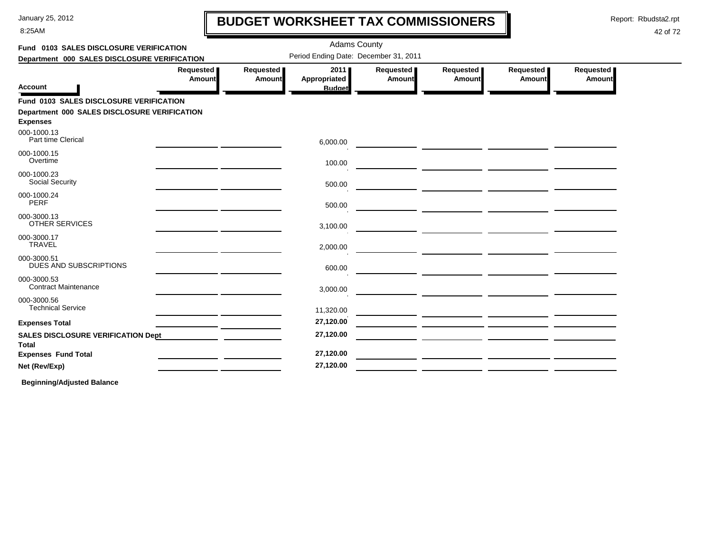8:25AM

# **BUDGET WORKSHEET TAX COMMISSIONERS**

Report: Rbudsta2.rpt

 $\mathbf l$ 

### 42 of 72

| Fund 0103 SALES DISCLOSURE VERIFICATION                         |                                          |                     | <b>Adams County</b>                   |                            |                                                                                                                      |                            |                                   |  |
|-----------------------------------------------------------------|------------------------------------------|---------------------|---------------------------------------|----------------------------|----------------------------------------------------------------------------------------------------------------------|----------------------------|-----------------------------------|--|
| Department 000 SALES DISCLOSURE VERIFICATION                    |                                          |                     | Period Ending Date: December 31, 2011 |                            |                                                                                                                      |                            |                                   |  |
| <b>Account</b>                                                  | Requested<br><b>Amount</b>               | Requested<br>Amount | 2011<br>Appropriated<br><b>Budget</b> | Requested<br><b>Amount</b> | Requested  <br>Amount                                                                                                | Requested<br><b>Amount</b> | <b>Requested</b><br><b>Amount</b> |  |
| Fund 0103 SALES DISCLOSURE VERIFICATION                         |                                          |                     |                                       |                            |                                                                                                                      |                            |                                   |  |
| Department 000 SALES DISCLOSURE VERIFICATION<br><b>Expenses</b> |                                          |                     |                                       |                            |                                                                                                                      |                            |                                   |  |
| 000-1000.13<br>Part time Clerical                               |                                          |                     | 6,000.00                              |                            | <u> Andreas Andreas Andreas Andreas Andreas Andreas Andreas Andreas Andreas Andreas Andreas Andreas Andreas Andr</u> |                            |                                   |  |
| 000-1000.15<br>Overtime                                         |                                          |                     | 100.00                                |                            |                                                                                                                      |                            |                                   |  |
| 000-1000.23<br><b>Social Security</b>                           |                                          |                     | 500.00                                |                            |                                                                                                                      |                            |                                   |  |
| 000-1000.24<br>PERF                                             |                                          |                     | 500.00                                |                            |                                                                                                                      |                            |                                   |  |
| 000-3000.13<br><b>OTHER SERVICES</b>                            |                                          |                     | 3,100.00                              |                            |                                                                                                                      |                            |                                   |  |
| 000-3000.17<br><b>TRAVEL</b>                                    |                                          |                     | 2,000.00                              |                            |                                                                                                                      |                            |                                   |  |
| 000-3000.51<br>DUES AND SUBSCRIPTIONS                           |                                          |                     | 600.00                                |                            |                                                                                                                      |                            |                                   |  |
| 000-3000.53<br><b>Contract Maintenance</b>                      |                                          |                     | 3,000.00                              |                            |                                                                                                                      |                            |                                   |  |
| 000-3000.56<br><b>Technical Service</b>                         | <u> 1989 - Jan Jawa Barat, pamanén a</u> |                     | 11,320.00                             |                            |                                                                                                                      |                            |                                   |  |
| <b>Expenses Total</b>                                           |                                          |                     | 27,120.00                             |                            |                                                                                                                      |                            |                                   |  |
| <b>SALES DISCLOSURE VERIFICATION Dept</b><br>Total              |                                          |                     | 27,120.00                             |                            |                                                                                                                      |                            |                                   |  |
| <b>Expenses Fund Total</b>                                      |                                          |                     | 27,120.00                             |                            |                                                                                                                      |                            |                                   |  |
| Net (Rev/Exp)                                                   |                                          |                     | 27,120.00                             |                            |                                                                                                                      |                            |                                   |  |
|                                                                 |                                          |                     |                                       |                            |                                                                                                                      |                            |                                   |  |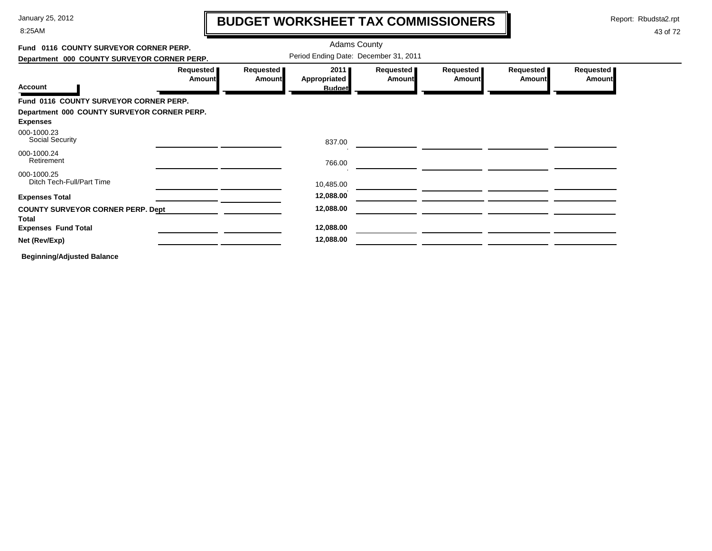8:25AM

# **BUDGET WORKSHEET TAX COMMISSIONERS**

Report: Rbudsta2.rpt

43 of 72

#### Adams County **Fund 0116 COUNTY SURVEYOR CORNER PERP.**Period Ending Date: December 31, 2011 **Department 000 COUNTY SURVEYOR CORNER PERP. Requested Requested Requested Requested Requested Requested 2011 AmountAmountAmountAppropriated Amount Amount Amount Account Budget Fund 0116 COUNTY SURVEYOR CORNER PERP. Department 000 COUNTY SURVEYOR CORNER PERP. Expenses** Social Security 000-1000.23 837.00<u> Alexandria de la contexta de la contexta de la contexta de la contexta de la contexta de la contexta de la c</u> 000-1000.24Retirement 766.00 <u> The Common State (1999)</u> 000-1000.25Ditch Tech-Full/Part Time 10,485.00 **Expenses Total 12,088.00 COUNTY SURVEYOR CORNER PERP. Dept 12,088.00 TotalExpenses Fund Total 12,088.00 Net (Rev/Exp) 12,088.00**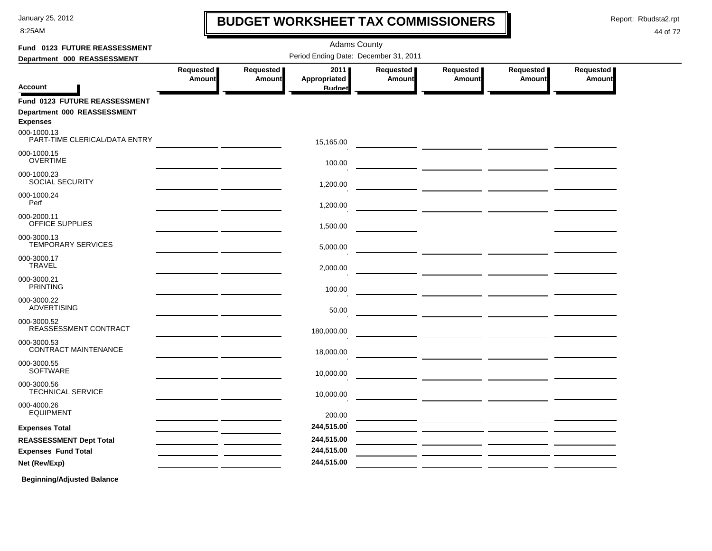8:25AM

# **BUDGET WORKSHEET TAX COMMISSIONERS**

Report: Rbudsta2.rpt

 $\mathbf I$ 

| Fund 0123 FUTURE REASSESSMENT                  |                            |                     | <b>Adams County</b>                   |                     |                                                                                                                      |                            |                     |
|------------------------------------------------|----------------------------|---------------------|---------------------------------------|---------------------|----------------------------------------------------------------------------------------------------------------------|----------------------------|---------------------|
| Department 000 REASSESSMENT                    |                            |                     | Period Ending Date: December 31, 2011 |                     |                                                                                                                      |                            |                     |
| Account                                        | Requested<br><b>Amount</b> | Requested<br>Amount | 2011<br>Appropriated<br><b>Budget</b> | Requested<br>Amount | Requested<br>Amount                                                                                                  | Requested<br><b>Amount</b> | Requested<br>Amount |
| Fund 0123 FUTURE REASSESSMENT                  |                            |                     |                                       |                     |                                                                                                                      |                            |                     |
| Department 000 REASSESSMENT<br><b>Expenses</b> |                            |                     |                                       |                     |                                                                                                                      |                            |                     |
| 000-1000.13<br>PART-TIME CLERICAL/DATA ENTRY   |                            |                     | 15,165.00                             |                     |                                                                                                                      |                            |                     |
| 000-1000.15<br><b>OVERTIME</b>                 |                            |                     | 100.00                                |                     |                                                                                                                      |                            |                     |
| 000-1000.23<br><b>SOCIAL SECURITY</b>          |                            |                     | 1,200.00                              |                     |                                                                                                                      |                            |                     |
| 000-1000.24<br>Perf                            |                            |                     | 1,200.00                              |                     |                                                                                                                      |                            |                     |
| 000-2000.11<br>OFFICE SUPPLIES                 |                            |                     | 1,500.00                              |                     |                                                                                                                      |                            |                     |
| 000-3000.13<br><b>TEMPORARY SERVICES</b>       |                            |                     | 5,000.00                              |                     |                                                                                                                      |                            |                     |
| 000-3000.17<br><b>TRAVEL</b>                   |                            |                     | 2,000.00                              |                     | <u> Alexandria de la contrada de la contrada de la contrada de la contrada de la contrada de la contrada de la c</u> |                            |                     |
| 000-3000.21<br><b>PRINTING</b>                 |                            |                     | 100.00                                |                     |                                                                                                                      |                            |                     |
| 000-3000.22<br><b>ADVERTISING</b>              |                            |                     | 50.00                                 |                     |                                                                                                                      |                            |                     |
| 000-3000.52<br>REASSESSMENT CONTRACT           |                            |                     | 180,000.00                            |                     |                                                                                                                      |                            |                     |
| 000-3000.53<br>CONTRACT MAINTENANCE            |                            |                     | 18,000.00                             |                     | <u> 1999 - Johann John Stone, mars and de la partie de la partie de la partie de la partie de la partie de la pa</u> |                            |                     |
| 000-3000.55<br><b>SOFTWARE</b>                 |                            |                     | 10,000.00                             |                     |                                                                                                                      |                            |                     |
| 000-3000.56<br><b>TECHNICAL SERVICE</b>        |                            |                     | 10,000.00                             |                     |                                                                                                                      |                            |                     |
| 000-4000.26<br><b>EQUIPMENT</b>                |                            |                     | 200.00                                |                     |                                                                                                                      |                            |                     |
| <b>Expenses Total</b>                          |                            |                     | 244,515.00                            |                     |                                                                                                                      |                            |                     |
| <b>REASSESSMENT Dept Total</b>                 |                            |                     | 244,515.00                            |                     |                                                                                                                      |                            |                     |
| <b>Expenses Fund Total</b>                     |                            |                     | 244,515.00                            |                     |                                                                                                                      |                            |                     |
| Net (Rev/Exp)                                  |                            |                     | 244,515.00                            |                     |                                                                                                                      |                            |                     |
| <b>Beginning/Adjusted Balance</b>              |                            |                     |                                       |                     |                                                                                                                      |                            |                     |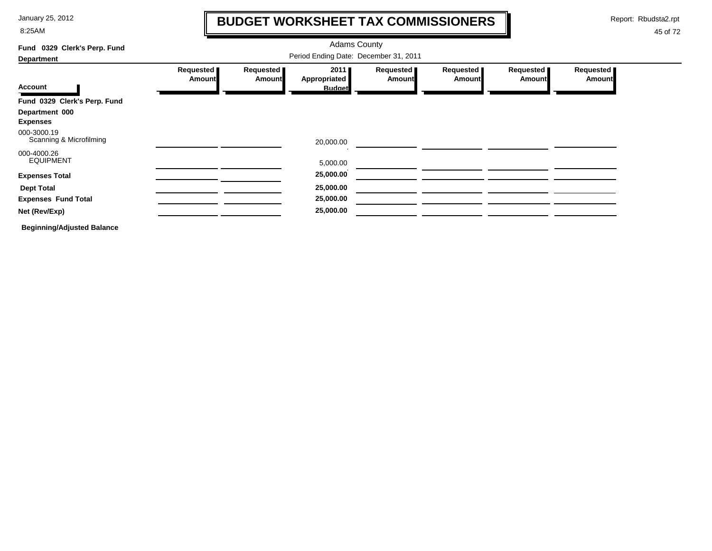8:25AM

# **BUDGET WORKSHEET TAX COMMISSIONERS**

Report: Rbudsta2.rpt

 $\mathbf I$ 

| Fund 0329 Clerk's Perp. Fund           |                                       |                            | <b>Adams County</b>         |                            |                            |                            |                            |  |  |
|----------------------------------------|---------------------------------------|----------------------------|-----------------------------|----------------------------|----------------------------|----------------------------|----------------------------|--|--|
| <b>Department</b>                      | Period Ending Date: December 31, 2011 |                            |                             |                            |                            |                            |                            |  |  |
|                                        | Requested<br><b>Amount</b>            | Requested<br><b>Amount</b> | 2011<br><b>Appropriated</b> | Requested<br><b>Amount</b> | Requested<br><b>Amount</b> | Requested<br><b>Amount</b> | Requested<br><b>Amount</b> |  |  |
| <b>Account</b>                         |                                       |                            | <b>Budget</b>               |                            |                            |                            |                            |  |  |
| Fund 0329 Clerk's Perp. Fund           |                                       |                            |                             |                            |                            |                            |                            |  |  |
| Department 000                         |                                       |                            |                             |                            |                            |                            |                            |  |  |
| <b>Expenses</b>                        |                                       |                            |                             |                            |                            |                            |                            |  |  |
| 000-3000.19<br>Scanning & Microfilming |                                       |                            | 20,000.00                   |                            |                            |                            |                            |  |  |
| 000-4000.26<br><b>EQUIPMENT</b>        |                                       |                            | 5,000.00                    |                            |                            |                            |                            |  |  |
|                                        |                                       |                            | 25,000.00                   |                            |                            |                            |                            |  |  |
| <b>Expenses Total</b>                  |                                       |                            |                             |                            |                            |                            |                            |  |  |
| <b>Dept Total</b>                      |                                       |                            | 25,000.00                   |                            |                            |                            |                            |  |  |
| <b>Expenses Fund Total</b>             |                                       |                            | 25,000.00                   |                            |                            |                            |                            |  |  |
| Net (Rev/Exp)                          |                                       |                            | 25,000.00                   |                            |                            |                            |                            |  |  |
| <b>Beginning/Adjusted Balance</b>      |                                       |                            |                             |                            |                            |                            |                            |  |  |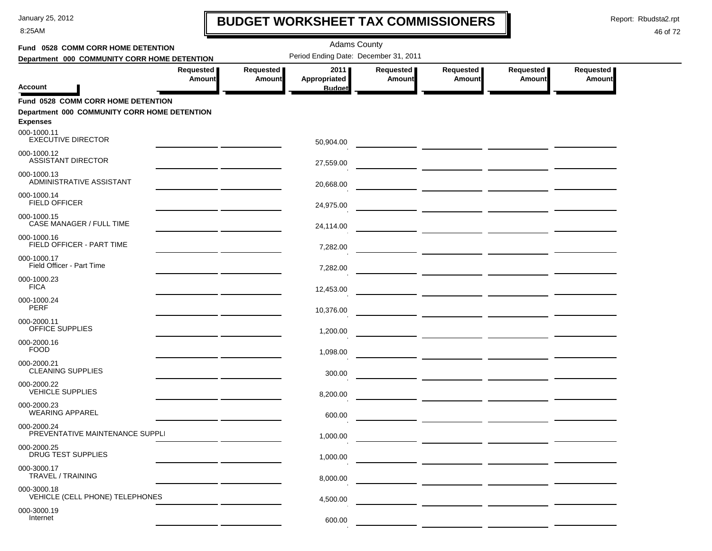8:25AM

# **BUDGET WORKSHEET TAX COMMISSIONERS**

Report: Rbudsta2.rpt

 $\mathbf l$ 

| Fund 0528 COMM CORR HOME DETENTION                                                                    |                            |                            | <b>Adams County</b>                   |                     |                                              |                            |                            |
|-------------------------------------------------------------------------------------------------------|----------------------------|----------------------------|---------------------------------------|---------------------|----------------------------------------------|----------------------------|----------------------------|
| Department 000 COMMUNITY CORR HOME DETENTION                                                          |                            |                            | Period Ending Date: December 31, 2011 |                     |                                              |                            |                            |
| <b>Account</b>                                                                                        | Requested<br><b>Amount</b> | Requested<br><b>Amount</b> | 2011<br>Appropriated<br><b>Budget</b> | Requested<br>Amount | Requested<br>Amount                          | Requested<br><b>Amount</b> | Requested<br><b>Amount</b> |
| Fund 0528 COMM CORR HOME DETENTION<br>Department 000 COMMUNITY CORR HOME DETENTION<br><b>Expenses</b> |                            |                            |                                       |                     |                                              |                            |                            |
| 000-1000.11<br><b>EXECUTIVE DIRECTOR</b>                                                              |                            |                            | 50,904.00                             |                     |                                              |                            |                            |
| 000-1000.12<br><b>ASSISTANT DIRECTOR</b>                                                              |                            |                            | 27,559.00                             |                     |                                              |                            |                            |
| 000-1000.13<br>ADMINISTRATIVE ASSISTANT                                                               |                            |                            | 20,668.00                             |                     |                                              |                            |                            |
| 000-1000.14<br>FIELD OFFICER                                                                          |                            |                            | 24,975.00                             |                     |                                              |                            |                            |
| 000-1000.15<br>CASE MANAGER / FULL TIME                                                               |                            |                            | 24,114.00                             |                     |                                              |                            |                            |
| 000-1000.16<br>FIELD OFFICER - PART TIME                                                              |                            |                            | 7,282.00                              |                     |                                              |                            |                            |
| 000-1000.17<br>Field Officer - Part Time                                                              |                            |                            | 7,282.00                              |                     |                                              |                            |                            |
| 000-1000.23<br><b>FICA</b>                                                                            |                            |                            | 12,453.00                             |                     | <u> The Common State Common State Common</u> |                            |                            |
| 000-1000.24<br><b>PERF</b>                                                                            |                            |                            |                                       |                     |                                              |                            |                            |
| 000-2000.11<br>OFFICE SUPPLIES                                                                        |                            |                            | 10,376.00                             |                     |                                              |                            |                            |
| 000-2000.16<br><b>FOOD</b>                                                                            |                            |                            | 1,200.00                              |                     |                                              |                            |                            |
| 000-2000.21<br><b>CLEANING SUPPLIES</b>                                                               |                            |                            | 1,098.00                              |                     |                                              |                            |                            |
| 000-2000.22                                                                                           |                            |                            | 300.00                                |                     |                                              |                            |                            |
| <b>VEHICLE SUPPLIES</b><br>000-2000.23                                                                |                            |                            | 8,200.00                              |                     |                                              |                            |                            |
| <b>WEARING APPAREL</b><br>000-2000.24                                                                 |                            |                            | 600.00                                |                     |                                              |                            |                            |
| PREVENTATIVE MAINTENANCE SUPPLI<br>000-2000.25                                                        |                            |                            | 1,000.00                              |                     |                                              |                            |                            |
| <b>DRUG TEST SUPPLIES</b>                                                                             |                            |                            | 1,000.00                              |                     |                                              |                            |                            |
| 000-3000.17<br><b>TRAVEL / TRAINING</b>                                                               |                            |                            | 8,000.00                              |                     |                                              |                            |                            |
| 000-3000.18<br>VEHICLE (CELL PHONE) TELEPHONES                                                        |                            |                            | 4,500.00                              |                     |                                              |                            |                            |
| 000-3000.19<br>Internet                                                                               |                            |                            | 600.00                                |                     |                                              |                            |                            |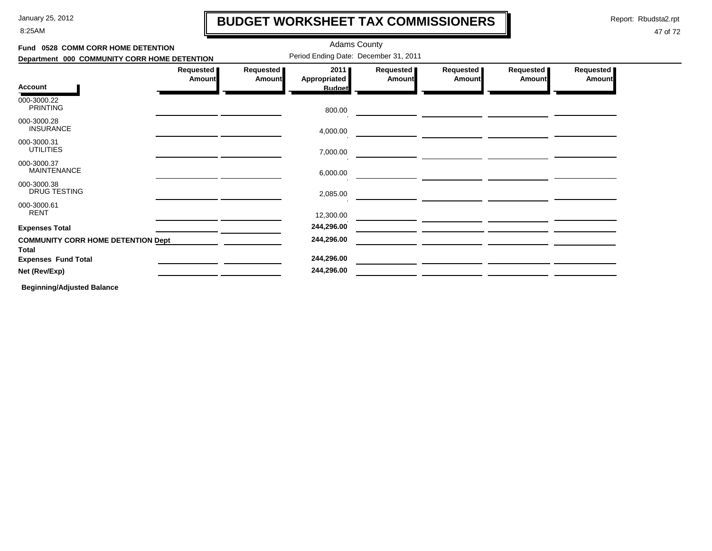8:25AM

# **BUDGET WORKSHEET TAX COMMISSIONERS**

Report: Rbudsta2.rpt

### 47 of 72

| Fund 0528 COMM CORR HOME DETENTION                        |                     |                                       | <b>Adams County</b>                   |                            |                     |                     |                              |  |  |
|-----------------------------------------------------------|---------------------|---------------------------------------|---------------------------------------|----------------------------|---------------------|---------------------|------------------------------|--|--|
| Department 000 COMMUNITY CORR HOME DETENTION              |                     | Period Ending Date: December 31, 2011 |                                       |                            |                     |                     |                              |  |  |
| <b>Account</b>                                            | Requested<br>Amount | Requested<br><b>Amount</b>            | 2011<br>Appropriated<br><b>Budget</b> | Requested<br><b>Amount</b> | Requested<br>Amount | Requested<br>Amount | Requested  <br><b>Amount</b> |  |  |
| 000-3000.22<br><b>PRINTING</b>                            |                     |                                       | 800.00                                |                            |                     |                     |                              |  |  |
| 000-3000.28<br><b>INSURANCE</b>                           |                     |                                       | 4,000.00                              |                            |                     |                     |                              |  |  |
| 000-3000.31<br><b>UTILITIES</b>                           |                     |                                       | 7,000.00                              |                            |                     |                     |                              |  |  |
| 000-3000.37<br><b>MAINTENANCE</b>                         |                     |                                       | 6,000.00                              |                            |                     |                     |                              |  |  |
| 000-3000.38<br><b>DRUG TESTING</b>                        |                     |                                       | 2,085.00                              |                            |                     |                     |                              |  |  |
| 000-3000.61<br><b>RENT</b>                                |                     |                                       | 12,300.00                             |                            |                     |                     |                              |  |  |
| <b>Expenses Total</b>                                     |                     |                                       | 244,296.00                            |                            |                     |                     |                              |  |  |
| <b>COMMUNITY CORR HOME DETENTION Dept</b><br><b>Total</b> |                     |                                       | 244,296.00                            |                            |                     |                     |                              |  |  |
| <b>Expenses Fund Total</b>                                |                     |                                       | 244,296.00                            |                            |                     |                     |                              |  |  |
| Net (Rev/Exp)                                             |                     |                                       | 244,296.00                            |                            |                     |                     |                              |  |  |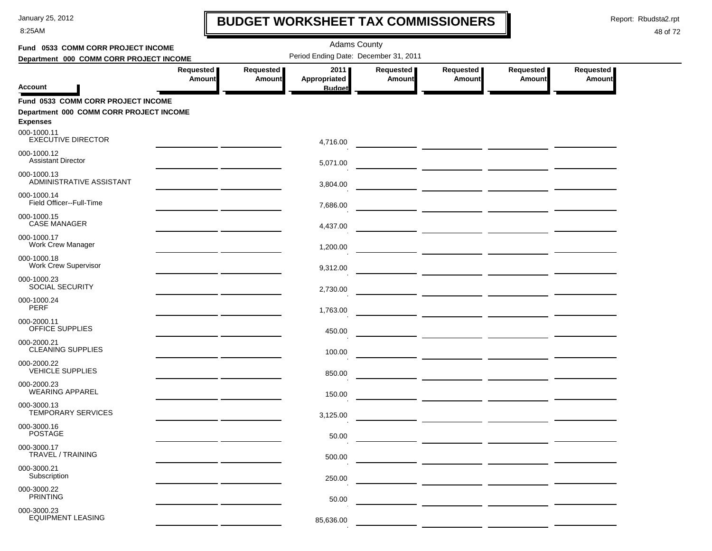8:25AM

# **BUDGET WORKSHEET TAX COMMISSIONERS**

Report: Rbudsta2.rpt

 $\mathbf l$ 

| Fund 0533 COMM CORR PROJECT INCOME                                                               |                            |                            | <b>Adams County</b>                   |                                   |                            |                     |                            |  |
|--------------------------------------------------------------------------------------------------|----------------------------|----------------------------|---------------------------------------|-----------------------------------|----------------------------|---------------------|----------------------------|--|
| Department 000 COMM CORR PROJECT INCOME                                                          |                            |                            | Period Ending Date: December 31, 2011 |                                   |                            |                     |                            |  |
|                                                                                                  | Requested<br><b>Amount</b> | <b>Requested</b><br>Amount | 2011<br>Appropriated                  | <b>Requested</b><br><b>Amount</b> | Requested<br><b>Amount</b> | Requested<br>Amount | Requested<br><b>Amount</b> |  |
| Account                                                                                          |                            |                            | <b>Budget</b>                         |                                   |                            |                     |                            |  |
| Fund 0533 COMM CORR PROJECT INCOME<br>Department 000 COMM CORR PROJECT INCOME<br><b>Expenses</b> |                            |                            |                                       |                                   |                            |                     |                            |  |
| 000-1000.11<br><b>EXECUTIVE DIRECTOR</b>                                                         |                            |                            | 4,716.00                              |                                   |                            |                     |                            |  |
| 000-1000.12<br><b>Assistant Director</b>                                                         |                            |                            | 5,071.00                              |                                   |                            |                     |                            |  |
| 000-1000.13<br>ADMINISTRATIVE ASSISTANT                                                          |                            |                            | 3,804.00                              |                                   |                            |                     |                            |  |
| 000-1000.14<br>Field Officer--Full-Time                                                          |                            |                            | 7,686.00                              |                                   |                            |                     |                            |  |
| 000-1000.15<br><b>CASE MANAGER</b>                                                               |                            |                            | 4,437.00                              |                                   |                            |                     |                            |  |
| 000-1000.17<br>Work Crew Manager                                                                 |                            |                            | 1,200.00                              |                                   |                            |                     |                            |  |
| 000-1000.18<br><b>Work Crew Supervisor</b>                                                       |                            |                            | 9,312.00                              |                                   |                            |                     |                            |  |
| 000-1000.23<br>SOCIAL SECURITY                                                                   |                            |                            | 2,730.00                              |                                   |                            |                     |                            |  |
| 000-1000.24<br><b>PERF</b>                                                                       |                            |                            | 1,763.00                              |                                   |                            |                     |                            |  |
| 000-2000.11<br>OFFICE SUPPLIES                                                                   |                            |                            | 450.00                                |                                   |                            |                     |                            |  |
| 000-2000.21<br><b>CLEANING SUPPLIES</b>                                                          |                            |                            | 100.00                                |                                   |                            |                     |                            |  |
| 000-2000.22<br><b>VEHICLE SUPPLIES</b>                                                           |                            |                            | 850.00                                |                                   |                            |                     |                            |  |
| 000-2000.23<br><b>WEARING APPAREL</b>                                                            |                            |                            | 150.00                                |                                   |                            |                     |                            |  |
| 000-3000.13<br><b>TEMPORARY SERVICES</b>                                                         |                            |                            | 3,125.00                              |                                   |                            |                     |                            |  |
| 000-3000.16<br><b>POSTAGE</b>                                                                    |                            |                            | 50.00                                 |                                   |                            |                     |                            |  |
| 000-3000.17<br><b>TRAVEL / TRAINING</b>                                                          |                            |                            | 500.00                                |                                   |                            |                     |                            |  |
| 000-3000.21<br>Subscription                                                                      |                            |                            | 250.00                                |                                   |                            |                     |                            |  |
| 000-3000.22<br><b>PRINTING</b>                                                                   |                            |                            | 50.00                                 |                                   |                            |                     |                            |  |
| 000-3000.23<br><b>EQUIPMENT LEASING</b>                                                          |                            |                            | 85,636.00                             |                                   |                            |                     |                            |  |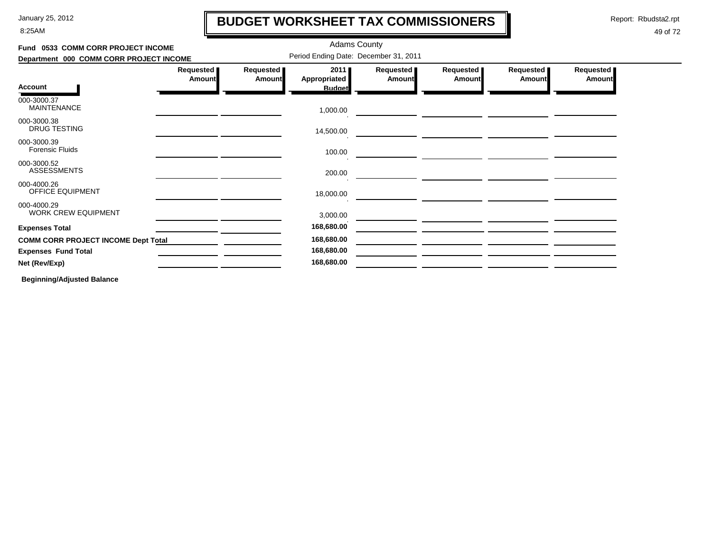8:25AM

# **BUDGET WORKSHEET TAX COMMISSIONERS**

Report: Rbudsta2.rpt

I

### 49 of 72

| Fund 0533 COMM CORR PROJECT INCOME         |                     |                                       | <b>Adams County</b>  |                            |                            |                              |                     |  |  |  |  |
|--------------------------------------------|---------------------|---------------------------------------|----------------------|----------------------------|----------------------------|------------------------------|---------------------|--|--|--|--|
| Department 000 COMM CORR PROJECT INCOME    |                     | Period Ending Date: December 31, 2011 |                      |                            |                            |                              |                     |  |  |  |  |
|                                            | Requested<br>Amount | Requested<br><b>Amount</b>            | 2011<br>Appropriated | Requested<br><b>Amount</b> | Requested<br><b>Amount</b> | Requested  <br><b>Amount</b> | Requested<br>Amount |  |  |  |  |
| <b>Account</b>                             |                     |                                       | <b>Budget</b>        |                            |                            |                              |                     |  |  |  |  |
| 000-3000.37<br><b>MAINTENANCE</b>          |                     |                                       | 1,000.00             |                            |                            |                              |                     |  |  |  |  |
| 000-3000.38<br><b>DRUG TESTING</b>         |                     |                                       | 14,500.00            |                            |                            |                              |                     |  |  |  |  |
| 000-3000.39<br><b>Forensic Fluids</b>      |                     |                                       | 100.00               |                            |                            |                              |                     |  |  |  |  |
| 000-3000.52<br><b>ASSESSMENTS</b>          |                     |                                       | 200.00               |                            |                            |                              |                     |  |  |  |  |
| 000-4000.26<br><b>OFFICE EQUIPMENT</b>     |                     |                                       | 18,000.00            |                            |                            |                              |                     |  |  |  |  |
| 000-4000.29<br><b>WORK CREW EQUIPMENT</b>  |                     |                                       | 3,000.00             |                            |                            |                              |                     |  |  |  |  |
| <b>Expenses Total</b>                      |                     |                                       | 168,680.00           |                            |                            |                              |                     |  |  |  |  |
| <b>COMM CORR PROJECT INCOME Dept Total</b> |                     |                                       | 168,680.00           |                            |                            |                              |                     |  |  |  |  |
| <b>Expenses Fund Total</b>                 |                     |                                       | 168,680.00           |                            |                            |                              |                     |  |  |  |  |
| Net (Rev/Exp)                              |                     |                                       | 168,680.00           |                            |                            |                              |                     |  |  |  |  |
|                                            |                     |                                       |                      |                            |                            |                              |                     |  |  |  |  |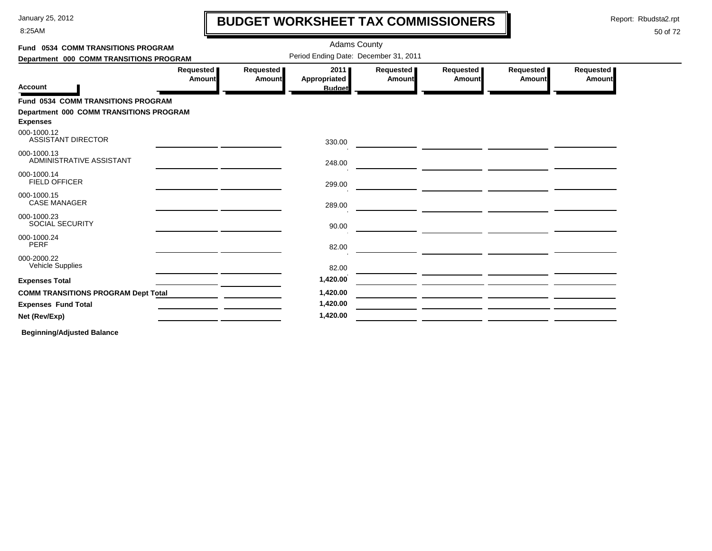8:25AM

# **BUDGET WORKSHEET TAX COMMISSIONERS**

Report: Rbudsta2.rpt

 $\mathbf l$ 

### 50 of 72

| Fund 0534 COMM TRANSITIONS PROGRAM                         |                            |                     | <b>Adams County</b>                   |                     |                     |                     |                     |
|------------------------------------------------------------|----------------------------|---------------------|---------------------------------------|---------------------|---------------------|---------------------|---------------------|
| Department 000 COMM TRANSITIONS PROGRAM                    |                            |                     | Period Ending Date: December 31, 2011 |                     |                     |                     |                     |
|                                                            | Requested<br><b>Amount</b> | Requested<br>Amount | 2011<br><b>Appropriated</b>           | Requested<br>Amount | Requested<br>Amount | Requested<br>Amount | Requested<br>Amount |
| <b>Account</b>                                             |                            |                     | <b>Budget</b>                         |                     |                     |                     |                     |
| Fund 0534 COMM TRANSITIONS PROGRAM                         |                            |                     |                                       |                     |                     |                     |                     |
| Department 000 COMM TRANSITIONS PROGRAM<br><b>Expenses</b> |                            |                     |                                       |                     |                     |                     |                     |
| 000-1000.12<br><b>ASSISTANT DIRECTOR</b>                   |                            |                     | 330.00                                |                     |                     |                     |                     |
| 000-1000.13<br>ADMINISTRATIVE ASSISTANT                    |                            |                     | 248.00                                |                     |                     |                     |                     |
| 000-1000.14<br><b>FIELD OFFICER</b>                        |                            |                     | 299.00                                |                     |                     |                     |                     |
| 000-1000.15<br><b>CASE MANAGER</b>                         |                            |                     | 289.00                                |                     |                     |                     |                     |
| 000-1000.23<br>SOCIAL SECURITY                             |                            |                     | 90.00                                 |                     |                     |                     |                     |
| 000-1000.24<br><b>PERF</b>                                 |                            |                     | 82.00                                 |                     |                     |                     |                     |
| 000-2000.22<br>Vehicle Supplies                            |                            |                     | 82.00                                 |                     |                     |                     |                     |
| <b>Expenses Total</b>                                      |                            |                     | 1,420.00                              |                     |                     |                     |                     |
| <b>COMM TRANSITIONS PROGRAM Dept Total</b>                 |                            |                     | 1,420.00                              |                     |                     |                     |                     |
| <b>Expenses Fund Total</b>                                 |                            |                     | 1,420.00                              |                     |                     |                     |                     |
| Net (Rev/Exp)                                              |                            |                     | 1,420.00                              |                     |                     |                     |                     |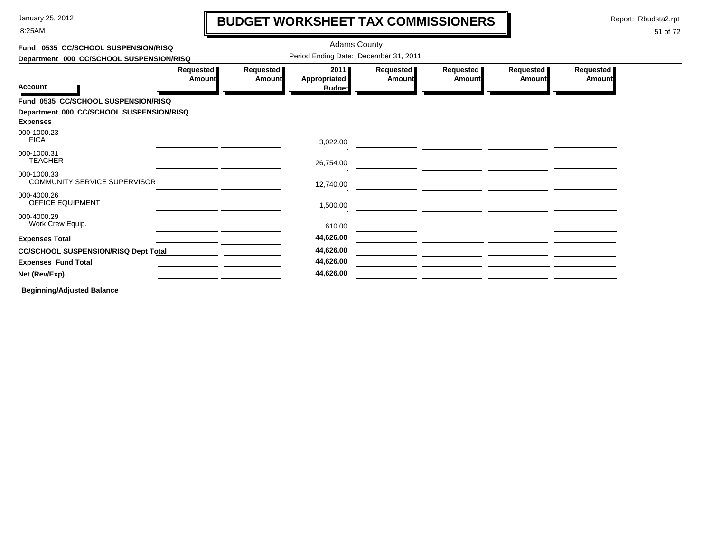8:25AM

# **BUDGET WORKSHEET TAX COMMISSIONERS**

Report: Rbudsta2.rpt

 $\mathbf I$ 

#### 51 of 72

| Fund 0535 CC/SCHOOL SUSPENSION/RISQ                         |                     |                            | <b>Adams County</b>                          |                     |                     |                     |                            |
|-------------------------------------------------------------|---------------------|----------------------------|----------------------------------------------|---------------------|---------------------|---------------------|----------------------------|
| Department 000 CC/SCHOOL SUSPENSION/RISQ                    |                     |                            | Period Ending Date: December 31, 2011        |                     |                     |                     |                            |
| <b>Account</b><br>Fund 0535 CC/SCHOOL SUSPENSION/RISQ       | Requested<br>Amount | Requested<br><b>Amount</b> | 2011<br><b>Appropriated</b><br><b>Budget</b> | Requested<br>Amount | Requested<br>Amount | Requested<br>Amount | Requested<br><b>Amount</b> |
| Department 000 CC/SCHOOL SUSPENSION/RISQ<br><b>Expenses</b> |                     |                            |                                              |                     |                     |                     |                            |
| 000-1000.23<br><b>FICA</b>                                  |                     |                            | 3,022.00                                     |                     |                     |                     |                            |
| 000-1000.31<br><b>TEACHER</b>                               |                     |                            | 26,754.00                                    |                     |                     |                     |                            |
| 000-1000.33<br>COMMUNITY SERVICE SUPERVISOR                 |                     |                            | 12,740.00                                    |                     |                     |                     |                            |
| 000-4000.26<br>OFFICE EQUIPMENT                             |                     |                            | 1,500.00                                     |                     |                     |                     |                            |
| 000-4000.29<br>Work Crew Equip.                             |                     |                            | 610.00                                       |                     |                     |                     |                            |
| <b>Expenses Total</b>                                       |                     |                            | 44,626.00                                    |                     |                     |                     |                            |
| <b>CC/SCHOOL SUSPENSION/RISQ Dept Total</b>                 |                     |                            | 44,626.00                                    |                     |                     |                     |                            |
| <b>Expenses Fund Total</b>                                  |                     |                            | 44,626.00                                    |                     |                     |                     |                            |
| Net (Rev/Exp)                                               |                     |                            | 44,626.00                                    |                     |                     |                     |                            |
| .                                                           |                     |                            |                                              |                     |                     |                     |                            |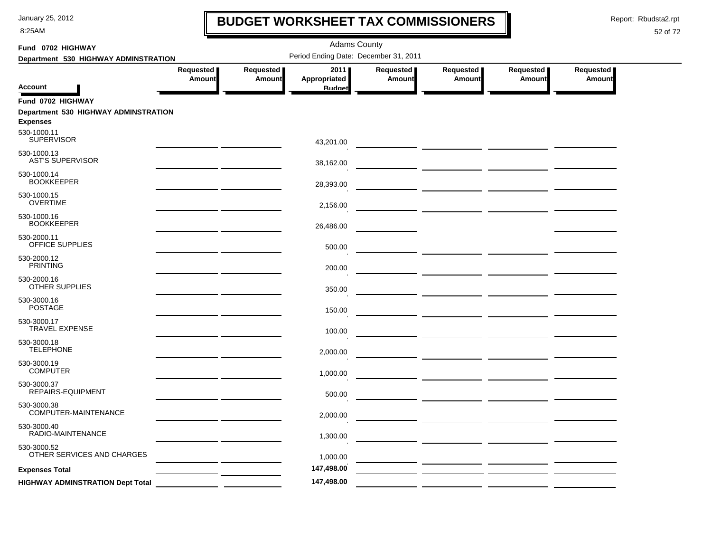8:25AM

# **BUDGET WORKSHEET TAX COMMISSIONERS**

Report: Rbudsta2.rpt

 $\mathbf l$ 

| Fund 0702 HIGHWAY                                                            |                                   |                     | <b>Adams County</b>                   |                     |                                                                                                                                                                                                                                      |                            |                     |
|------------------------------------------------------------------------------|-----------------------------------|---------------------|---------------------------------------|---------------------|--------------------------------------------------------------------------------------------------------------------------------------------------------------------------------------------------------------------------------------|----------------------------|---------------------|
| Department 530 HIGHWAY ADMINSTRATION                                         |                                   |                     | Period Ending Date: December 31, 2011 |                     |                                                                                                                                                                                                                                      |                            |                     |
| Account                                                                      | Requested  <br><b>Amount</b>      | Requested<br>Amount | 2011<br>Appropriated<br><b>Budget</b> | Requested<br>Amount | Requested<br>Amount                                                                                                                                                                                                                  | Requested<br><b>Amount</b> | Requested<br>Amount |
| Fund 0702 HIGHWAY<br>Department 530 HIGHWAY ADMINSTRATION<br><b>Expenses</b> |                                   |                     |                                       |                     |                                                                                                                                                                                                                                      |                            |                     |
| 530-1000.11<br><b>SUPERVISOR</b>                                             |                                   |                     | 43,201.00                             |                     |                                                                                                                                                                                                                                      |                            |                     |
| 530-1000.13<br><b>AST'S SUPERVISOR</b>                                       | the control of the control of the |                     | 38,162.00                             |                     |                                                                                                                                                                                                                                      |                            |                     |
| 530-1000.14<br><b>BOOKKEEPER</b>                                             |                                   |                     | 28,393.00                             |                     |                                                                                                                                                                                                                                      |                            |                     |
| 530-1000.15<br><b>OVERTIME</b>                                               |                                   |                     | 2,156.00                              |                     | <u> The Common State of the Common State of the Common State of the Common State of the Common State of the Common State of the Common State of the Common State of the Common State of the Common State of the Common State of </u> |                            |                     |
| 530-1000.16<br><b>BOOKKEEPER</b>                                             |                                   |                     | 26,486.00                             |                     |                                                                                                                                                                                                                                      |                            |                     |
| 530-2000.11<br>OFFICE SUPPLIES                                               |                                   |                     | 500.00                                |                     |                                                                                                                                                                                                                                      |                            |                     |
| 530-2000.12<br><b>PRINTING</b>                                               |                                   |                     | 200.00                                |                     |                                                                                                                                                                                                                                      |                            |                     |
| 530-2000.16<br>OTHER SUPPLIES                                                |                                   |                     | 350.00                                |                     |                                                                                                                                                                                                                                      |                            |                     |
| 530-3000.16<br><b>POSTAGE</b>                                                |                                   |                     | 150.00                                |                     | <u> 1999 - Johann Harry Harry Harry Harry Harry Harry Harry Harry Harry Harry Harry Harry Harry Harry Harry Harry</u>                                                                                                                |                            |                     |
| 530-3000.17<br><b>TRAVEL EXPENSE</b>                                         |                                   |                     | 100.00                                |                     | <u> 1999 - Johann Harry Harry Harry Harry Harry Harry Harry Harry Harry Harry Harry Harry Harry Harry Harry Harry</u>                                                                                                                |                            |                     |
| 530-3000.18<br><b>TELEPHONE</b>                                              |                                   |                     | 2,000.00                              |                     |                                                                                                                                                                                                                                      |                            |                     |
| 530-3000.19<br><b>COMPUTER</b>                                               |                                   |                     | 1,000.00                              |                     |                                                                                                                                                                                                                                      |                            |                     |
| 530-3000.37<br>REPAIRS-EQUIPMENT                                             |                                   |                     | 500.00                                |                     |                                                                                                                                                                                                                                      |                            |                     |
| 530-3000.38<br>COMPUTER-MAINTENANCE                                          |                                   |                     | 2,000.00                              |                     |                                                                                                                                                                                                                                      |                            |                     |
| 530-3000.40<br>RADIO-MAINTENANCE                                             |                                   |                     | 1,300.00                              |                     |                                                                                                                                                                                                                                      |                            |                     |
| 530-3000.52<br>OTHER SERVICES AND CHARGES                                    |                                   |                     | 1,000.00                              |                     |                                                                                                                                                                                                                                      |                            |                     |
| <b>Expenses Total</b>                                                        |                                   |                     | 147,498.00                            |                     |                                                                                                                                                                                                                                      |                            |                     |
| <b>HIGHWAY ADMINSTRATION Dept Total</b>                                      |                                   |                     | 147,498.00                            |                     |                                                                                                                                                                                                                                      |                            |                     |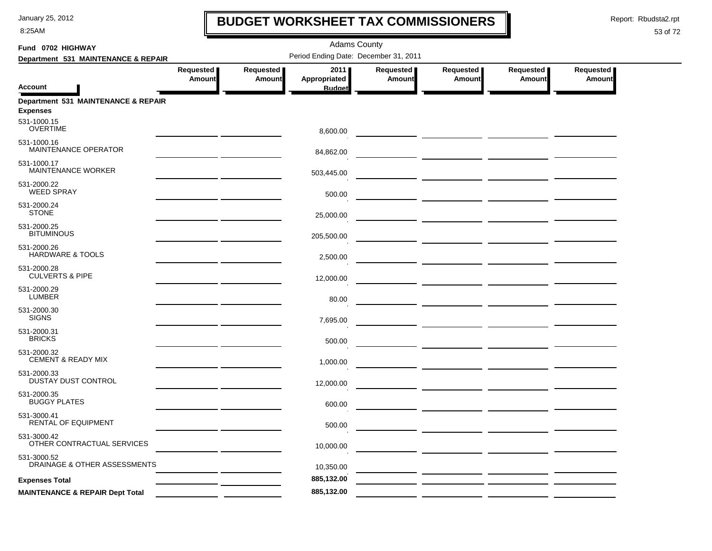8:25AM

### **BUDGET WORKSHEET TAX COMMISSIONERS**

Report: Rbudsta2.rpt

 $\mathbf l$ 

| Fund 0702 HIGHWAY                                      |                     |                              | <b>Adams County</b>                   |                     |                                                                                                                      |                            |                     |
|--------------------------------------------------------|---------------------|------------------------------|---------------------------------------|---------------------|----------------------------------------------------------------------------------------------------------------------|----------------------------|---------------------|
| Department 531 MAINTENANCE & REPAIR                    |                     |                              | Period Ending Date: December 31, 2011 |                     |                                                                                                                      |                            |                     |
| <b>Account</b>                                         | Requested<br>Amount | Requested  <br><b>Amount</b> | 2011<br>Appropriated<br><b>Budget</b> | Requested<br>Amount | Requested<br>Amount                                                                                                  | Requested<br><b>Amount</b> | Requested<br>Amount |
| Department 531 MAINTENANCE & REPAIR<br><b>Expenses</b> |                     |                              |                                       |                     |                                                                                                                      |                            |                     |
| 531-1000.15<br><b>OVERTIME</b>                         |                     |                              | 8,600.00                              |                     |                                                                                                                      |                            |                     |
| 531-1000.16<br>MAINTENANCE OPERATOR                    |                     |                              | 84,862.00                             |                     |                                                                                                                      |                            |                     |
| 531-1000.17<br>MAINTENANCE WORKER                      |                     |                              | 503,445.00                            |                     |                                                                                                                      |                            |                     |
| 531-2000.22<br><b>WEED SPRAY</b>                       |                     |                              | 500.00                                |                     |                                                                                                                      |                            |                     |
| 531-2000.24<br><b>STONE</b>                            |                     |                              | 25,000.00                             |                     |                                                                                                                      |                            |                     |
| 531-2000.25<br><b>BITUMINOUS</b>                       |                     |                              | 205,500.00                            |                     |                                                                                                                      |                            |                     |
| 531-2000.26<br><b>HARDWARE &amp; TOOLS</b>             |                     |                              | 2,500.00                              |                     |                                                                                                                      |                            |                     |
| 531-2000.28<br><b>CULVERTS &amp; PIPE</b>              |                     |                              | 12,000.00                             |                     |                                                                                                                      |                            |                     |
| 531-2000.29<br><b>LUMBER</b>                           |                     |                              | 80.00                                 |                     |                                                                                                                      |                            |                     |
| 531-2000.30<br><b>SIGNS</b>                            |                     |                              | 7,695.00                              |                     |                                                                                                                      |                            |                     |
| 531-2000.31<br><b>BRICKS</b>                           |                     |                              | 500.00                                |                     |                                                                                                                      |                            |                     |
| 531-2000.32<br><b>CEMENT &amp; READY MIX</b>           |                     |                              | 1,000.00                              |                     |                                                                                                                      |                            |                     |
| 531-2000.33<br>DUSTAY DUST CONTROL                     |                     |                              | 12,000.00                             |                     |                                                                                                                      |                            |                     |
| 531-2000.35<br><b>BUGGY PLATES</b>                     |                     |                              | 600.00                                |                     |                                                                                                                      |                            |                     |
| 531-3000.41<br><b>RENTAL OF EQUIPMENT</b>              |                     |                              | 500.00                                |                     |                                                                                                                      |                            |                     |
| 531-3000.42<br>OTHER CONTRACTUAL SERVICES              |                     |                              | 10,000.00                             |                     | <u> 1990 - Johann John Harry Harry Harry Harry Harry Harry Harry Harry Harry Harry Harry Harry Harry Harry Harry</u> |                            |                     |
| 531-3000.52<br>DRAINAGE & OTHER ASSESSMENTS            |                     |                              | 10,350.00                             |                     |                                                                                                                      |                            |                     |
| <b>Expenses Total</b>                                  |                     |                              | 885,132.00                            |                     |                                                                                                                      |                            |                     |
| <b>MAINTENANCE &amp; REPAIR Dept Total</b>             |                     |                              | 885,132.00                            |                     |                                                                                                                      |                            |                     |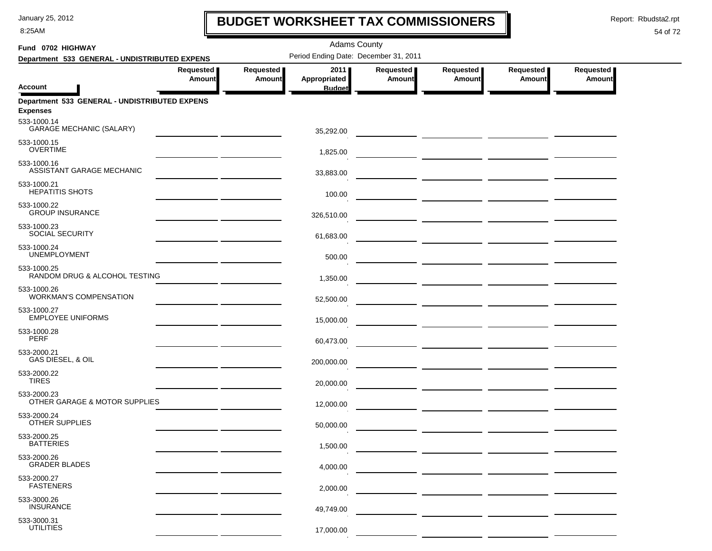8:25AM

# **BUDGET WORKSHEET TAX COMMISSIONERS**

Report: Rbudsta2.rpt

 $\mathbf I$ 

| Fund 0702 HIGHWAY                                                               |                            |                            | <b>Adams County</b>                   |                     |                                                                                                                       |                     |                            |  |
|---------------------------------------------------------------------------------|----------------------------|----------------------------|---------------------------------------|---------------------|-----------------------------------------------------------------------------------------------------------------------|---------------------|----------------------------|--|
| Department 533 GENERAL - UNDISTRIBUTED EXPENS                                   |                            |                            | Period Ending Date: December 31, 2011 |                     |                                                                                                                       |                     |                            |  |
|                                                                                 | Requested<br><b>Amount</b> | Requested<br><b>Amount</b> | 2011<br>Appropriated                  | Requested<br>Amount | Requested<br><b>Amount</b>                                                                                            | Requested<br>Amount | Requested<br><b>Amount</b> |  |
| Account                                                                         |                            |                            | <b>Budget</b>                         |                     |                                                                                                                       |                     |                            |  |
| Department 533 GENERAL - UNDISTRIBUTED EXPENS<br><b>Expenses</b><br>533-1000.14 |                            |                            |                                       |                     |                                                                                                                       |                     |                            |  |
| <b>GARAGE MECHANIC (SALARY)</b>                                                 |                            |                            | 35,292.00                             |                     |                                                                                                                       |                     |                            |  |
| 533-1000.15<br><b>OVERTIME</b>                                                  |                            |                            | 1,825.00                              |                     |                                                                                                                       |                     |                            |  |
| 533-1000.16<br>ASSISTANT GARAGE MECHANIC                                        |                            |                            | 33,883.00                             |                     |                                                                                                                       |                     |                            |  |
| 533-1000.21<br><b>HEPATITIS SHOTS</b>                                           |                            |                            | 100.00                                |                     | <u> 1980 - John Stone, mars et al. (1980)</u>                                                                         |                     |                            |  |
| 533-1000.22<br><b>GROUP INSURANCE</b>                                           |                            |                            | 326,510.00                            |                     | <u> 1999 - Johann Harry Harry Harry Harry Harry Harry Harry Harry Harry Harry Harry Harry Harry Harry Harry Harry</u> |                     |                            |  |
| 533-1000.23<br>SOCIAL SECURITY                                                  |                            |                            | 61,683.00                             |                     |                                                                                                                       |                     |                            |  |
| 533-1000.24<br><b>UNEMPLOYMENT</b>                                              |                            |                            | 500.00                                |                     |                                                                                                                       |                     |                            |  |
| 533-1000.25<br>RANDOM DRUG & ALCOHOL TESTING                                    |                            |                            | 1,350.00                              |                     |                                                                                                                       |                     |                            |  |
| 533-1000.26<br><b>WORKMAN'S COMPENSATION</b>                                    |                            |                            | 52,500.00                             |                     |                                                                                                                       |                     |                            |  |
| 533-1000.27<br><b>EMPLOYEE UNIFORMS</b>                                         |                            |                            | 15,000.00                             |                     |                                                                                                                       |                     |                            |  |
| 533-1000.28<br>PERF                                                             |                            |                            | 60,473.00                             |                     |                                                                                                                       |                     |                            |  |
| 533-2000.21<br>GAS DIESEL, & OIL                                                |                            |                            | 200,000.00                            |                     |                                                                                                                       |                     |                            |  |
| 533-2000.22<br><b>TIRES</b>                                                     |                            |                            | 20,000.00                             |                     |                                                                                                                       |                     |                            |  |
| 533-2000.23<br>OTHER GARAGE & MOTOR SUPPLIES                                    |                            |                            | 12,000.00                             |                     |                                                                                                                       |                     |                            |  |
| 533-2000.24<br><b>OTHER SUPPLIES</b>                                            |                            |                            | 50,000.00                             |                     |                                                                                                                       |                     |                            |  |
| 533-2000.25<br><b>BATTERIES</b>                                                 |                            |                            | 1,500.00                              |                     |                                                                                                                       |                     |                            |  |
| 533-2000.26<br><b>GRADER BLADES</b>                                             |                            |                            | 4,000.00                              |                     |                                                                                                                       |                     |                            |  |
| 533-2000.27<br><b>FASTENERS</b>                                                 |                            |                            | 2,000.00                              |                     |                                                                                                                       |                     |                            |  |
| 533-3000.26<br><b>INSURANCE</b>                                                 |                            |                            | 49,749.00                             |                     |                                                                                                                       |                     |                            |  |
| 533-3000.31<br><b>UTILITIES</b>                                                 |                            |                            | 17,000.00                             |                     |                                                                                                                       |                     |                            |  |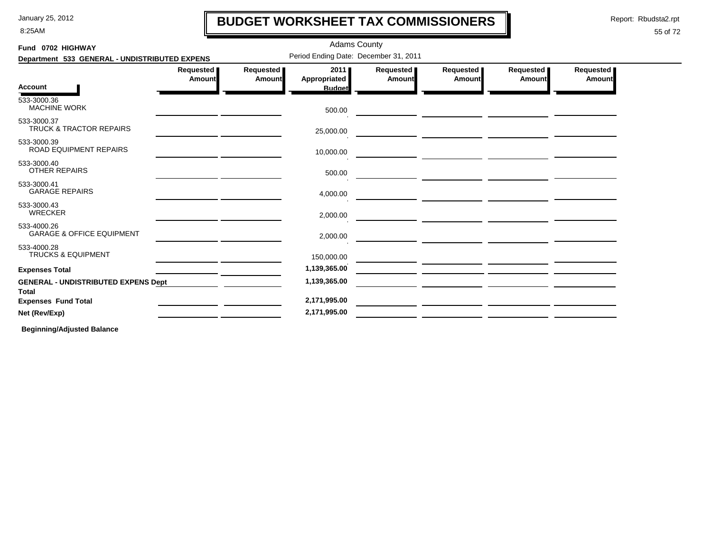8:25AM

# **BUDGET WORKSHEET TAX COMMISSIONERS**

Report: Rbudsta2.rpt

### 55 of 72

| Fund 0702 HIGHWAY                                          |                            |                                       | <b>Adams County</b>  |                            |                                                     |                            |                            |
|------------------------------------------------------------|----------------------------|---------------------------------------|----------------------|----------------------------|-----------------------------------------------------|----------------------------|----------------------------|
| Department 533 GENERAL - UNDISTRIBUTED EXPENS              |                            | Period Ending Date: December 31, 2011 |                      |                            |                                                     |                            |                            |
|                                                            | Requested<br><b>Amount</b> | Requested  <br>Amount                 | 2011<br>Appropriated | Requested<br><b>Amount</b> | Requested<br>Amount                                 | Requested<br><b>Amount</b> | Requested<br><b>Amount</b> |
| <b>Account</b>                                             |                            |                                       | <b>Budget</b>        |                            |                                                     |                            |                            |
| 533-3000.36<br><b>MACHINE WORK</b>                         |                            |                                       | 500.00               |                            |                                                     |                            |                            |
| 533-3000.37<br>TRUCK & TRACTOR REPAIRS                     |                            |                                       | 25,000.00            |                            |                                                     |                            |                            |
| 533-3000.39<br>ROAD EQUIPMENT REPAIRS                      |                            |                                       | 10,000.00            |                            |                                                     |                            |                            |
| 533-3000.40<br><b>OTHER REPAIRS</b>                        |                            |                                       | 500.00               |                            | <u> 1989 - Johann Stoff, amerikansk politiker (</u> |                            |                            |
| 533-3000.41<br><b>GARAGE REPAIRS</b>                       |                            |                                       | 4,000.00             |                            | <u> 1989 - Johann Marie Barn, mars ann an t-</u>    |                            |                            |
| 533-3000.43<br><b>WRECKER</b>                              |                            |                                       | 2,000.00             |                            |                                                     |                            |                            |
| 533-4000.26<br><b>GARAGE &amp; OFFICE EQUIPMENT</b>        |                            |                                       | 2,000.00             |                            |                                                     |                            |                            |
| 533-4000.28<br><b>TRUCKS &amp; EQUIPMENT</b>               |                            |                                       | 150,000.00           |                            |                                                     |                            |                            |
| <b>Expenses Total</b>                                      |                            |                                       | 1,139,365.00         |                            |                                                     |                            |                            |
| <b>GENERAL - UNDISTRIBUTED EXPENS Dept</b><br><b>Total</b> |                            |                                       | 1,139,365.00         |                            |                                                     |                            |                            |
| <b>Expenses Fund Total</b>                                 |                            |                                       | 2,171,995.00         |                            |                                                     |                            |                            |
| Net (Rev/Exp)                                              |                            |                                       | 2,171,995.00         |                            |                                                     |                            |                            |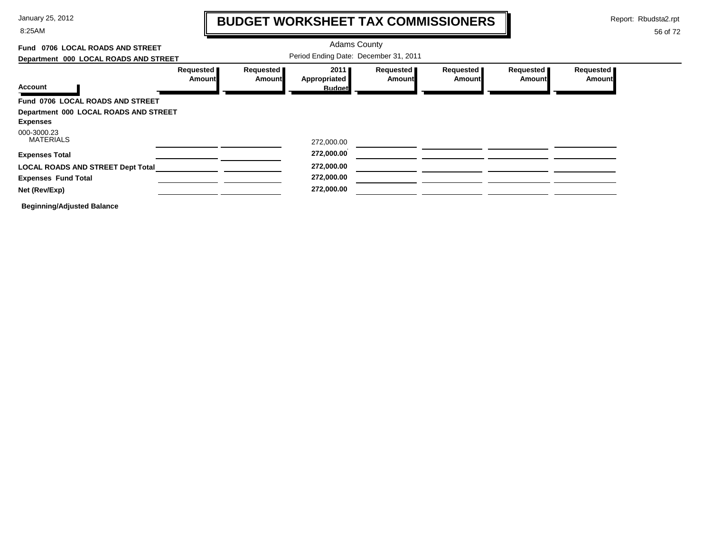#### 8:25AM

### **BUDGET WORKSHEET TAX COMMISSIONERS**

Report: Rbudsta2.rpt

 $\mathbf l$ 

| Fund 0706 LOCAL ROADS AND STREET         |                              |                     | <b>Adams County</b>                   |                              |                       |                       |                     |
|------------------------------------------|------------------------------|---------------------|---------------------------------------|------------------------------|-----------------------|-----------------------|---------------------|
| Department 000 LOCAL ROADS AND STREET    |                              |                     | Period Ending Date: December 31, 2011 |                              |                       |                       |                     |
| <b>Account</b>                           | Requested <b>I</b><br>Amount | Requested<br>Amount | 2011<br>Appropriated<br><b>Budget</b> | Requested  <br><b>Amount</b> | Requested  <br>Amount | Requested  <br>Amount | Requested<br>Amount |
|                                          |                              |                     |                                       |                              |                       |                       |                     |
| Fund 0706 LOCAL ROADS AND STREET         |                              |                     |                                       |                              |                       |                       |                     |
| Department 000 LOCAL ROADS AND STREET    |                              |                     |                                       |                              |                       |                       |                     |
| <b>Expenses</b>                          |                              |                     |                                       |                              |                       |                       |                     |
| 000-3000.23<br><b>MATERIALS</b>          |                              |                     | 272,000.00                            |                              |                       |                       |                     |
| <b>Expenses Total</b>                    |                              |                     | 272,000.00                            |                              |                       |                       |                     |
| <b>LOCAL ROADS AND STREET Dept Total</b> |                              |                     | 272,000.00                            |                              |                       |                       |                     |
| <b>Expenses Fund Total</b>               |                              |                     | 272,000.00                            |                              |                       |                       |                     |
| Net (Rev/Exp)                            |                              |                     | 272,000.00                            |                              |                       |                       |                     |
| <b>Beginning/Adjusted Balance</b>        |                              |                     |                                       |                              |                       |                       |                     |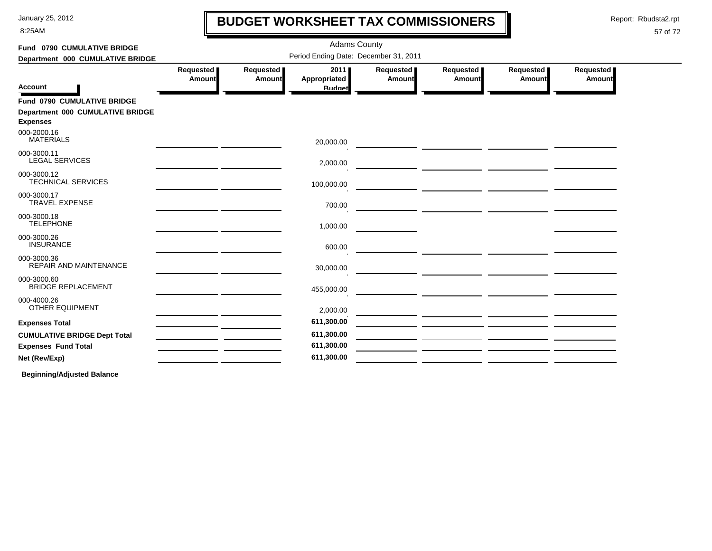8:25AM

# **BUDGET WORKSHEET TAX COMMISSIONERS**

Report: Rbudsta2.rpt

 $\mathbf l$ 

### 57 of 72

| Fund 0790 CUMULATIVE BRIDGE                         |                              |                     |                                       | <b>Adams County</b>   |                                                                                                                            |                     |                     |
|-----------------------------------------------------|------------------------------|---------------------|---------------------------------------|-----------------------|----------------------------------------------------------------------------------------------------------------------------|---------------------|---------------------|
| Department 000 CUMULATIVE BRIDGE                    |                              |                     | Period Ending Date: December 31, 2011 |                       |                                                                                                                            |                     |                     |
| <b>Account</b>                                      | <b>Requested</b> ∎<br>Amount | Requested<br>Amount | 2011<br>Appropriated<br><b>Budget</b> | Requested  <br>Amount | Requested<br>Amount                                                                                                        | Requested<br>Amount | Requested<br>Amount |
| <b>Fund 0790 CUMULATIVE BRIDGE</b>                  |                              |                     |                                       |                       |                                                                                                                            |                     |                     |
| Department 000 CUMULATIVE BRIDGE<br><b>Expenses</b> |                              |                     |                                       |                       |                                                                                                                            |                     |                     |
| 000-2000.16<br><b>MATERIALS</b>                     |                              |                     | 20,000.00                             |                       |                                                                                                                            |                     |                     |
| 000-3000.11<br><b>LEGAL SERVICES</b>                |                              |                     | 2,000.00                              |                       |                                                                                                                            |                     |                     |
| 000-3000.12<br><b>TECHNICAL SERVICES</b>            |                              |                     | 100,000.00                            |                       |                                                                                                                            |                     |                     |
| 000-3000.17<br><b>TRAVEL EXPENSE</b>                |                              |                     | 700.00                                |                       | <u>and</u> the contract of the contract of the contract of the contract of the contract of the contract of the contract of |                     |                     |
| 000-3000.18<br><b>TELEPHONE</b>                     |                              |                     | 1,000.00                              |                       | <u>and the second control of the second control of the second control of the second control of</u>                         |                     |                     |
| 000-3000.26<br><b>INSURANCE</b>                     |                              |                     | 600.00                                |                       | <u>and</u> the contract of the contract of the contract of the contract of the contract of the contract of the contract of |                     |                     |
| 000-3000.36<br>REPAIR AND MAINTENANCE               |                              |                     | 30,000.00                             |                       |                                                                                                                            |                     |                     |
| 000-3000.60<br><b>BRIDGE REPLACEMENT</b>            |                              |                     | 455,000.00                            |                       |                                                                                                                            |                     |                     |
| 000-4000.26<br><b>OTHER EQUIPMENT</b>               |                              |                     | 2,000.00                              |                       |                                                                                                                            |                     |                     |
| <b>Expenses Total</b>                               |                              |                     | 611,300.00                            |                       |                                                                                                                            |                     |                     |
| <b>CUMULATIVE BRIDGE Dept Total</b>                 |                              |                     | 611,300.00                            |                       |                                                                                                                            |                     |                     |
| <b>Expenses Fund Total</b>                          |                              |                     | 611,300.00                            |                       |                                                                                                                            |                     |                     |
| Net (Rev/Exp)                                       |                              |                     | 611,300.00                            |                       |                                                                                                                            |                     |                     |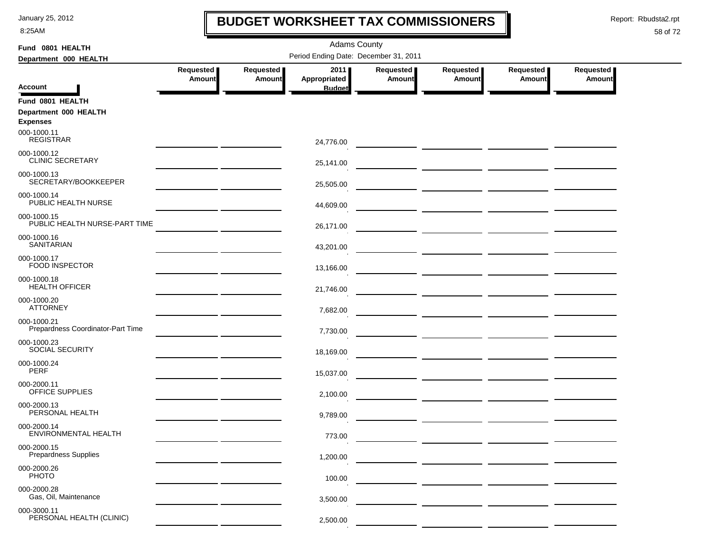8:25AM

### **BUDGET WORKSHEET TAX COMMISSIONERS**

Report: Rbudsta2.rpt

 $\mathbf l$ 

| Fund 0801 HEALTH                                 | <b>Adams County</b>                                                                                                                                                                                                                  |                            |                                       |                            |                                    |                     |                     |  |  |  |
|--------------------------------------------------|--------------------------------------------------------------------------------------------------------------------------------------------------------------------------------------------------------------------------------------|----------------------------|---------------------------------------|----------------------------|------------------------------------|---------------------|---------------------|--|--|--|
| Department 000 HEALTH                            |                                                                                                                                                                                                                                      |                            | Period Ending Date: December 31, 2011 |                            |                                    |                     |                     |  |  |  |
|                                                  | Requested<br><b>Amount</b>                                                                                                                                                                                                           | Requested<br><b>Amount</b> | 2011<br>Appropriated                  | Requested<br><b>Amount</b> | Requested<br>Amount                | Requested<br>Amount | Requested<br>Amount |  |  |  |
| <b>Account</b>                                   |                                                                                                                                                                                                                                      |                            | <b>Budget</b>                         |                            |                                    |                     |                     |  |  |  |
| Fund 0801 HEALTH                                 |                                                                                                                                                                                                                                      |                            |                                       |                            |                                    |                     |                     |  |  |  |
| Department 000 HEALTH                            |                                                                                                                                                                                                                                      |                            |                                       |                            |                                    |                     |                     |  |  |  |
| <b>Expenses</b><br>000-1000.11                   |                                                                                                                                                                                                                                      |                            |                                       |                            |                                    |                     |                     |  |  |  |
| <b>REGISTRAR</b>                                 |                                                                                                                                                                                                                                      |                            | 24,776.00                             |                            |                                    |                     |                     |  |  |  |
| 000-1000.12<br><b>CLINIC SECRETARY</b>           |                                                                                                                                                                                                                                      |                            | 25,141.00                             |                            |                                    |                     |                     |  |  |  |
| 000-1000.13<br>SECRETARY/BOOKKEEPER              |                                                                                                                                                                                                                                      |                            | 25,505.00                             |                            |                                    |                     |                     |  |  |  |
| 000-1000.14<br>PUBLIC HEALTH NURSE               |                                                                                                                                                                                                                                      |                            | 44,609.00                             |                            |                                    |                     |                     |  |  |  |
| 000-1000.15<br>PUBLIC HEALTH NURSE-PART TIME     |                                                                                                                                                                                                                                      |                            | 26,171.00                             |                            | — <u>— — — — — — — — — — — — —</u> |                     |                     |  |  |  |
| 000-1000.16<br><b>SANITARIAN</b>                 |                                                                                                                                                                                                                                      |                            | 43,201.00                             |                            |                                    |                     |                     |  |  |  |
| 000-1000.17<br><b>FOOD INSPECTOR</b>             |                                                                                                                                                                                                                                      |                            | 13,166.00                             |                            |                                    |                     |                     |  |  |  |
| 000-1000.18<br><b>HEALTH OFFICER</b>             | <u>and the company of the company of the company of the company of the company of the company of the company of the company of the company of the company of the company of the company of the company of the company of the com</u> |                            | 21,746.00                             |                            |                                    |                     |                     |  |  |  |
| 000-1000.20<br><b>ATTORNEY</b>                   | <u> 1980 - Johann Barn, amerikansk politik (</u>                                                                                                                                                                                     |                            | 7,682.00                              |                            |                                    |                     |                     |  |  |  |
| 000-1000.21<br>Prepardness Coordinator-Part Time |                                                                                                                                                                                                                                      |                            | 7,730.00                              |                            |                                    |                     |                     |  |  |  |
| 000-1000.23<br><b>SOCIAL SECURITY</b>            |                                                                                                                                                                                                                                      |                            | 18,169.00                             |                            |                                    |                     |                     |  |  |  |
| 000-1000.24<br><b>PERF</b>                       |                                                                                                                                                                                                                                      |                            | 15,037.00                             |                            |                                    |                     |                     |  |  |  |
| 000-2000.11<br>OFFICE SUPPLIES                   |                                                                                                                                                                                                                                      |                            | 2,100.00                              |                            |                                    |                     |                     |  |  |  |
| 000-2000.13<br>PERSONAL HEALTH                   |                                                                                                                                                                                                                                      |                            | 9,789.00                              |                            |                                    |                     |                     |  |  |  |
| 000-2000.14<br>ENVIRONMENTAL HEALTH              |                                                                                                                                                                                                                                      |                            | 773.00                                |                            |                                    |                     |                     |  |  |  |
| 000-2000.15<br><b>Prepardness Supplies</b>       |                                                                                                                                                                                                                                      |                            | 1,200.00                              |                            |                                    |                     |                     |  |  |  |
| 000-2000.26<br>PHOTO                             |                                                                                                                                                                                                                                      |                            | 100.00                                |                            |                                    |                     |                     |  |  |  |
| 000-2000.28<br>Gas, Oil, Maintenance             |                                                                                                                                                                                                                                      |                            | 3,500.00                              |                            |                                    |                     |                     |  |  |  |
| 000-3000.11<br>PERSONAL HEALTH (CLINIC)          |                                                                                                                                                                                                                                      |                            | 2,500.00                              |                            |                                    |                     |                     |  |  |  |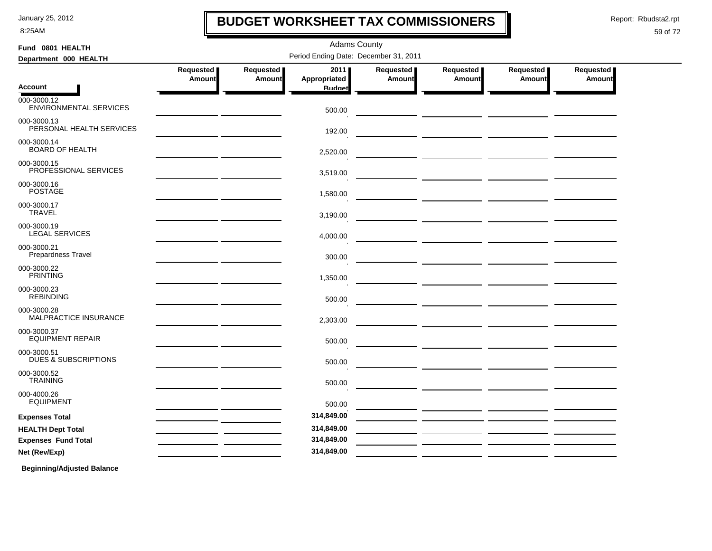8:25AM

### **BUDGET WORKSHEET TAX COMMISSIONERS**

Report: Rbudsta2.rpt

 $\mathbf l$ 

### 59 of 72

| Fund 0801 HEALTH                               |           |                  | <b>Adams County</b>                   |               |                                                                                                                                                                                                                                      |           |               |
|------------------------------------------------|-----------|------------------|---------------------------------------|---------------|--------------------------------------------------------------------------------------------------------------------------------------------------------------------------------------------------------------------------------------|-----------|---------------|
| Department 000 HEALTH                          |           |                  | Period Ending Date: December 31, 2011 |               |                                                                                                                                                                                                                                      |           |               |
|                                                | Requested | <b>Requested</b> | 20111                                 | Requested     | Requested                                                                                                                                                                                                                            | Requested | Requested     |
| <b>Account</b>                                 | Amount    | Amount           | Appropriated<br><b>Budget</b>         | <b>Amount</b> | Amount                                                                                                                                                                                                                               | Amount    | <b>Amount</b> |
| 000-3000.12<br><b>ENVIRONMENTAL SERVICES</b>   |           |                  | 500.00                                |               |                                                                                                                                                                                                                                      |           |               |
| 000-3000.13<br>PERSONAL HEALTH SERVICES        |           |                  | 192.00                                |               |                                                                                                                                                                                                                                      |           |               |
| 000-3000.14<br><b>BOARD OF HEALTH</b>          |           |                  | 2,520.00                              |               |                                                                                                                                                                                                                                      |           |               |
| 000-3000.15<br>PROFESSIONAL SERVICES           |           |                  | 3,519.00                              |               | <u> 2000 - John Stein, Amerikaans en s</u>                                                                                                                                                                                           |           |               |
| 000-3000.16<br><b>POSTAGE</b>                  |           |                  | 1,580.00                              |               |                                                                                                                                                                                                                                      |           |               |
| 000-3000.17<br><b>TRAVEL</b>                   |           |                  | 3,190.00                              |               | <u> 1990 - Johann Harry Harry Harry Harry Harry Harry Harry Harry Harry Harry Harry Harry Harry Harry Harry Harry</u>                                                                                                                |           |               |
| 000-3000.19<br><b>LEGAL SERVICES</b>           |           |                  | 4,000.00                              |               |                                                                                                                                                                                                                                      |           |               |
| 000-3000.21<br>Prepardness Travel              |           |                  | 300.00                                |               |                                                                                                                                                                                                                                      |           |               |
| 000-3000.22<br><b>PRINTING</b>                 |           |                  | 1,350.00                              |               |                                                                                                                                                                                                                                      |           |               |
| 000-3000.23<br><b>REBINDING</b>                |           |                  | 500.00                                |               |                                                                                                                                                                                                                                      |           |               |
| 000-3000.28<br>MALPRACTICE INSURANCE           |           |                  | 2,303.00                              |               |                                                                                                                                                                                                                                      |           |               |
| 000-3000.37<br><b>EQUIPMENT REPAIR</b>         |           |                  | 500.00                                |               |                                                                                                                                                                                                                                      |           |               |
| 000-3000.51<br><b>DUES &amp; SUBSCRIPTIONS</b> |           |                  | 500.00                                |               | <u> The Common State of the Common State of the Common State of the Common State of the Common State of the Common State of the Common State of the Common State of the Common State of the Common State of the Common State of </u> |           |               |
| 000-3000.52<br><b>TRAINING</b>                 |           |                  | 500.00                                |               | <u> 1989 - Johann John Stone, mars et al. 1989 - John Stone, mars et al. 1989 - John Stone, mars et al. 1989 - Joh</u>                                                                                                               |           |               |
| 000-4000.26<br><b>EQUIPMENT</b>                |           |                  | 500.00                                |               |                                                                                                                                                                                                                                      |           |               |
| <b>Expenses Total</b>                          |           |                  | 314,849.00                            |               |                                                                                                                                                                                                                                      |           |               |
| <b>HEALTH Dept Total</b>                       |           |                  | 314,849.00                            |               |                                                                                                                                                                                                                                      |           |               |
| <b>Expenses Fund Total</b>                     |           |                  | 314,849.00                            |               |                                                                                                                                                                                                                                      |           |               |
| Net (Rev/Exp)                                  |           |                  | 314,849.00                            |               |                                                                                                                                                                                                                                      |           |               |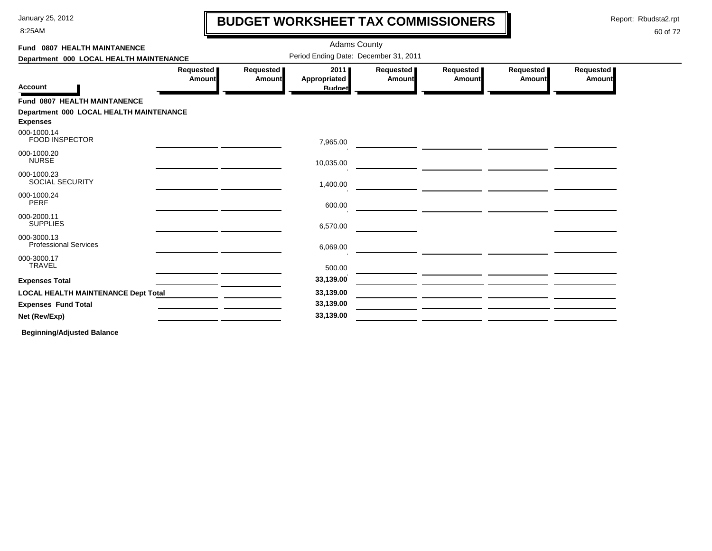8:25AM

# **BUDGET WORKSHEET TAX COMMISSIONERS**

Report: Rbudsta2.rpt

 $\mathbf l$ 

### 60 of 72

| Fund 0807 HEALTH MAINTANENCE                               |                            |                     | <b>Adams County</b>                   |                              |                     |                     |                            |
|------------------------------------------------------------|----------------------------|---------------------|---------------------------------------|------------------------------|---------------------|---------------------|----------------------------|
| Department 000 LOCAL HEALTH MAINTENANCE                    |                            |                     | Period Ending Date: December 31, 2011 |                              |                     |                     |                            |
|                                                            | Requested<br><b>Amount</b> | Requested<br>Amount | 2011<br>Appropriated                  | Requested  <br><b>Amount</b> | Requested<br>Amount | Requested<br>Amount | Requested<br><b>Amount</b> |
| <b>Account</b>                                             |                            |                     | <b>Budget</b>                         |                              |                     |                     |                            |
| Fund 0807 HEALTH MAINTANENCE                               |                            |                     |                                       |                              |                     |                     |                            |
| Department 000 LOCAL HEALTH MAINTENANCE<br><b>Expenses</b> |                            |                     |                                       |                              |                     |                     |                            |
| 000-1000.14<br><b>FOOD INSPECTOR</b>                       |                            |                     | 7,965.00                              |                              |                     |                     |                            |
| 000-1000.20<br><b>NURSE</b>                                |                            |                     | 10,035.00                             |                              |                     |                     |                            |
| 000-1000.23<br><b>SOCIAL SECURITY</b>                      |                            |                     | 1,400.00                              |                              |                     |                     |                            |
| 000-1000.24<br><b>PERF</b>                                 |                            |                     | 600.00                                |                              |                     |                     |                            |
| 000-2000.11<br><b>SUPPLIES</b>                             |                            |                     | 6,570.00                              |                              |                     |                     |                            |
| 000-3000.13<br><b>Professional Services</b>                |                            |                     | 6,069.00                              |                              |                     |                     |                            |
| 000-3000.17<br><b>TRAVEL</b>                               |                            |                     | 500.00                                |                              |                     |                     |                            |
| <b>Expenses Total</b>                                      |                            |                     | 33,139.00                             |                              |                     |                     |                            |
| <b>LOCAL HEALTH MAINTENANCE Dept Total</b>                 |                            |                     | 33,139.00                             |                              |                     |                     |                            |
| <b>Expenses Fund Total</b>                                 |                            |                     | 33,139.00                             |                              |                     |                     |                            |
| Net (Rev/Exp)                                              |                            |                     | 33,139.00                             |                              |                     |                     |                            |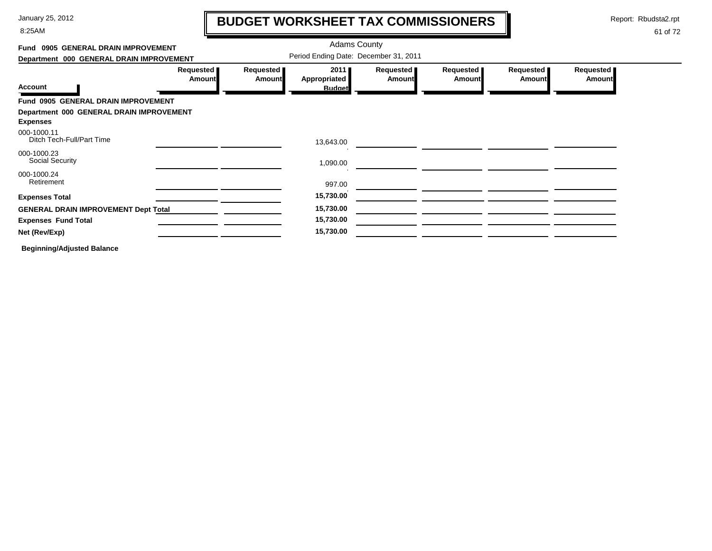8:25AM

# **BUDGET WORKSHEET TAX COMMISSIONERS**

Report: Rbudsta2.rpt

 $\mathbf I$ 

| Fund 0905 GENERAL DRAIN IMPROVEMENT                         |                            |                     | <b>Adams County</b>                   |                            |                              |                            |                            |
|-------------------------------------------------------------|----------------------------|---------------------|---------------------------------------|----------------------------|------------------------------|----------------------------|----------------------------|
| Department 000 GENERAL DRAIN IMPROVEMENT                    |                            |                     | Period Ending Date: December 31, 2011 |                            |                              |                            |                            |
| <b>Account</b>                                              | Requested<br><b>Amount</b> | Requested<br>Amount | 2011<br>Appropriated<br><b>Budget</b> | Requested<br><b>Amount</b> | <b>Requested</b> ∎<br>Amount | Requested<br><b>Amount</b> | Requested<br><b>Amount</b> |
| Fund 0905 GENERAL DRAIN IMPROVEMENT                         |                            |                     |                                       |                            |                              |                            |                            |
| Department 000 GENERAL DRAIN IMPROVEMENT<br><b>Expenses</b> |                            |                     |                                       |                            |                              |                            |                            |
| 000-1000.11<br>Ditch Tech-Full/Part Time                    |                            |                     | 13,643.00                             |                            |                              |                            |                            |
| 000-1000.23<br><b>Social Security</b>                       |                            |                     | 1,090.00                              |                            |                              |                            |                            |
| 000-1000.24<br>Retirement                                   |                            |                     | 997.00                                |                            |                              |                            |                            |
| <b>Expenses Total</b>                                       |                            |                     | 15,730.00                             |                            |                              |                            |                            |
| <b>GENERAL DRAIN IMPROVEMENT Dept Total</b>                 |                            |                     | 15,730.00                             |                            |                              |                            |                            |
| <b>Expenses Fund Total</b>                                  |                            |                     | 15,730.00                             |                            |                              |                            |                            |
| Net (Rev/Exp)                                               |                            |                     | 15,730.00                             |                            |                              |                            |                            |
| <b>Beginning/Adjusted Balance</b>                           |                            |                     |                                       |                            |                              |                            |                            |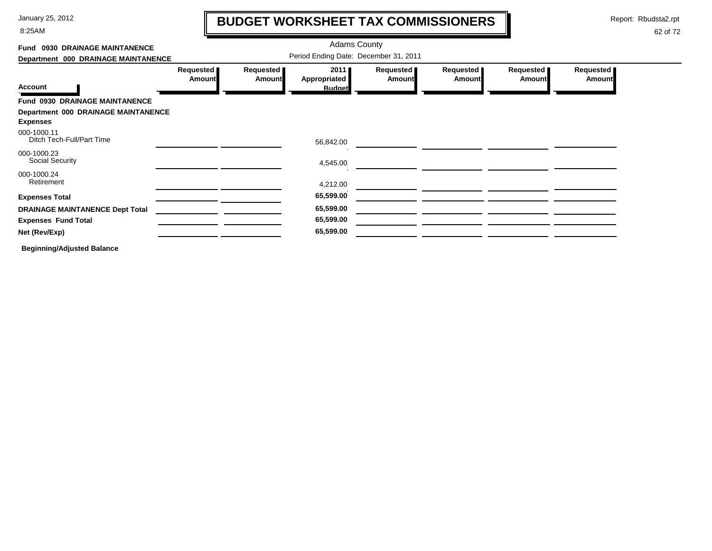8:25AM

# **BUDGET WORKSHEET TAX COMMISSIONERS**

Report: Rbudsta2.rpt

 $\mathbf l$ 

| Fund 0930 DRAINAGE MAINTANENCE                                        |                                       | <b>Adams County</b> |                                              |                     |                     |                            |                            |  |  |  |
|-----------------------------------------------------------------------|---------------------------------------|---------------------|----------------------------------------------|---------------------|---------------------|----------------------------|----------------------------|--|--|--|
| Department 000 DRAINAGE MAINTANENCE                                   | Period Ending Date: December 31, 2011 |                     |                                              |                     |                     |                            |                            |  |  |  |
| <b>Account</b>                                                        | Requested  <br><b>Amount</b>          | Requested<br>Amount | 2011<br><b>Appropriated</b><br><b>Budget</b> | Requested<br>Amount | Requested<br>Amount | Requested<br><b>Amount</b> | Requested<br><b>Amount</b> |  |  |  |
| Fund 0930 DRAINAGE MAINTANENCE                                        |                                       |                     |                                              |                     |                     |                            |                            |  |  |  |
| Department 000 DRAINAGE MAINTANENCE<br><b>Expenses</b><br>000-1000.11 |                                       |                     |                                              |                     |                     |                            |                            |  |  |  |
| Ditch Tech-Full/Part Time                                             |                                       |                     | 56,842.00                                    |                     |                     |                            |                            |  |  |  |
| 000-1000.23<br>Social Security                                        |                                       |                     | 4,545.00                                     |                     |                     |                            |                            |  |  |  |
| 000-1000.24<br>Retirement                                             |                                       |                     | 4,212.00                                     |                     |                     |                            |                            |  |  |  |
| <b>Expenses Total</b>                                                 |                                       |                     | 65,599.00                                    |                     |                     |                            |                            |  |  |  |
| <b>DRAINAGE MAINTANENCE Dept Total</b>                                |                                       |                     | 65,599.00                                    |                     |                     |                            |                            |  |  |  |
| <b>Expenses Fund Total</b>                                            |                                       |                     | 65,599.00                                    |                     |                     |                            |                            |  |  |  |
| Net (Rev/Exp)                                                         |                                       |                     | 65,599.00                                    |                     |                     |                            |                            |  |  |  |
| <b>Beginning/Adjusted Balance</b>                                     |                                       |                     |                                              |                     |                     |                            |                            |  |  |  |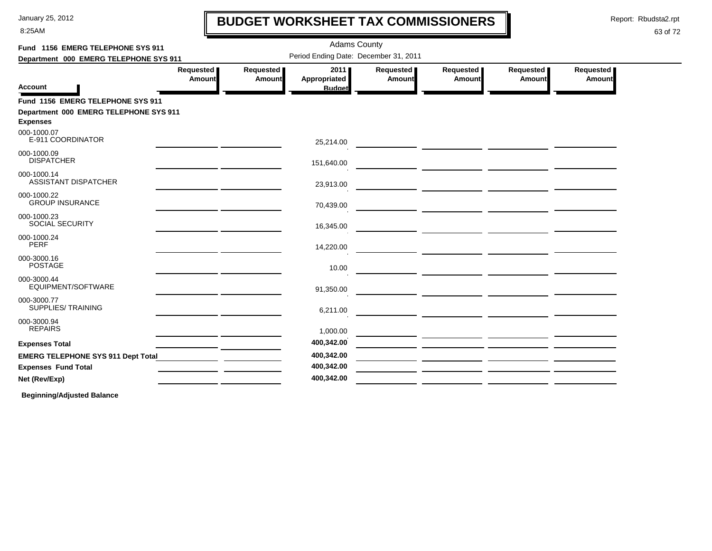8:25AM

# **BUDGET WORKSHEET TAX COMMISSIONERS**

Report: Rbudsta2.rpt

 $\mathbf l$ 

### 63 of 72

| Fund 1156 EMERG TELEPHONE SYS 911                                                              |                                                                                                                               |                     | <b>Adams County</b>                   |                              |                                                                                                                      |                              |                     |
|------------------------------------------------------------------------------------------------|-------------------------------------------------------------------------------------------------------------------------------|---------------------|---------------------------------------|------------------------------|----------------------------------------------------------------------------------------------------------------------|------------------------------|---------------------|
| Department 000 EMERG TELEPHONE SYS 911                                                         |                                                                                                                               |                     | Period Ending Date: December 31, 2011 |                              |                                                                                                                      |                              |                     |
| Account                                                                                        | Requested  <br>Amount                                                                                                         | Requested<br>Amount | 2011<br>Appropriated<br><b>Budget</b> | Requested  <br><b>Amount</b> | Requested   <br>Amount                                                                                               | <b>Requested</b> ∎<br>Amount | Requested<br>Amount |
| Fund 1156 EMERG TELEPHONE SYS 911<br>Department 000 EMERG TELEPHONE SYS 911<br><b>Expenses</b> |                                                                                                                               |                     |                                       |                              |                                                                                                                      |                              |                     |
| 000-1000.07<br>E-911 COORDINATOR                                                               |                                                                                                                               |                     | 25,214.00                             |                              |                                                                                                                      |                              |                     |
| 000-1000.09<br><b>DISPATCHER</b>                                                               | <u> 1989 - Johann John Stone, mars et al. 1989 - John Stone, mars et al. 1989 - John Stone, mars et al. 1989 - John Stone</u> |                     | 151,640.00                            |                              |                                                                                                                      |                              |                     |
| 000-1000.14<br><b>ASSISTANT DISPATCHER</b>                                                     | the control of the control of the control of                                                                                  |                     | 23,913.00                             |                              |                                                                                                                      |                              |                     |
| 000-1000.22<br><b>GROUP INSURANCE</b>                                                          |                                                                                                                               |                     | 70,439.00                             |                              |                                                                                                                      |                              |                     |
| 000-1000.23<br><b>SOCIAL SECURITY</b>                                                          |                                                                                                                               |                     | 16,345.00                             |                              |                                                                                                                      |                              |                     |
| 000-1000.24<br><b>PERF</b>                                                                     |                                                                                                                               |                     | 14,220.00                             |                              |                                                                                                                      |                              |                     |
| 000-3000.16<br><b>POSTAGE</b>                                                                  |                                                                                                                               |                     | 10.00                                 |                              |                                                                                                                      |                              |                     |
| 000-3000.44<br>EQUIPMENT/SOFTWARE                                                              |                                                                                                                               |                     | 91,350.00                             |                              |                                                                                                                      |                              |                     |
| 000-3000.77<br>SUPPLIES/ TRAINING                                                              |                                                                                                                               |                     | 6,211.00                              |                              |                                                                                                                      |                              |                     |
| 000-3000.94<br><b>REPAIRS</b>                                                                  |                                                                                                                               |                     | 1,000.00                              |                              |                                                                                                                      |                              |                     |
| <b>Expenses Total</b>                                                                          |                                                                                                                               |                     | 400,342.00                            |                              | <u> 1989 - Johann Stoff, Amerikaansk politiker († 1908)</u>                                                          |                              |                     |
|                                                                                                |                                                                                                                               |                     | 400,342.00                            |                              | <u> 1989 - Jan James James Barbara, martxa a shekara 1980 - 1981 - 1982 - 1982 - 1982 - 1982 - 1982 - 1982 - 198</u> |                              |                     |
| <b>Expenses Fund Total</b>                                                                     |                                                                                                                               |                     | 400,342.00                            |                              |                                                                                                                      |                              |                     |
| Net (Rev/Exp)                                                                                  |                                                                                                                               |                     | 400,342.00                            |                              |                                                                                                                      |                              |                     |
|                                                                                                |                                                                                                                               |                     |                                       |                              |                                                                                                                      |                              |                     |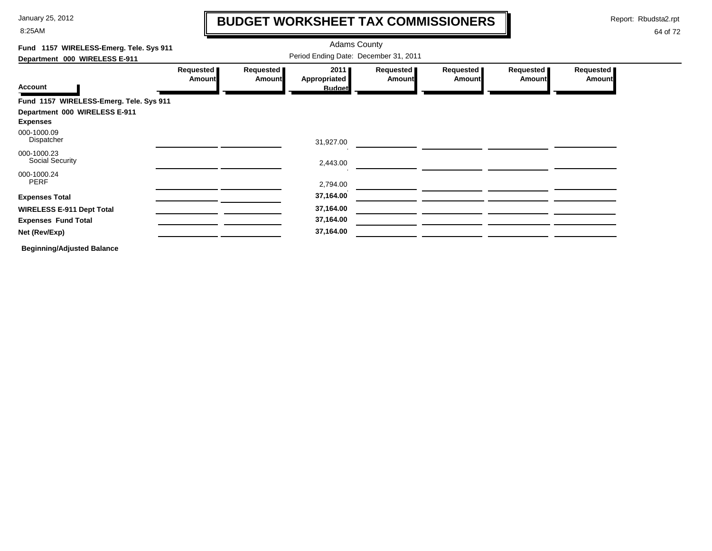8:25AM

# **BUDGET WORKSHEET TAX COMMISSIONERS**

Report: Rbudsta2.rpt

 $\mathbf \mathbf I$ 

| Fund 1157 WIRELESS-Emerg. Tele. Sys 911          |                                       |                            |                                       |                            |                            |                            |                     |  |  |
|--------------------------------------------------|---------------------------------------|----------------------------|---------------------------------------|----------------------------|----------------------------|----------------------------|---------------------|--|--|
| Department 000 WIRELESS E-911                    | Period Ending Date: December 31, 2011 |                            |                                       |                            |                            |                            |                     |  |  |
| <b>Account</b>                                   | Requested<br><b>Amount</b>            | Requested<br><b>Amount</b> | 2011<br>Appropriated<br><b>Budget</b> | Requested<br><b>Amount</b> | Requested<br><b>Amount</b> | Requested<br><b>Amount</b> | Requested<br>Amount |  |  |
| Fund 1157 WIRELESS-Emerg. Tele. Sys 911          |                                       |                            |                                       |                            |                            |                            |                     |  |  |
| Department 000 WIRELESS E-911<br><b>Expenses</b> |                                       |                            |                                       |                            |                            |                            |                     |  |  |
| 000-1000.09<br>Dispatcher                        |                                       |                            | 31,927.00                             |                            |                            |                            |                     |  |  |
| 000-1000.23<br><b>Social Security</b>            |                                       |                            | 2,443.00                              |                            |                            |                            |                     |  |  |
| 000-1000.24<br><b>PERF</b>                       |                                       |                            | 2,794.00                              |                            |                            |                            |                     |  |  |
| <b>Expenses Total</b>                            |                                       |                            | 37,164.00                             |                            |                            |                            |                     |  |  |
| <b>WIRELESS E-911 Dept Total</b>                 |                                       |                            | 37,164.00                             |                            |                            |                            |                     |  |  |
| <b>Expenses Fund Total</b>                       |                                       |                            | 37,164.00                             |                            |                            |                            |                     |  |  |
| Net (Rev/Exp)                                    |                                       |                            | 37,164.00                             |                            |                            |                            |                     |  |  |
| <b>Beginning/Adjusted Balance</b>                |                                       |                            |                                       |                            |                            |                            |                     |  |  |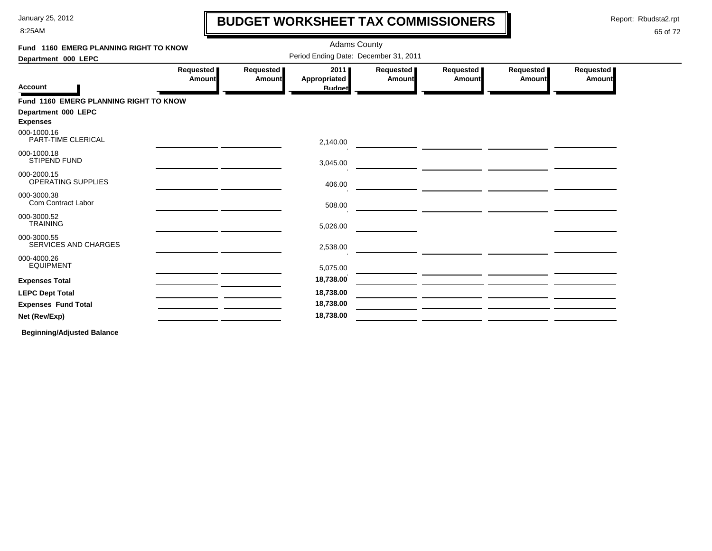8:25AM

# **BUDGET WORKSHEET TAX COMMISSIONERS**

Report: Rbudsta2.rpt

 $\mathbf l$ 

#### 65 of 72

| Fund 1160 EMERG PLANNING RIGHT TO KNOW     |                     |                            | <b>Adams County</b>                   |                            |                     |                            |                            |
|--------------------------------------------|---------------------|----------------------------|---------------------------------------|----------------------------|---------------------|----------------------------|----------------------------|
| Department 000 LEPC                        |                     |                            | Period Ending Date: December 31, 2011 |                            |                     |                            |                            |
| <b>Account</b>                             | Requested<br>Amount | Requested<br><b>Amount</b> | 2011<br>Appropriated<br><b>Budget</b> | Requested<br><b>Amount</b> | Requested<br>Amount | Requested<br><b>Amount</b> | Requested<br><b>Amount</b> |
| Fund 1160 EMERG PLANNING RIGHT TO KNOW     |                     |                            |                                       |                            |                     |                            |                            |
| Department 000 LEPC<br><b>Expenses</b>     |                     |                            |                                       |                            |                     |                            |                            |
| 000-1000.16<br>PART-TIME CLERICAL          |                     |                            | 2,140.00                              |                            |                     |                            |                            |
| 000-1000.18<br>STIPEND FUND                |                     |                            | 3,045.00                              |                            |                     |                            |                            |
| 000-2000.15<br>OPERATING SUPPLIES          |                     |                            | 406.00                                |                            |                     |                            |                            |
| 000-3000.38<br>Com Contract Labor          |                     |                            | 508.00                                |                            |                     |                            |                            |
| 000-3000.52<br><b>TRAINING</b>             |                     |                            | 5,026.00                              |                            |                     |                            |                            |
| 000-3000.55<br><b>SERVICES AND CHARGES</b> |                     |                            | 2,538.00                              |                            |                     |                            |                            |
| 000-4000.26<br><b>EQUIPMENT</b>            |                     |                            | 5,075.00                              |                            |                     |                            |                            |
| <b>Expenses Total</b>                      |                     |                            | 18,738.00                             |                            |                     |                            |                            |
| <b>LEPC Dept Total</b>                     |                     |                            | 18,738.00                             |                            |                     |                            |                            |
| <b>Expenses Fund Total</b>                 |                     |                            | 18,738.00                             |                            |                     |                            |                            |
| Net (Rev/Exp)                              |                     |                            | 18,738.00                             |                            |                     |                            |                            |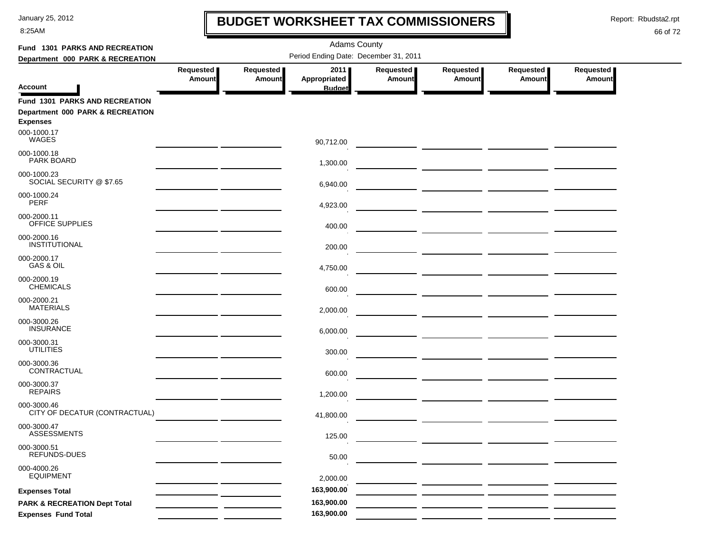8:25AM

# **BUDGET WORKSHEET TAX COMMISSIONERS**

Report: Rbudsta2.rpt

 $\mathbf l$ 

| <b>Fund 1301 PARKS AND RECREATION</b>                                                 |                                       |                            | <b>Adams County</b>         |                     |                       |                     |                     |  |  |  |
|---------------------------------------------------------------------------------------|---------------------------------------|----------------------------|-----------------------------|---------------------|-----------------------|---------------------|---------------------|--|--|--|
| Department 000 PARK & RECREATION                                                      | Period Ending Date: December 31, 2011 |                            |                             |                     |                       |                     |                     |  |  |  |
|                                                                                       | Requested<br><b>Amount</b>            | Requested<br><b>Amount</b> | 2011<br><b>Appropriated</b> | Requested<br>Amount | Requested  <br>Amount | Requested<br>Amount | Requested<br>Amount |  |  |  |
| Account                                                                               |                                       |                            | <b>Budget</b>               |                     |                       |                     |                     |  |  |  |
| Fund 1301 PARKS AND RECREATION<br>Department 000 PARK & RECREATION<br><b>Expenses</b> |                                       |                            |                             |                     |                       |                     |                     |  |  |  |
| 000-1000.17<br>WAGES                                                                  |                                       |                            | 90,712.00                   |                     |                       |                     |                     |  |  |  |
| 000-1000.18<br>PARK BOARD                                                             |                                       |                            | 1,300.00                    |                     |                       |                     |                     |  |  |  |
| 000-1000.23<br>SOCIAL SECURITY @ \$7.65                                               |                                       |                            | 6,940.00                    |                     |                       |                     |                     |  |  |  |
| 000-1000.24<br><b>PERF</b>                                                            |                                       |                            | 4,923.00                    |                     |                       |                     |                     |  |  |  |
| 000-2000.11<br>OFFICE SUPPLIES                                                        |                                       |                            | 400.00                      |                     |                       |                     |                     |  |  |  |
| 000-2000.16<br><b>INSTITUTIONAL</b>                                                   |                                       |                            | 200.00                      |                     |                       |                     |                     |  |  |  |
| 000-2000.17<br>GAS & OIL                                                              |                                       |                            | 4,750.00                    |                     |                       |                     |                     |  |  |  |
| 000-2000.19<br><b>CHEMICALS</b>                                                       |                                       |                            | 600.00                      |                     |                       |                     |                     |  |  |  |
| 000-2000.21<br><b>MATERIALS</b>                                                       |                                       |                            | 2,000.00                    |                     |                       |                     |                     |  |  |  |
| 000-3000.26<br><b>INSURANCE</b>                                                       |                                       |                            | 6,000.00                    |                     |                       |                     |                     |  |  |  |
| 000-3000.31<br><b>UTILITIES</b>                                                       |                                       |                            | 300.00                      |                     |                       |                     |                     |  |  |  |
| 000-3000.36<br>CONTRACTUAL                                                            |                                       |                            | 600.00                      |                     |                       |                     |                     |  |  |  |
| 000-3000.37<br><b>REPAIRS</b>                                                         |                                       |                            | 1,200.00                    |                     |                       |                     |                     |  |  |  |
| 000-3000.46<br>CITY OF DECATUR (CONTRACTUAL)                                          |                                       |                            | 41,800.00                   |                     |                       |                     |                     |  |  |  |
| 000-3000.47<br><b>ASSESSMENTS</b>                                                     |                                       |                            | 125.00                      |                     |                       |                     |                     |  |  |  |
| 000-3000.51<br>REFUNDS-DUES                                                           |                                       |                            | 50.00                       |                     |                       |                     |                     |  |  |  |
| 000-4000.26<br><b>EQUIPMENT</b>                                                       |                                       |                            | 2,000.00                    |                     |                       |                     |                     |  |  |  |
| <b>Expenses Total</b>                                                                 |                                       |                            | 163,900.00                  |                     |                       |                     |                     |  |  |  |
| <b>PARK &amp; RECREATION Dept Total</b>                                               |                                       |                            | 163,900.00                  |                     |                       |                     |                     |  |  |  |
| <b>Expenses Fund Total</b>                                                            |                                       |                            | 163,900.00                  |                     |                       |                     |                     |  |  |  |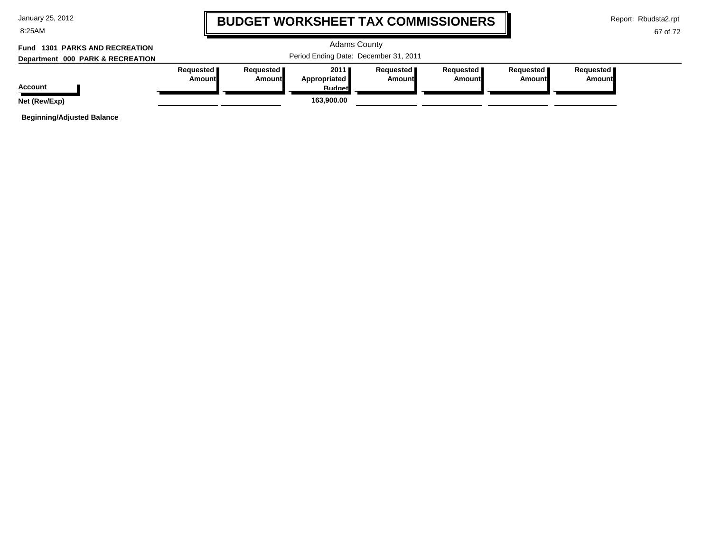| January 25, 2012 |  |  |  |
|------------------|--|--|--|
|------------------|--|--|--|

8:25AM

# **BUDGET WORKSHEET TAX COMMISSIONERS**

Report: Rbudsta2.rpt

#### 67 of 72

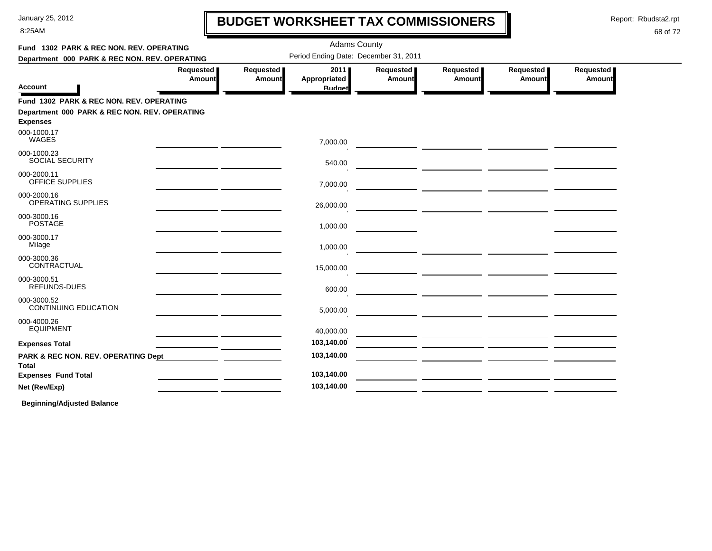8:25AM

# **BUDGET WORKSHEET TAX COMMISSIONERS**

Report: Rbudsta2.rpt

 $\mathbf l$ 

### 68 of 72

| Fund 1302 PARK & REC NON. REV. OPERATING                                                                     |                                                                                                                      |                     | <b>Adams County</b>                   |                     |                                    |                            |                     |  |
|--------------------------------------------------------------------------------------------------------------|----------------------------------------------------------------------------------------------------------------------|---------------------|---------------------------------------|---------------------|------------------------------------|----------------------------|---------------------|--|
| Department 000 PARK & REC NON. REV. OPERATING                                                                |                                                                                                                      |                     | Period Ending Date: December 31, 2011 |                     |                                    |                            |                     |  |
| <b>Account</b>                                                                                               | <b>Requested</b><br>Amount                                                                                           | Requested<br>Amount | 2011<br>Appropriated<br><b>Budget</b> | Requested<br>Amount | Requested<br>Amount                | Requested<br><b>Amount</b> | Requested<br>Amount |  |
| Fund 1302 PARK & REC NON. REV. OPERATING<br>Department 000 PARK & REC NON. REV. OPERATING<br><b>Expenses</b> |                                                                                                                      |                     |                                       |                     |                                    |                            |                     |  |
| 000-1000.17<br>WAGES                                                                                         |                                                                                                                      |                     | 7,000.00                              |                     |                                    |                            |                     |  |
| 000-1000.23<br><b>SOCIAL SECURITY</b>                                                                        |                                                                                                                      |                     | 540.00                                |                     |                                    |                            |                     |  |
| 000-2000.11<br>OFFICE SUPPLIES                                                                               | <u> 1989 - Jan Stein Stein Stein Stein Stein Stein Stein Stein Stein Stein Stein Stein Stein Stein Stein Stein S</u> |                     | 7,000.00                              |                     |                                    |                            |                     |  |
| 000-2000.16<br>OPERATING SUPPLIES                                                                            |                                                                                                                      |                     | 26,000.00                             |                     | — <u>— — — — — — — — — — — — —</u> |                            |                     |  |
| 000-3000.16<br><b>POSTAGE</b>                                                                                |                                                                                                                      |                     | 1,000.00                              |                     |                                    |                            |                     |  |
| 000-3000.17<br>Milage                                                                                        |                                                                                                                      |                     | 1,000.00                              |                     |                                    |                            |                     |  |
| 000-3000.36<br>CONTRACTUAL                                                                                   |                                                                                                                      |                     | 15,000.00                             |                     |                                    |                            |                     |  |
| 000-3000.51<br>REFUNDS-DUES                                                                                  |                                                                                                                      |                     | 600.00                                |                     |                                    |                            |                     |  |
| 000-3000.52<br><b>CONTINUING EDUCATION</b>                                                                   |                                                                                                                      |                     | 5,000.00                              |                     |                                    |                            |                     |  |
| 000-4000.26<br><b>EQUIPMENT</b>                                                                              |                                                                                                                      |                     | 40,000.00                             |                     |                                    |                            |                     |  |
| <b>Expenses Total</b>                                                                                        |                                                                                                                      |                     | 103,140.00                            |                     |                                    |                            |                     |  |
| PARK & REC NON. REV. OPERATING Dept<br>Total                                                                 |                                                                                                                      |                     | 103,140.00                            |                     |                                    |                            |                     |  |
| <b>Expenses Fund Total</b>                                                                                   |                                                                                                                      |                     | 103,140.00                            |                     |                                    |                            |                     |  |
| Net (Rev/Exp)                                                                                                |                                                                                                                      |                     | 103,140.00                            |                     |                                    |                            |                     |  |
|                                                                                                              |                                                                                                                      |                     |                                       |                     |                                    |                            |                     |  |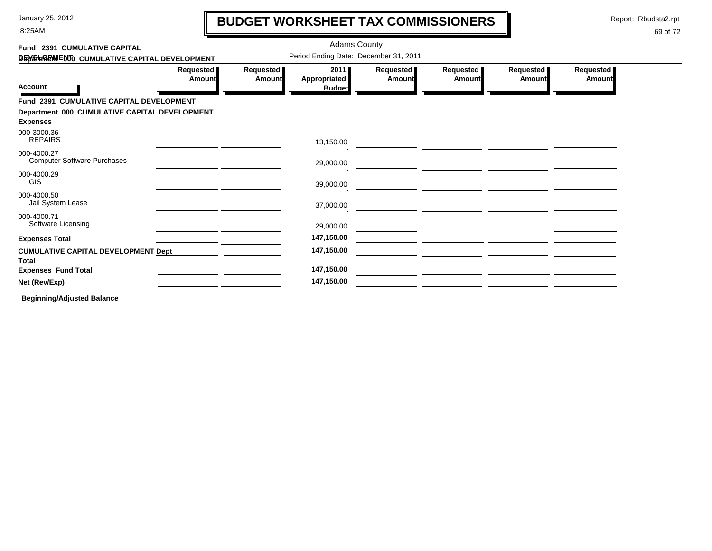8:25AM

# **BUDGET WORKSHEET TAX COMMISSIONERS**

Report: Rbudsta2.rpt

 $\mathbf l$ 

### 69 of 72

| Fund 2391 CUMULATIVE CAPITAL                               |                     |                       | <b>Adams County</b>                   |                              |                       |                       |                     |
|------------------------------------------------------------|---------------------|-----------------------|---------------------------------------|------------------------------|-----------------------|-----------------------|---------------------|
| DEYELARMENTO CUMULATIVE CAPITAL DEVELOPMENT                |                     |                       | Period Ending Date: December 31, 2011 |                              |                       |                       |                     |
|                                                            | Requested<br>Amount | Requested  <br>Amount | 2011<br><b>Appropriated</b>           | Requested  <br><b>Amount</b> | Requested  <br>Amount | Requested  <br>Amount | Requested<br>Amount |
| <b>Account</b>                                             |                     |                       | <b>Budget</b>                         |                              |                       |                       |                     |
| Fund 2391 CUMULATIVE CAPITAL DEVELOPMENT                   |                     |                       |                                       |                              |                       |                       |                     |
| Department 000 CUMULATIVE CAPITAL DEVELOPMENT              |                     |                       |                                       |                              |                       |                       |                     |
| <b>Expenses</b>                                            |                     |                       |                                       |                              |                       |                       |                     |
| 000-3000.36<br><b>REPAIRS</b>                              |                     |                       | 13,150.00                             |                              |                       |                       |                     |
| 000-4000.27<br><b>Computer Software Purchases</b>          |                     |                       | 29,000.00                             |                              |                       |                       |                     |
| 000-4000.29<br><b>GIS</b>                                  |                     |                       | 39,000.00                             |                              |                       |                       |                     |
| 000-4000.50<br>Jail System Lease                           |                     |                       | 37,000.00                             |                              |                       |                       |                     |
| 000-4000.71<br>Software Licensing                          |                     |                       | 29,000.00                             |                              |                       |                       |                     |
| <b>Expenses Total</b>                                      |                     |                       | 147,150.00                            |                              |                       |                       |                     |
| <b>CUMULATIVE CAPITAL DEVELOPMENT Dept</b><br><b>Total</b> |                     |                       | 147,150.00                            |                              |                       |                       |                     |
| <b>Expenses Fund Total</b>                                 |                     |                       | 147,150.00                            |                              |                       |                       |                     |
| Net (Rev/Exp)                                              |                     |                       | 147,150.00                            |                              |                       |                       |                     |
| _                                                          |                     |                       |                                       |                              |                       |                       |                     |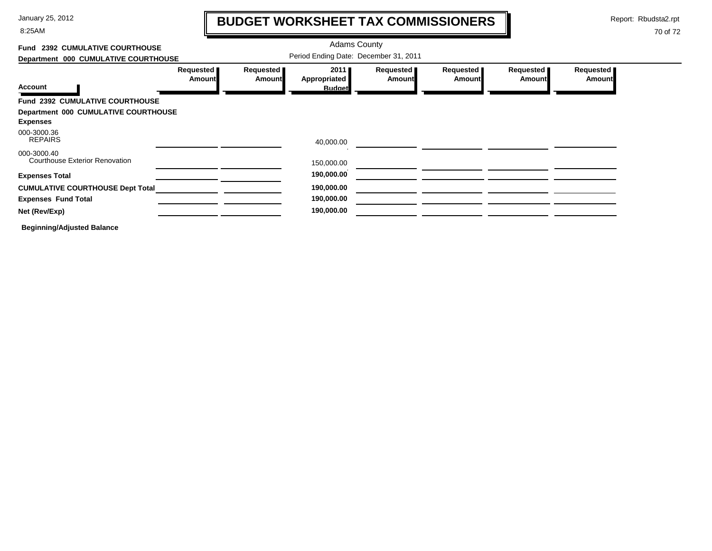8:25AM

# **BUDGET WORKSHEET TAX COMMISSIONERS**

Report: Rbudsta2.rpt

 $\mathbf l$ 

| Fund 2392 CUMULATIVE COURTHOUSE                      |                     |                            | <b>Adams County</b>                   |                            |                     |                            |                            |
|------------------------------------------------------|---------------------|----------------------------|---------------------------------------|----------------------------|---------------------|----------------------------|----------------------------|
| Department 000 CUMULATIVE COURTHOUSE                 |                     |                            | Period Ending Date: December 31, 2011 |                            |                     |                            |                            |
|                                                      | Requested<br>Amount | Requested<br><b>Amount</b> | 2011<br><b>Appropriated</b>           | Requested<br><b>Amount</b> | Requested<br>Amount | Requested<br><b>Amount</b> | Requested<br><b>Amount</b> |
| <b>Account</b>                                       |                     |                            | <b>Budget</b>                         |                            |                     |                            |                            |
| Fund 2392 CUMULATIVE COURTHOUSE                      |                     |                            |                                       |                            |                     |                            |                            |
| Department 000 CUMULATIVE COURTHOUSE                 |                     |                            |                                       |                            |                     |                            |                            |
| <b>Expenses</b>                                      |                     |                            |                                       |                            |                     |                            |                            |
| 000-3000.36<br><b>REPAIRS</b>                        |                     |                            | 40,000.00                             |                            |                     |                            |                            |
| 000-3000.40<br><b>Courthouse Exterior Renovation</b> |                     |                            | 150,000.00                            |                            |                     |                            |                            |
| <b>Expenses Total</b>                                |                     |                            | 190,000.00                            |                            |                     |                            |                            |
| <b>CUMULATIVE COURTHOUSE Dept Total</b>              |                     |                            | 190,000.00                            |                            |                     |                            |                            |
| <b>Expenses Fund Total</b>                           |                     |                            | 190,000.00                            |                            |                     |                            |                            |
| Net (Rev/Exp)                                        |                     |                            | 190,000.00                            |                            |                     |                            |                            |
| <b>Beginning/Adjusted Balance</b>                    |                     |                            |                                       |                            |                     |                            |                            |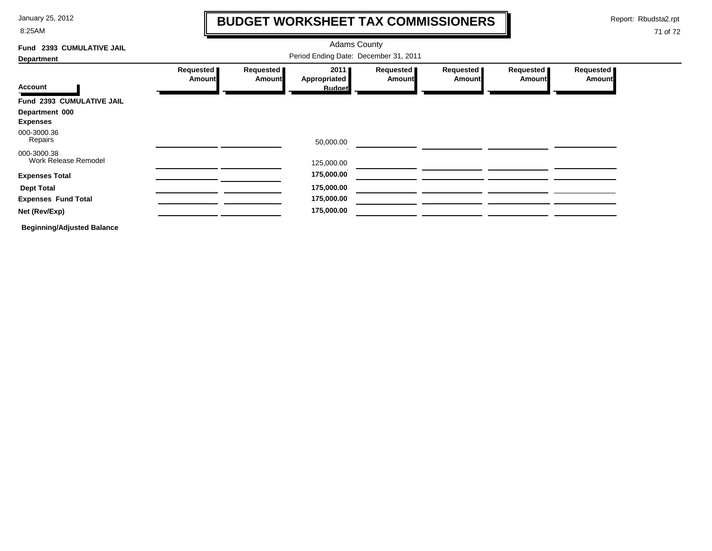8:25AM

### **BUDGET WORKSHEET TAX COMMISSIONERS**

Report: Rbudsta2.rpt

 $\mathbf l$ 

| 2393 CUMULATIVE JAIL<br>Fund        |                            | <b>Adams County</b>                   |                             |                            |                            |                            |                            |  |  |  |
|-------------------------------------|----------------------------|---------------------------------------|-----------------------------|----------------------------|----------------------------|----------------------------|----------------------------|--|--|--|
| <b>Department</b>                   |                            | Period Ending Date: December 31, 2011 |                             |                            |                            |                            |                            |  |  |  |
|                                     | Requested<br><b>Amount</b> | Requested<br>Amount                   | 2011<br><b>Appropriated</b> | Requested<br><b>Amount</b> | Requested<br><b>Amount</b> | Requested<br><b>Amount</b> | Requested<br><b>Amount</b> |  |  |  |
| <b>Account</b>                      |                            |                                       | <b>Budget</b>               |                            |                            |                            |                            |  |  |  |
| Fund 2393 CUMULATIVE JAIL           |                            |                                       |                             |                            |                            |                            |                            |  |  |  |
| Department 000                      |                            |                                       |                             |                            |                            |                            |                            |  |  |  |
| <b>Expenses</b>                     |                            |                                       |                             |                            |                            |                            |                            |  |  |  |
| 000-3000.36<br>Repairs              |                            |                                       | 50,000.00                   |                            |                            |                            |                            |  |  |  |
| 000-3000.38<br>Work Release Remodel |                            |                                       | 125,000.00                  |                            |                            |                            |                            |  |  |  |
| <b>Expenses Total</b>               |                            |                                       | 175,000.00                  |                            |                            |                            |                            |  |  |  |
| <b>Dept Total</b>                   |                            |                                       | 175,000.00                  |                            |                            |                            |                            |  |  |  |
| <b>Expenses Fund Total</b>          |                            |                                       | 175,000.00                  |                            |                            |                            |                            |  |  |  |
| Net (Rev/Exp)                       |                            |                                       | 175,000.00                  |                            |                            |                            |                            |  |  |  |
| <b>Beginning/Adjusted Balance</b>   |                            |                                       |                             |                            |                            |                            |                            |  |  |  |